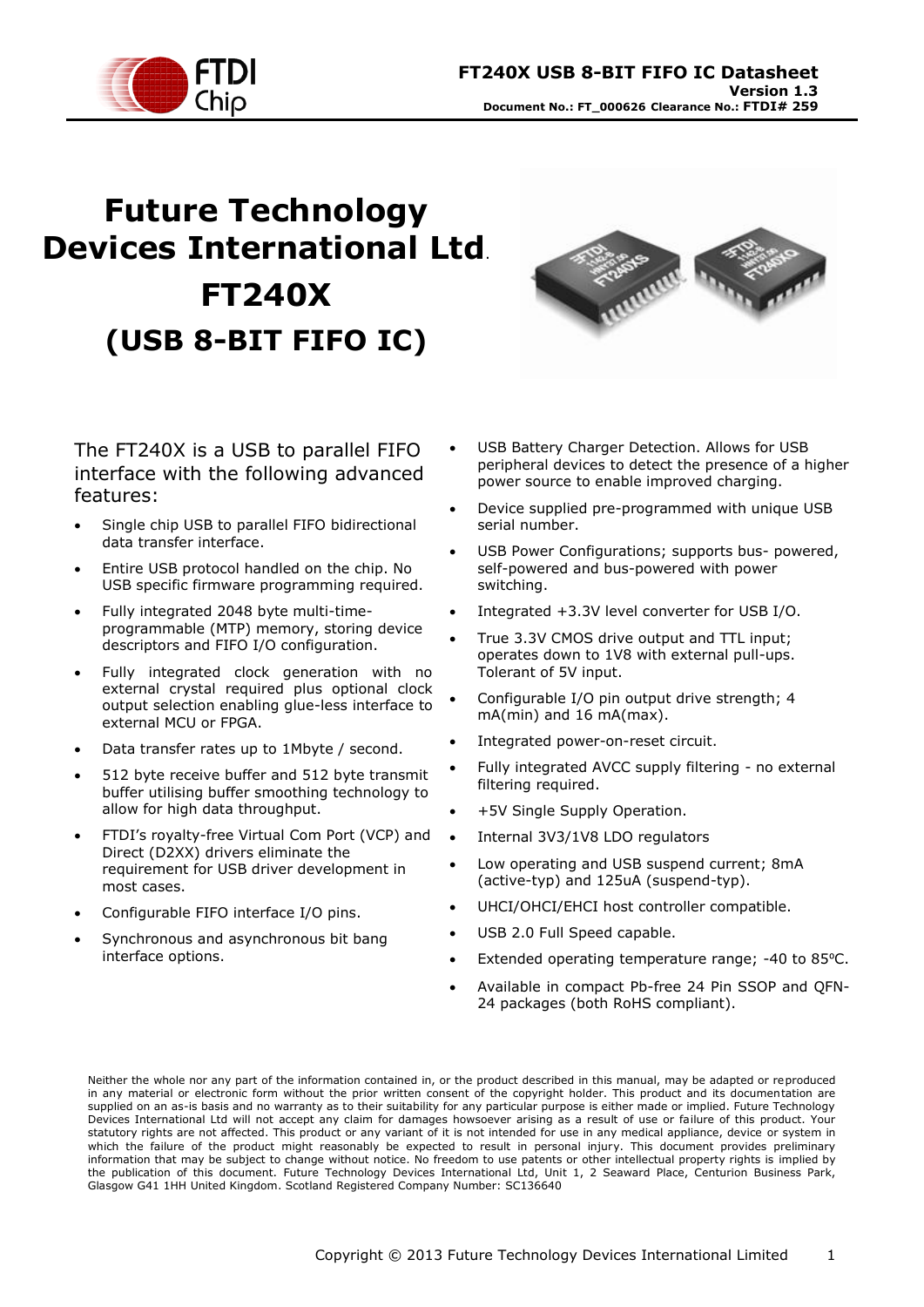

# **Future Technology Devices International Ltd**. **FT240X (USB 8-BIT FIFO IC)**



The FT240X is a USB to parallel FIFO interface with the following advanced features:

- Single chip USB to parallel FIFO bidirectional data transfer interface.
- Entire USB protocol handled on the chip. No USB specific firmware programming required.
- Fully integrated 2048 byte multi-timeprogrammable (MTP) memory, storing device descriptors and FIFO I/O configuration.
- Fully integrated clock generation with no external crystal required plus optional clock output selection enabling glue-less interface to external MCU or FPGA.
- Data transfer rates up to 1Mbyte / second.
- 512 byte receive buffer and 512 byte transmit buffer utilising buffer smoothing technology to allow for high data throughput.
- FTDI's royalty-free Virtual Com Port (VCP) and Direct (D2XX) drivers eliminate the requirement for USB driver development in most cases.
- Configurable FIFO interface I/O pins.
- Synchronous and asynchronous bit bang interface options.
- USB Battery Charger Detection. Allows for USB peripheral devices to detect the presence of a higher power source to enable improved charging.
- Device supplied pre-programmed with unique USB serial number.
- USB Power Configurations; supports bus- powered, self-powered and bus-powered with power switching.
- Integrated +3.3V level converter for USB I/O.
- True 3.3V CMOS drive output and TTL input; operates down to 1V8 with external pull-ups. Tolerant of 5V input.
- Configurable I/O pin output drive strength; 4 mA(min) and 16 mA(max).
- Integrated power-on-reset circuit.
- Fully integrated AVCC supply filtering no external filtering required.
- +5V Single Supply Operation.
- Internal 3V3/1V8 LDO regulators
- Low operating and USB suspend current; 8mA (active-typ) and 125uA (suspend-typ).
- UHCI/OHCI/EHCI host controller compatible.
- USB 2.0 Full Speed capable.
- Extended operating temperature range; -40 to 85°C.
- Available in compact Pb-free 24 Pin SSOP and QFN-24 packages (both RoHS compliant).

Neither the whole nor any part of the information contained in, or the product described in this manual, may be adapted or reproduced in any material or electronic form without the prior written consent of the copyright holder. This product and its documentation are supplied on an as-is basis and no warranty as to their suitability for any particular purpose is either made or implied. Future Technology Devices International Ltd will not accept any claim for damages howsoever arising as a result of use or failure of this product. Your statutory rights are not affected. This product or any variant of it is not intended for use in any medical appliance, device or system in which the failure of the product might reasonably be expected to result in personal injury. This document provides preliminary information that may be subject to change without notice. No freedom to use patents or other intellectual property rights is implied by the publication of this document. Future Technology Devices International Ltd, Unit 1, 2 Seaward Place, Centurion Business Park, Glasgow G41 1HH United Kingdom. Scotland Registered Company Number: SC136640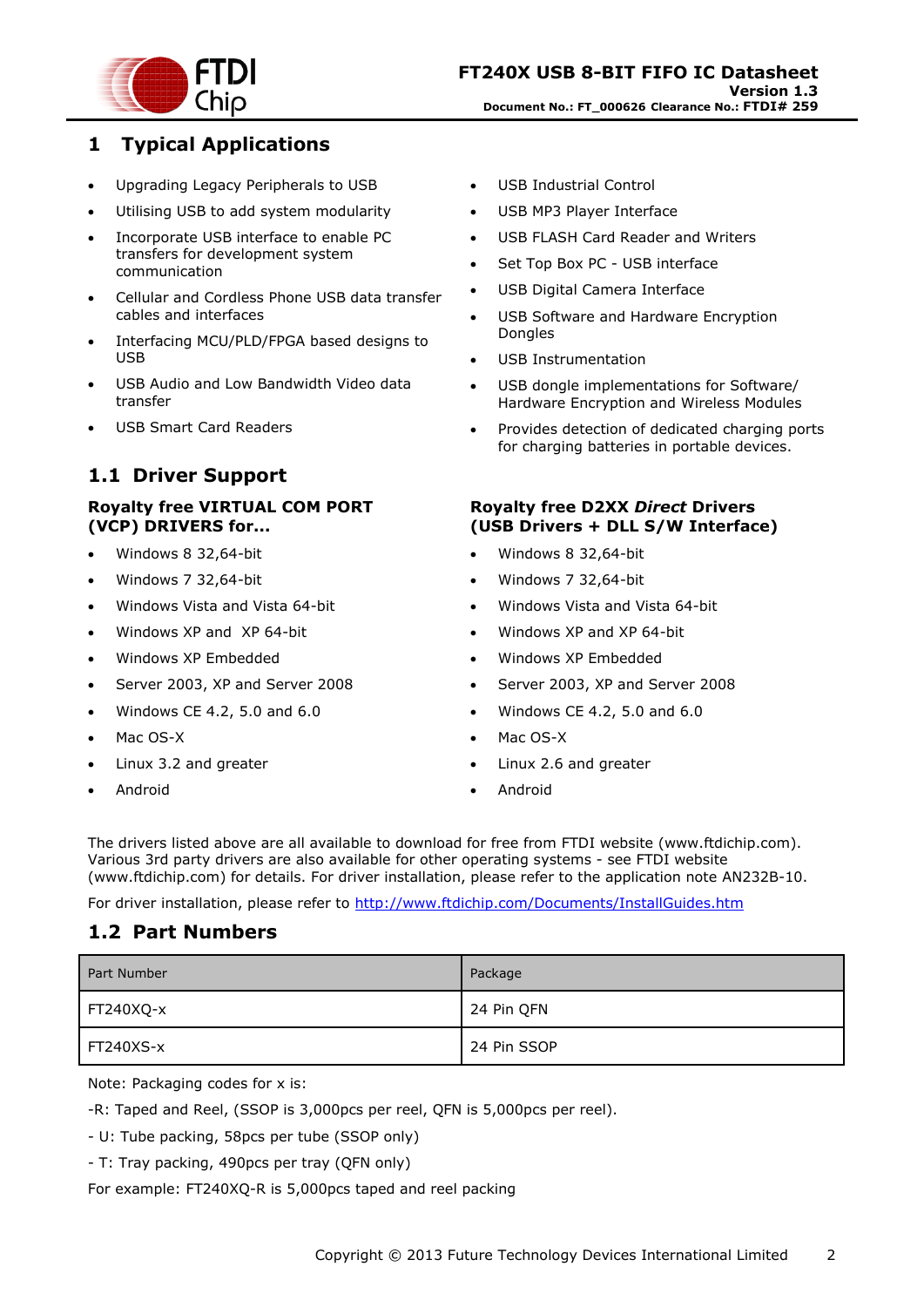

### <span id="page-1-0"></span>**1 Typical Applications**

- Upgrading Legacy Peripherals to USB
- Utilising USB to add system modularity
- Incorporate USB interface to enable PC transfers for development system communication
- Cellular and Cordless Phone USB data transfer cables and interfaces
- Interfacing MCU/PLD/FPGA based designs to USB
- USB Audio and Low Bandwidth Video data transfer
- USB Smart Card Readers

# <span id="page-1-1"></span>**1.1 Driver Support**

#### **Royalty free VIRTUAL COM PORT (VCP) DRIVERS for...**

- Windows 8 32,64-bit
- Windows 7 32,64-bit
- Windows Vista and Vista 64-bit
- Windows XP and XP 64-bit
- Windows XP Embedded
- Server 2003, XP and Server 2008
- Windows CE 4.2, 5.0 and 6.0
- Mac OS-X
- Linux 3.2 and greater
- Android
- USB Industrial Control
- USB MP3 Player Interface
- USB FLASH Card Reader and Writers
- Set Top Box PC USB interface
- USB Digital Camera Interface
- USB Software and Hardware Encryption Dongles
- USB Instrumentation
- USB dongle implementations for Software/ Hardware Encryption and Wireless Modules
- Provides detection of dedicated charging ports for charging batteries in portable devices.

#### **Royalty free D2XX** *Direct* **Drivers (USB Drivers + DLL S/W Interface)**

- Windows 8 32,64-bit
- Windows 7 32,64-bit
- Windows Vista and Vista 64-bit
- Windows XP and XP 64-bit
- Windows XP Embedded
- Server 2003, XP and Server 2008
- Windows CE 4.2, 5.0 and 6.0
- Mac OS-X
- Linux 2.6 and greater
- Android

The drivers listed above are all available to download for free from [FTDI website](http://www.ftdichip.com/) [\(www.ftdichip.com\)](file://glaspssv1/General/Engineering/Engineering%20_Documents/DS_FT245R/DS_FT245R_200/www.ftdichip.com). Various 3rd party drivers are also available for other operating systems - see [FTDI website](http://www.ftdichip.com/) [\(www.ftdichip.com\)](http://www.ftdichip.com/) for details. For driver installation, please refer to the application note [AN232B-10.](http://ftdichip.com/Documents/AppNotes/AN232B-10_Advanced_Driver_Options.pdf)

For driver installation, please refer to <http://www.ftdichip.com/Documents/InstallGuides.htm>

### <span id="page-1-2"></span>**1.2 Part Numbers**

| Part Number | Package     |
|-------------|-------------|
| FT240XQ-x   | 24 Pin QFN  |
| FT240XS-x   | 24 Pin SSOP |

Note: Packaging codes for x is:

-R: Taped and Reel, (SSOP is 3,000pcs per reel, QFN is 5,000pcs per reel).

- U: Tube packing, 58pcs per tube (SSOP only)

- T: Tray packing, 490pcs per tray (QFN only)

For example: FT240XQ-R is 5,000pcs taped and reel packing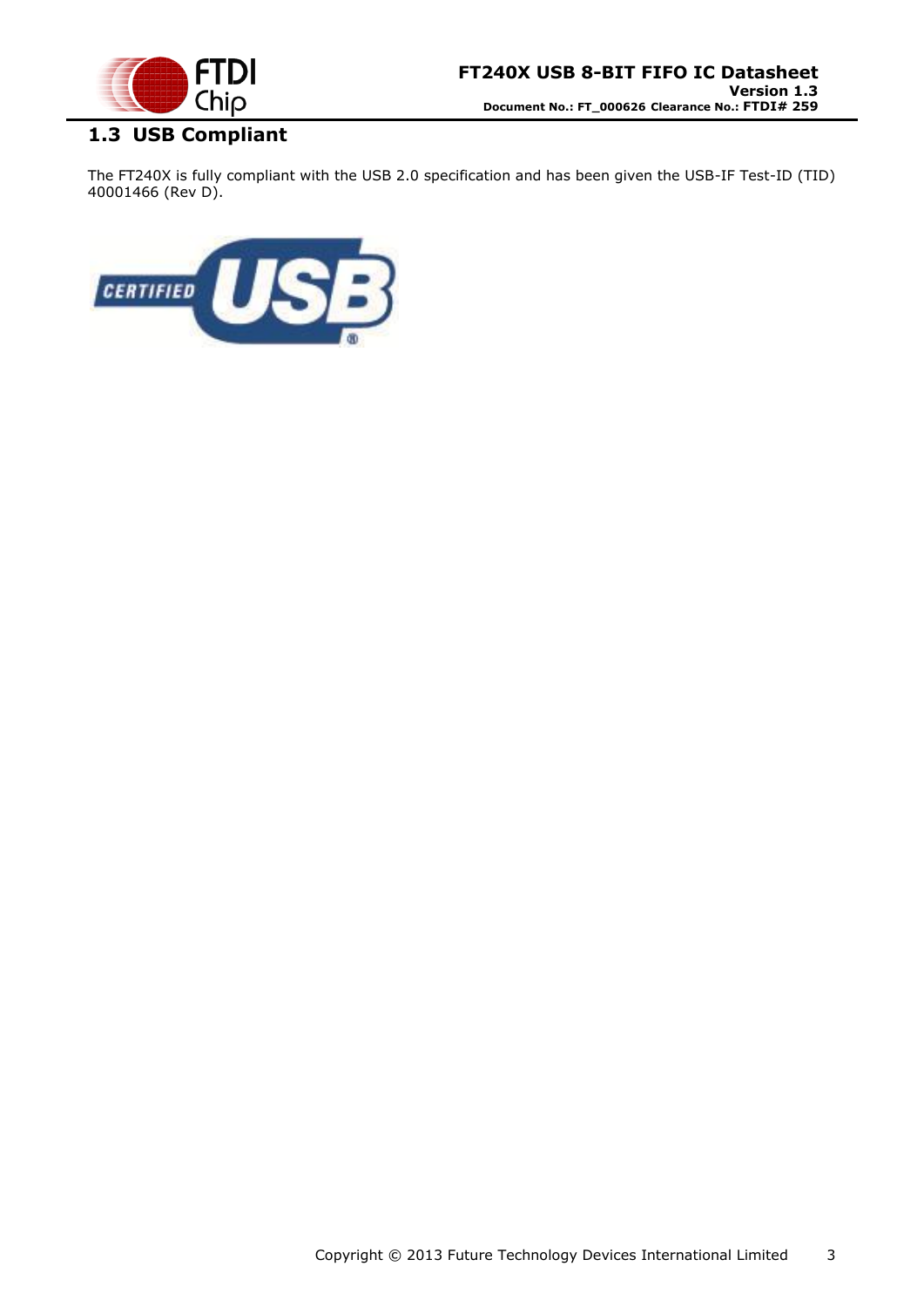

# <span id="page-2-0"></span>**1.3 USB Compliant**

The FT240X is fully compliant with the USB 2.0 specification and has been given the USB-IF Test-ID (TID) 40001466 (Rev D).

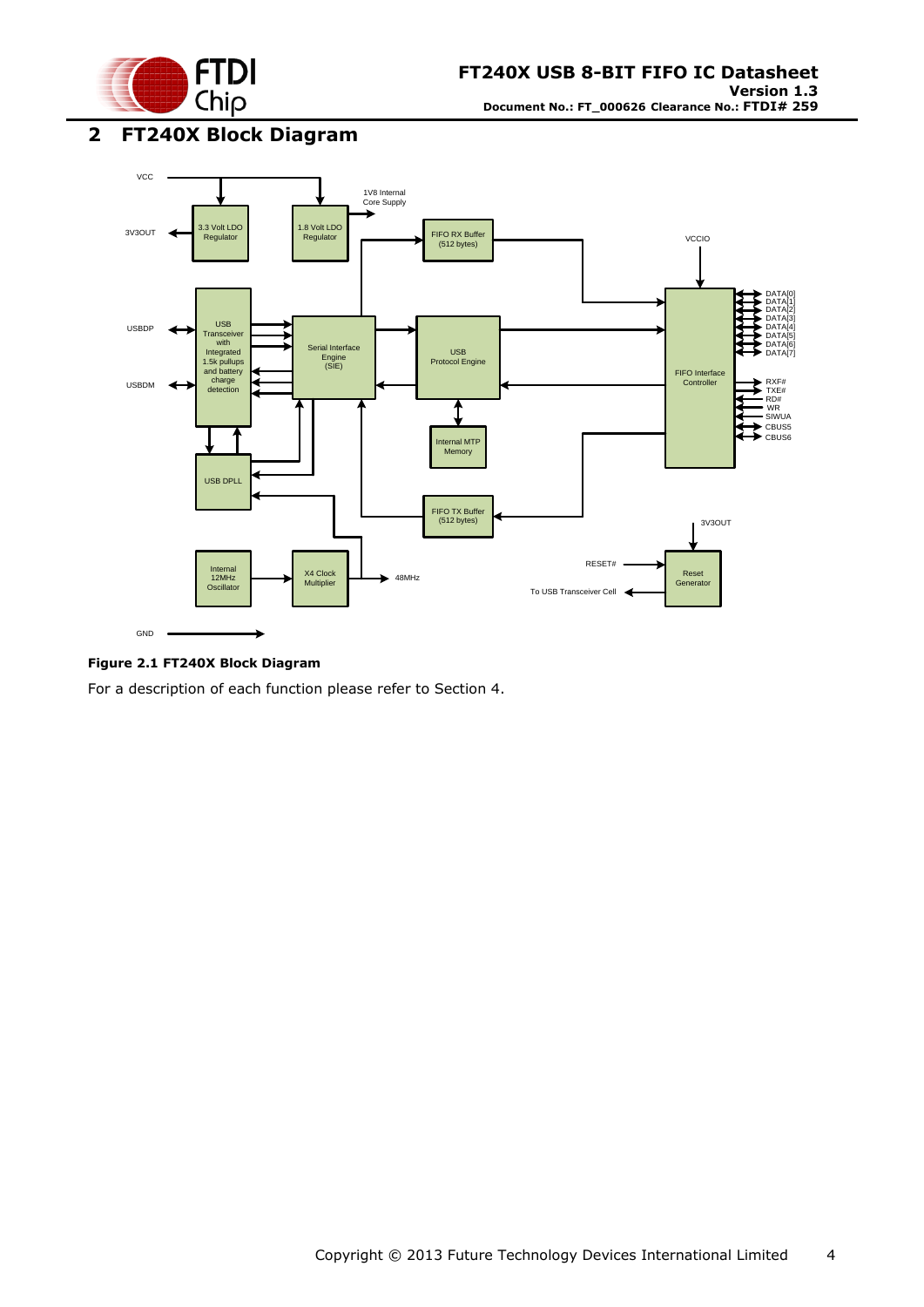

<span id="page-3-0"></span>**2 FT240X Block Diagram**



#### <span id="page-3-1"></span>**Figure 2.1 FT240X Block Diagram**

For a description of each function please refer to Section 4.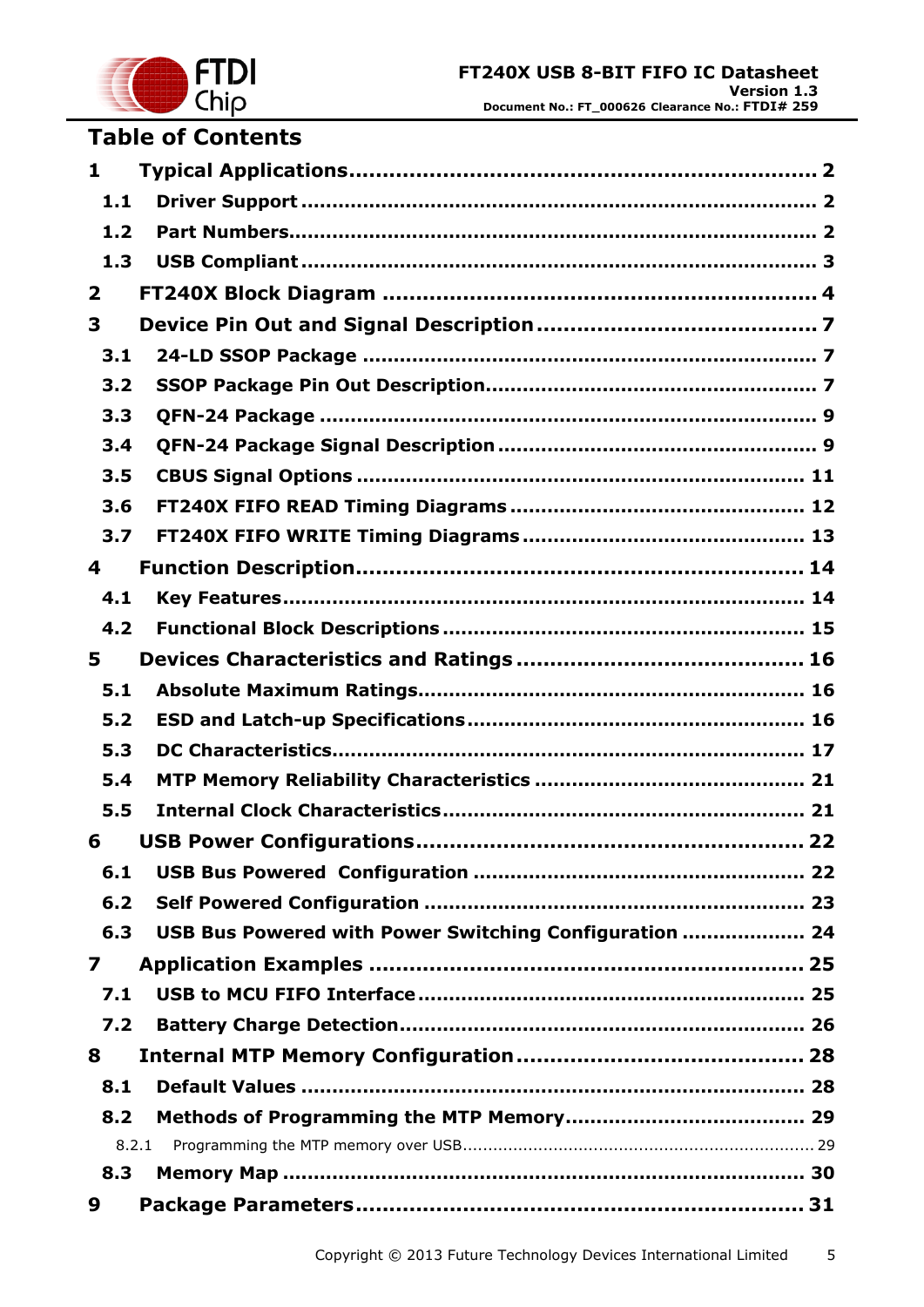

# **Table of Contents**

| $\mathbf{1}$            |                                                        |
|-------------------------|--------------------------------------------------------|
| 1.1                     |                                                        |
| 1.2                     |                                                        |
| 1.3                     |                                                        |
| $\overline{\mathbf{2}}$ |                                                        |
| 3                       |                                                        |
| 3.1                     |                                                        |
| 3.2                     |                                                        |
| 3.3                     |                                                        |
| 3.4                     |                                                        |
| 3.5                     |                                                        |
| 3.6                     |                                                        |
| 3.7                     |                                                        |
| 4                       |                                                        |
| 4.1                     |                                                        |
| 4.2                     |                                                        |
| 5                       |                                                        |
| 5.1                     |                                                        |
| 5.2                     |                                                        |
| 5.3                     |                                                        |
| 5.4                     |                                                        |
| 5.5                     |                                                        |
| 6                       |                                                        |
| 6.1                     |                                                        |
| 6.2                     |                                                        |
| 6.3                     | USB Bus Powered with Power Switching Configuration  24 |
| 7                       |                                                        |
| 7.1                     |                                                        |
| 7.2                     |                                                        |
| 8                       |                                                        |
| 8.1                     |                                                        |
| 8.2                     |                                                        |
| 8.2.1                   |                                                        |
| 8.3                     |                                                        |
| 9                       |                                                        |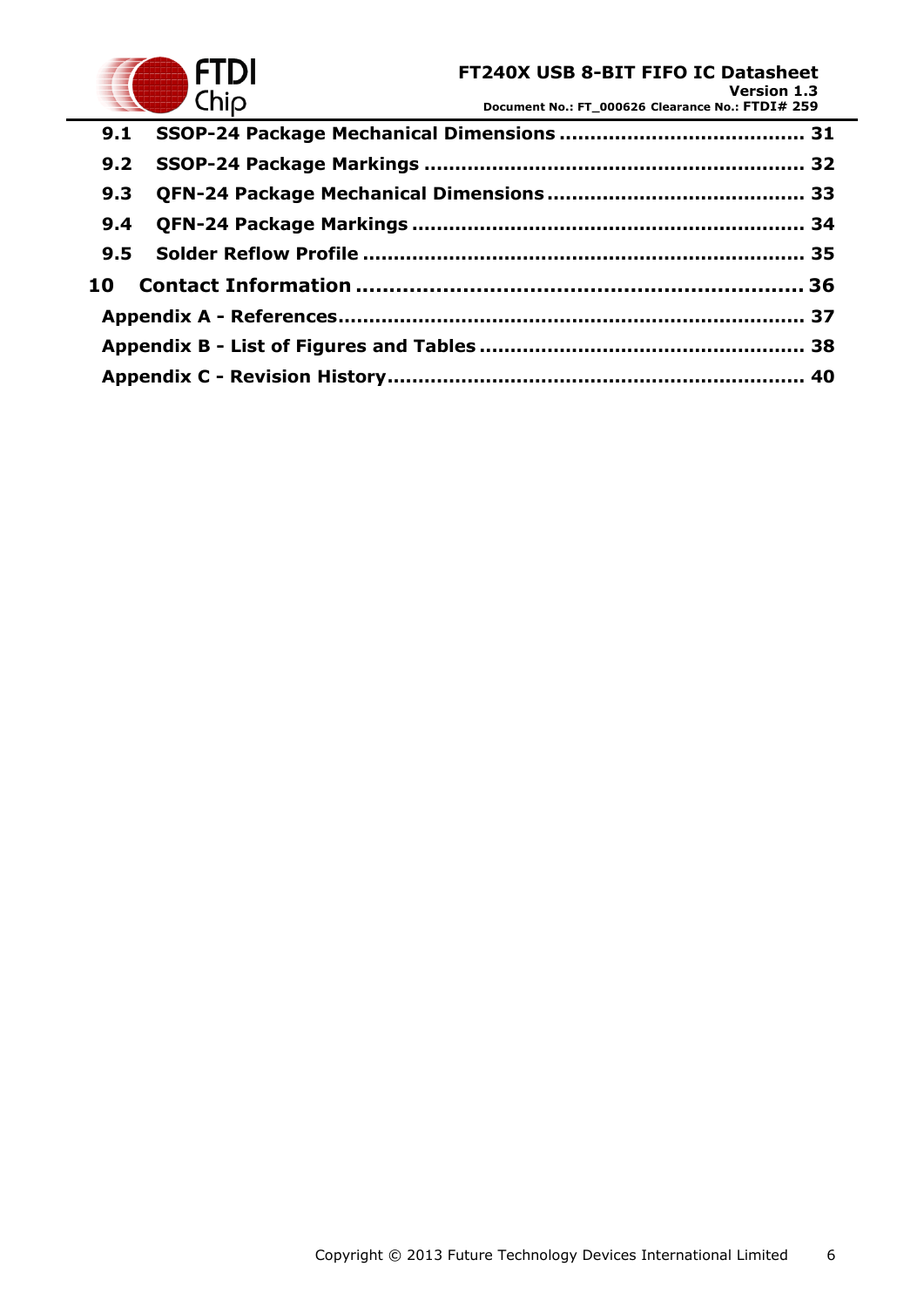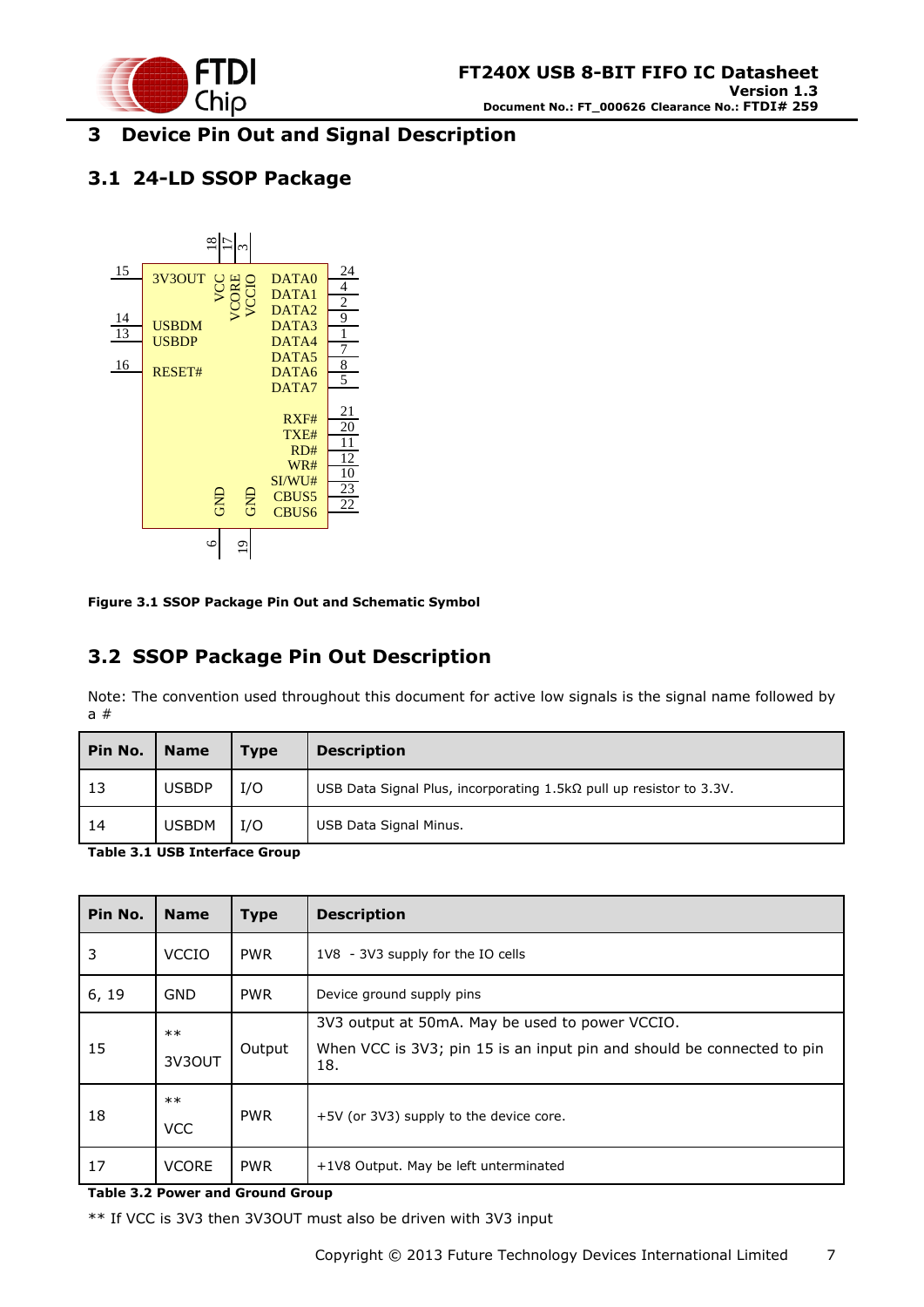

### <span id="page-6-0"></span>**3 Device Pin Out and Signal Description**

### <span id="page-6-1"></span>**3.1 24-LD SSOP Package**



<span id="page-6-3"></span>**Figure 3.1 SSOP Package Pin Out and Schematic Symbol**

## <span id="page-6-2"></span>**3.2 SSOP Package Pin Out Description**

Note: The convention used throughout this document for active low signals is the signal name followed by a #

|              | <b>Type</b> | <b>Description</b>                                                         |  |
|--------------|-------------|----------------------------------------------------------------------------|--|
| <b>USBDP</b> | I/O         | USB Data Signal Plus, incorporating $1.5k\Omega$ pull up resistor to 3.3V. |  |
| <b>USBDM</b> | I/O         | USB Data Signal Minus.                                                     |  |
|              |             |                                                                            |  |

<span id="page-6-4"></span>**Table 3.1 USB Interface Group**

| Pin No. | <b>Name</b>         | <b>Type</b> | <b>Description</b>                                                                                                               |  |
|---------|---------------------|-------------|----------------------------------------------------------------------------------------------------------------------------------|--|
| 3       | <b>VCCIO</b>        | <b>PWR</b>  | 1V8 - 3V3 supply for the IO cells                                                                                                |  |
| 6, 19   | <b>GND</b>          | <b>PWR</b>  | Device ground supply pins                                                                                                        |  |
| 15      | $***$<br>3V3OUT     | Output      | 3V3 output at 50mA. May be used to power VCCIO.<br>When VCC is 3V3; pin 15 is an input pin and should be connected to pin<br>18. |  |
| 18      | $***$<br><b>VCC</b> | <b>PWR</b>  | +5V (or 3V3) supply to the device core.                                                                                          |  |
| 17      | <b>VCORE</b>        | <b>PWR</b>  | +1V8 Output. May be left unterminated                                                                                            |  |

<span id="page-6-5"></span>**Table 3.2 Power and Ground Group**

\*\* If VCC is 3V3 then 3V3OUT must also be driven with 3V3 input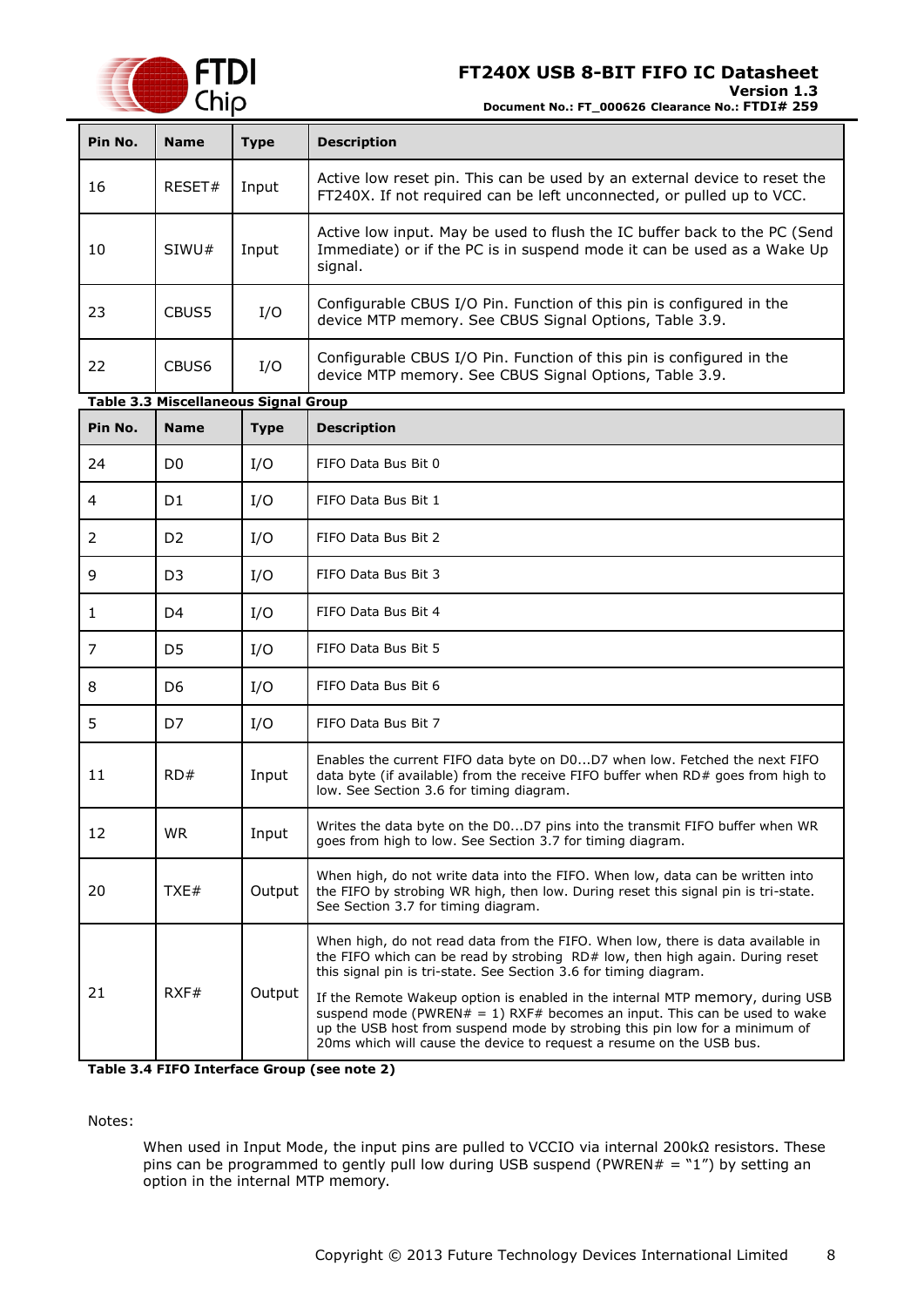

**Version 1.3**

**Document No.: FT\_000626 Clearance No.: FTDI# 259**

<span id="page-7-1"></span>

| Pin No. | <b>Name</b>                                 | <b>Type</b> | <b>Description</b>                                                                                                                                                                                                                                                                                                                                                                                                                                                                                                                                         |  |  |
|---------|---------------------------------------------|-------------|------------------------------------------------------------------------------------------------------------------------------------------------------------------------------------------------------------------------------------------------------------------------------------------------------------------------------------------------------------------------------------------------------------------------------------------------------------------------------------------------------------------------------------------------------------|--|--|
| 16      | RESET#                                      | Input       | Active low reset pin. This can be used by an external device to reset the<br>FT240X. If not required can be left unconnected, or pulled up to VCC.                                                                                                                                                                                                                                                                                                                                                                                                         |  |  |
| 10      | SIWU#                                       | Input       | Active low input. May be used to flush the IC buffer back to the PC (Send<br>Immediate) or if the PC is in suspend mode it can be used as a Wake Up<br>signal.                                                                                                                                                                                                                                                                                                                                                                                             |  |  |
| 23      | CBUS5                                       | I/O         | Configurable CBUS I/O Pin. Function of this pin is configured in the<br>device MTP memory. See CBUS Signal Options, Table 3.9.                                                                                                                                                                                                                                                                                                                                                                                                                             |  |  |
| 22      | CBUS6                                       | I/O         | Configurable CBUS I/O Pin. Function of this pin is configured in the<br>device MTP memory. See CBUS Signal Options, Table 3.9.                                                                                                                                                                                                                                                                                                                                                                                                                             |  |  |
|         | <b>Table 3.3 Miscellaneous Signal Group</b> |             |                                                                                                                                                                                                                                                                                                                                                                                                                                                                                                                                                            |  |  |
| Pin No. | <b>Name</b>                                 | <b>Type</b> | <b>Description</b>                                                                                                                                                                                                                                                                                                                                                                                                                                                                                                                                         |  |  |
| 24      | D <sub>0</sub>                              | I/O         | FIFO Data Bus Bit 0                                                                                                                                                                                                                                                                                                                                                                                                                                                                                                                                        |  |  |
| 4       | D1                                          | I/O         | FIFO Data Bus Bit 1                                                                                                                                                                                                                                                                                                                                                                                                                                                                                                                                        |  |  |
| 2       | D <sub>2</sub>                              | I/O         | FIFO Data Bus Bit 2                                                                                                                                                                                                                                                                                                                                                                                                                                                                                                                                        |  |  |
| 9       | D <sub>3</sub>                              | I/O         | FIFO Data Bus Bit 3                                                                                                                                                                                                                                                                                                                                                                                                                                                                                                                                        |  |  |
| 1       | D <sub>4</sub>                              | I/O         | FIFO Data Bus Bit 4                                                                                                                                                                                                                                                                                                                                                                                                                                                                                                                                        |  |  |
| 7       | D <sub>5</sub>                              | I/O         | FIFO Data Bus Bit 5                                                                                                                                                                                                                                                                                                                                                                                                                                                                                                                                        |  |  |
| 8       | D6                                          | I/O         | FIFO Data Bus Bit 6                                                                                                                                                                                                                                                                                                                                                                                                                                                                                                                                        |  |  |
| 5       | D7                                          | I/O         | FIFO Data Bus Bit 7                                                                                                                                                                                                                                                                                                                                                                                                                                                                                                                                        |  |  |
| 11      | RD#                                         | Input       | Enables the current FIFO data byte on D0D7 when low. Fetched the next FIFO<br>data byte (if available) from the receive FIFO buffer when RD# goes from high to<br>low. See Section 3.6 for timing diagram.                                                                                                                                                                                                                                                                                                                                                 |  |  |
| 12      | <b>WR</b>                                   | Input       | Writes the data byte on the D0D7 pins into the transmit FIFO buffer when WR<br>goes from high to low. See Section 3.7 for timing diagram.                                                                                                                                                                                                                                                                                                                                                                                                                  |  |  |
| 20      | TXE#                                        | Output      | When high, do not write data into the FIFO. When low, data can be written into<br>the FIFO by strobing WR high, then low. During reset this signal pin is tri-state.<br>See Section 3.7 for timing diagram.                                                                                                                                                                                                                                                                                                                                                |  |  |
| 21      | RXF#                                        | Output      | When high, do not read data from the FIFO. When low, there is data available in<br>the FIFO which can be read by strobing RD# low, then high again. During reset<br>this signal pin is tri-state. See Section 3.6 for timing diagram.<br>If the Remote Wakeup option is enabled in the internal MTP memory, during USB<br>suspend mode (PWREN# = 1) RXF# becomes an input. This can be used to wake<br>up the USB host from suspend mode by strobing this pin low for a minimum of<br>20ms which will cause the device to request a resume on the USB bus. |  |  |

<span id="page-7-2"></span>**Table 3.4 FIFO Interface Group (see note 2)**

<span id="page-7-0"></span>Notes:

When used in Input Mode, the input pins are pulled to VCCIO via internal 200kΩ resistors. These pins can be programmed to gently pull low during USB suspend (PWREN# = "1") by setting an option in the internal MTP memory.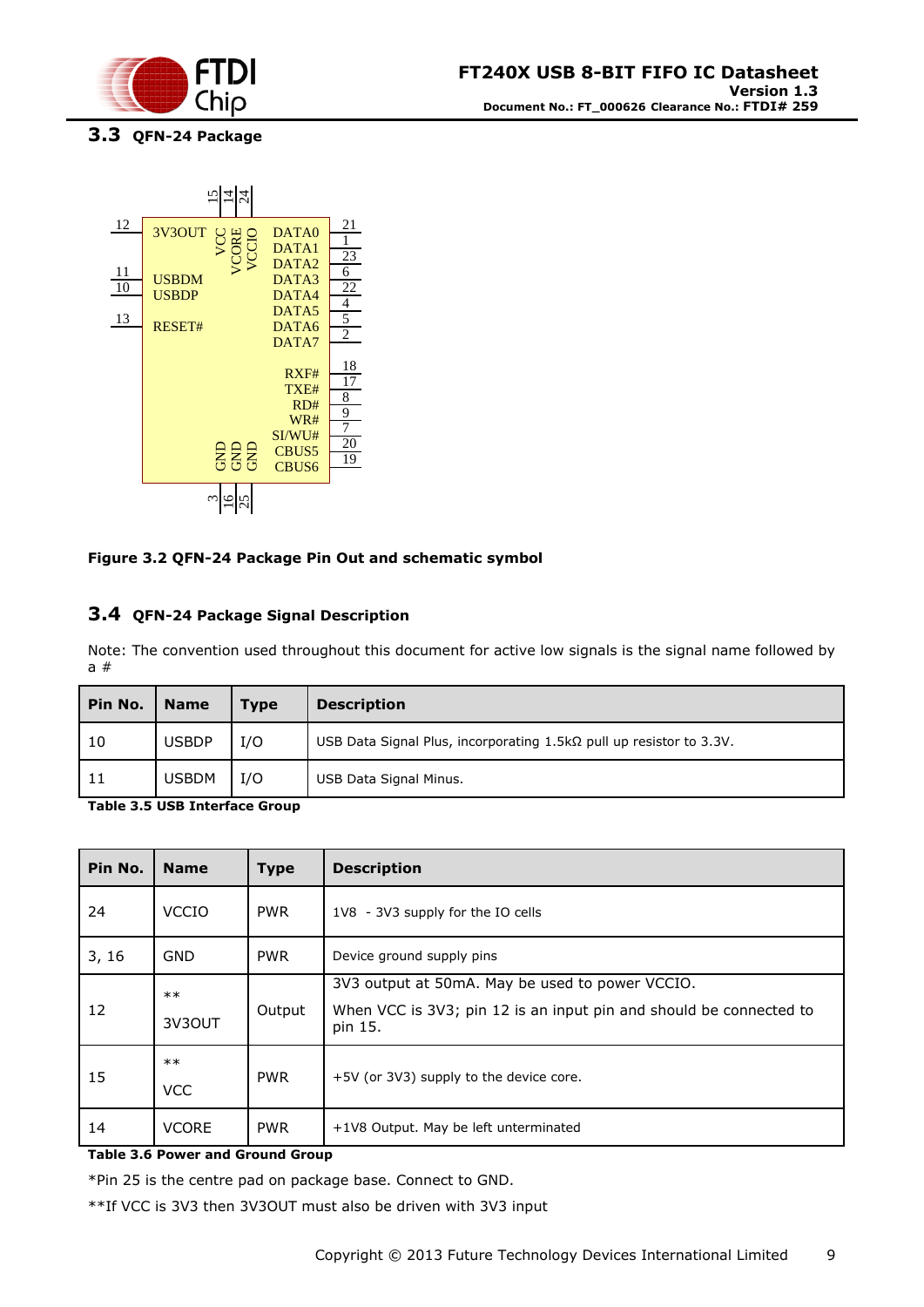

<span id="page-8-0"></span>**3.3 QFN-24 Package**



#### <span id="page-8-2"></span>**Figure 3.2 QFN-24 Package Pin Out and schematic symbol**

### <span id="page-8-1"></span>**3.4 QFN-24 Package Signal Description**

Note: The convention used throughout this document for active low signals is the signal name followed by a #

| Pin No. | <b>Name</b>  | Type | <b>Description</b>                                                         |  |
|---------|--------------|------|----------------------------------------------------------------------------|--|
| 10      | <b>USBDP</b> | I/O  | USB Data Signal Plus, incorporating $1.5k\Omega$ pull up resistor to 3.3V. |  |
| 11      | <b>USBDM</b> | I/O  | USB Data Signal Minus.                                                     |  |

<span id="page-8-3"></span>**Table 3.5 USB Interface Group**

| Pin No. | <b>Name</b>         | <b>Type</b> | <b>Description</b>                                                                                                               |  |
|---------|---------------------|-------------|----------------------------------------------------------------------------------------------------------------------------------|--|
| 24      | <b>VCCIO</b>        | <b>PWR</b>  | 1V8 - 3V3 supply for the IO cells                                                                                                |  |
| 3, 16   | <b>GND</b>          | <b>PWR</b>  | Device ground supply pins                                                                                                        |  |
| 12      | $***$<br>3V3OUT     | Output      | 3V3 output at 50mA. May be used to power VCCIO.<br>When VCC is 3V3; pin 12 is an input pin and should be connected to<br>pin 15. |  |
| 15      | $***$<br><b>VCC</b> | <b>PWR</b>  | +5V (or 3V3) supply to the device core.                                                                                          |  |
| 14      | <b>VCORE</b>        | <b>PWR</b>  | +1V8 Output. May be left unterminated                                                                                            |  |

<span id="page-8-4"></span>**Table 3.6 Power and Ground Group**

\*Pin 25 is the centre pad on package base. Connect to GND.

\*\*If VCC is 3V3 then 3V3OUT must also be driven with 3V3 input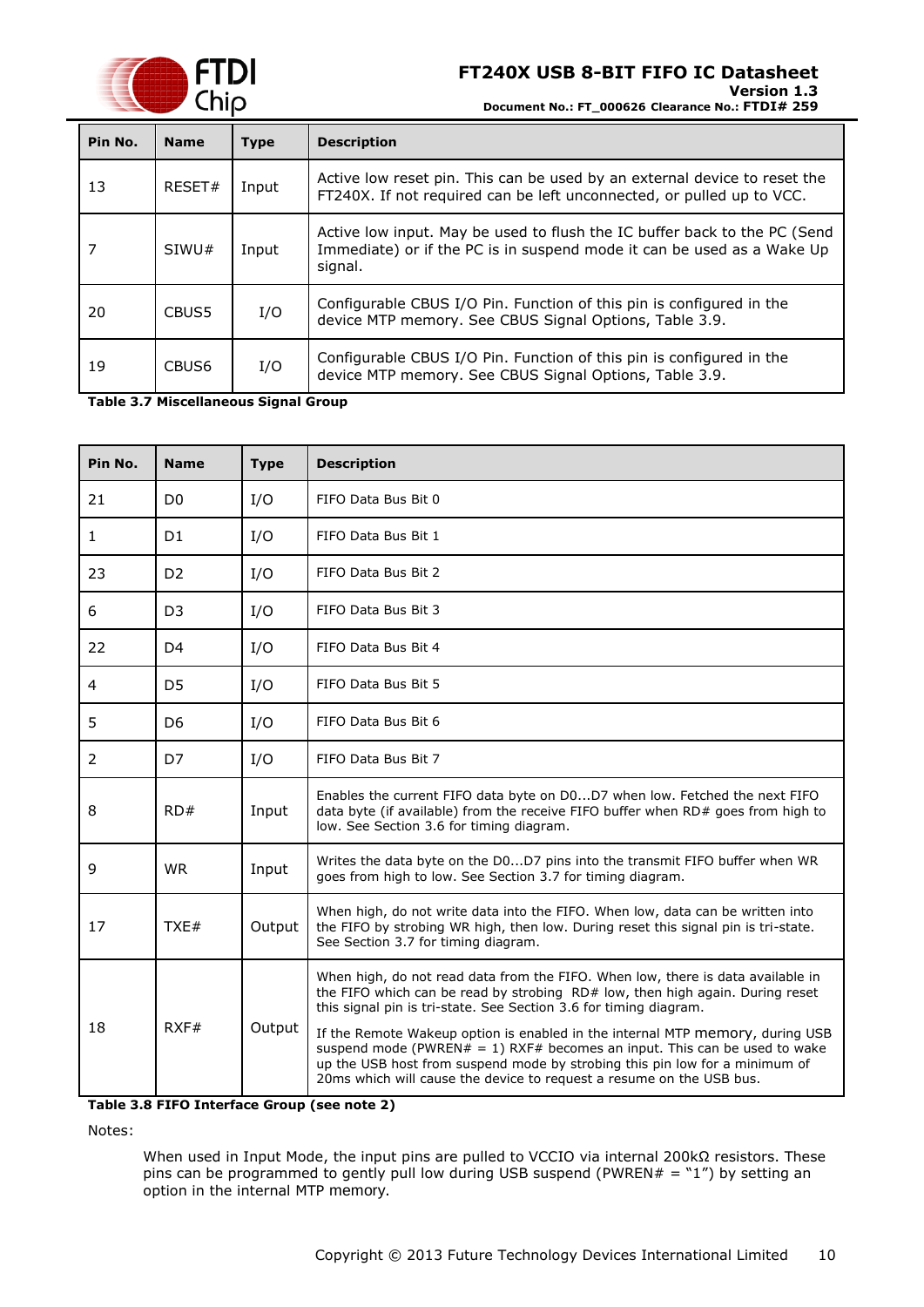

**Version 1.3**

**Document No.: FT\_000626 Clearance No.: FTDI# 259**

| Pin No. | <b>Name</b> | <b>Type</b> | <b>Description</b>                                                                                                                                             |  |  |  |
|---------|-------------|-------------|----------------------------------------------------------------------------------------------------------------------------------------------------------------|--|--|--|
| 13      | RESET#      | Input       | Active low reset pin. This can be used by an external device to reset the<br>FT240X. If not required can be left unconnected, or pulled up to VCC.             |  |  |  |
|         | SIWU#       | Input       | Active low input. May be used to flush the IC buffer back to the PC (Send<br>Immediate) or if the PC is in suspend mode it can be used as a Wake Up<br>signal. |  |  |  |
| 20      | CBUS5       | I/O         | Configurable CBUS I/O Pin. Function of this pin is configured in the<br>device MTP memory. See CBUS Signal Options, Table 3.9.                                 |  |  |  |
| 19      | CBUS6       | I/O         | Configurable CBUS I/O Pin. Function of this pin is configured in the<br>device MTP memory. See CBUS Signal Options, Table 3.9.                                 |  |  |  |

<span id="page-9-0"></span>**Table 3.7 Miscellaneous Signal Group**

| Pin No. | <b>Name</b>    | <b>Type</b> | <b>Description</b>                                                                                                                                                                                                                                                                                                |  |
|---------|----------------|-------------|-------------------------------------------------------------------------------------------------------------------------------------------------------------------------------------------------------------------------------------------------------------------------------------------------------------------|--|
| 21      | D <sub>0</sub> | I/O         | FIFO Data Bus Bit 0                                                                                                                                                                                                                                                                                               |  |
| 1       | D <sub>1</sub> | I/O         | FIFO Data Bus Bit 1                                                                                                                                                                                                                                                                                               |  |
| 23      | D <sub>2</sub> | I/O         | FIFO Data Bus Bit 2                                                                                                                                                                                                                                                                                               |  |
| 6       | D <sub>3</sub> | I/O         | FIFO Data Bus Bit 3                                                                                                                                                                                                                                                                                               |  |
| 22      | D4             | I/O         | FIFO Data Bus Bit 4                                                                                                                                                                                                                                                                                               |  |
| 4       | D <sub>5</sub> | I/O         | FIFO Data Bus Bit 5                                                                                                                                                                                                                                                                                               |  |
| 5       | D <sub>6</sub> | I/O         | FIFO Data Bus Bit 6                                                                                                                                                                                                                                                                                               |  |
| 2       | D7             | I/O         | FIFO Data Bus Bit 7                                                                                                                                                                                                                                                                                               |  |
| 8       | RD#            | Input       | Enables the current FIFO data byte on D0D7 when low. Fetched the next FIFO<br>data byte (if available) from the receive FIFO buffer when RD# goes from high to<br>low. See Section 3.6 for timing diagram.                                                                                                        |  |
| 9       | <b>WR</b>      | Input       | Writes the data byte on the D0D7 pins into the transmit FIFO buffer when WR<br>goes from high to low. See Section 3.7 for timing diagram.                                                                                                                                                                         |  |
| 17      | TXE#           | Output      | When high, do not write data into the FIFO. When low, data can be written into<br>the FIFO by strobing WR high, then low. During reset this signal pin is tri-state.<br>See Section 3.7 for timing diagram.                                                                                                       |  |
| 18      |                |             | When high, do not read data from the FIFO. When low, there is data available in<br>the FIFO which can be read by strobing RD# low, then high again. During reset<br>this signal pin is tri-state. See Section 3.6 for timing diagram.                                                                             |  |
|         | RXF#           | Output      | If the Remote Wakeup option is enabled in the internal MTP memory, during USB<br>suspend mode (PWREN# = 1) RXF# becomes an input. This can be used to wake<br>up the USB host from suspend mode by strobing this pin low for a minimum of<br>20ms which will cause the device to request a resume on the USB bus. |  |

<span id="page-9-1"></span>**Table 3.8 FIFO Interface Group (see note 2)**

Notes:

When used in Input Mode, the input pins are pulled to VCCIO via internal 200kΩ resistors. These pins can be programmed to gently pull low during USB suspend (PWREN# = "1") by setting an option in the internal MTP memory.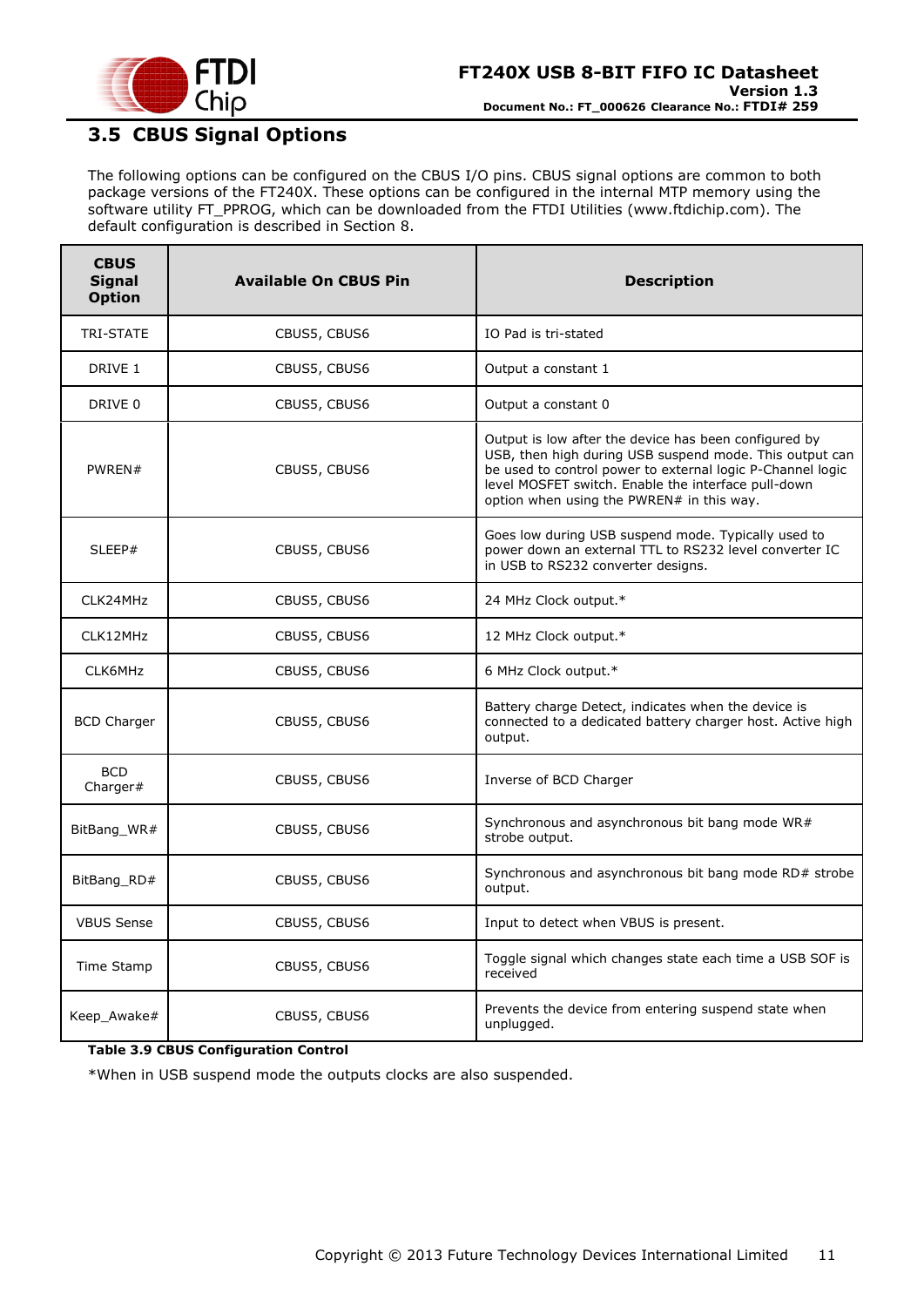

# <span id="page-10-0"></span>**3.5 CBUS Signal Options**

The following options can be configured on the CBUS I/O pins. CBUS signal options are common to both package versions of the FT240X. These options can be configured in the internal MTP memory using the software utility FT\_PPROG, which can be downloaded from the [FTDI Utilities](http://www.ftdichip.com/Resources/Utilities.htm) [\(www.ftdichip.com\)](http://www.ftdichip.com/). The default configuration is described in Section [8.](#page-27-0)

| <b>CBUS</b><br><b>Signal</b><br><b>Option</b> | <b>Available On CBUS Pin</b> | <b>Description</b>                                                                                                                                                                                                                                                                 |  |  |
|-----------------------------------------------|------------------------------|------------------------------------------------------------------------------------------------------------------------------------------------------------------------------------------------------------------------------------------------------------------------------------|--|--|
| TRI-STATE                                     | CBUS5, CBUS6                 | IO Pad is tri-stated                                                                                                                                                                                                                                                               |  |  |
| DRIVE 1                                       | CBUS5, CBUS6                 | Output a constant 1                                                                                                                                                                                                                                                                |  |  |
| DRIVE 0                                       | CBUS5, CBUS6                 | Output a constant 0                                                                                                                                                                                                                                                                |  |  |
| PWREN#                                        | CBUS5, CBUS6                 | Output is low after the device has been configured by<br>USB, then high during USB suspend mode. This output can<br>be used to control power to external logic P-Channel logic<br>level MOSFET switch. Enable the interface pull-down<br>option when using the PWREN# in this way. |  |  |
| SLEEP#                                        | CBUS5, CBUS6                 | Goes low during USB suspend mode. Typically used to<br>power down an external TTL to RS232 level converter IC<br>in USB to RS232 converter designs.                                                                                                                                |  |  |
| CLK24MHz                                      | CBUS5, CBUS6                 | 24 MHz Clock output.*                                                                                                                                                                                                                                                              |  |  |
| CLK12MHz                                      | CBUS5, CBUS6                 | 12 MHz Clock output.*                                                                                                                                                                                                                                                              |  |  |
| CLK6MHz                                       | CBUS5, CBUS6                 | 6 MHz Clock output.*                                                                                                                                                                                                                                                               |  |  |
| <b>BCD Charger</b>                            | CBUS5, CBUS6                 | Battery charge Detect, indicates when the device is<br>connected to a dedicated battery charger host. Active high<br>output.                                                                                                                                                       |  |  |
| <b>BCD</b><br>Charger#                        | CBUS5, CBUS6                 | Inverse of BCD Charger                                                                                                                                                                                                                                                             |  |  |
| BitBang WR#                                   | CBUS5, CBUS6                 | Synchronous and asynchronous bit bang mode WR#<br>strobe output.                                                                                                                                                                                                                   |  |  |
| BitBang_RD#                                   | CBUS5, CBUS6                 | Synchronous and asynchronous bit bang mode RD# strobe<br>output.                                                                                                                                                                                                                   |  |  |
| <b>VBUS Sense</b>                             | CBUS5, CBUS6                 | Input to detect when VBUS is present.                                                                                                                                                                                                                                              |  |  |
| Time Stamp                                    | CBUS5, CBUS6                 | Toggle signal which changes state each time a USB SOF is<br>received                                                                                                                                                                                                               |  |  |
| Keep_Awake#                                   | CBUS5, CBUS6                 | Prevents the device from entering suspend state when<br>unplugged.                                                                                                                                                                                                                 |  |  |

#### <span id="page-10-1"></span>**Table 3.9 CBUS Configuration Control**

\*When in USB suspend mode the outputs clocks are also suspended.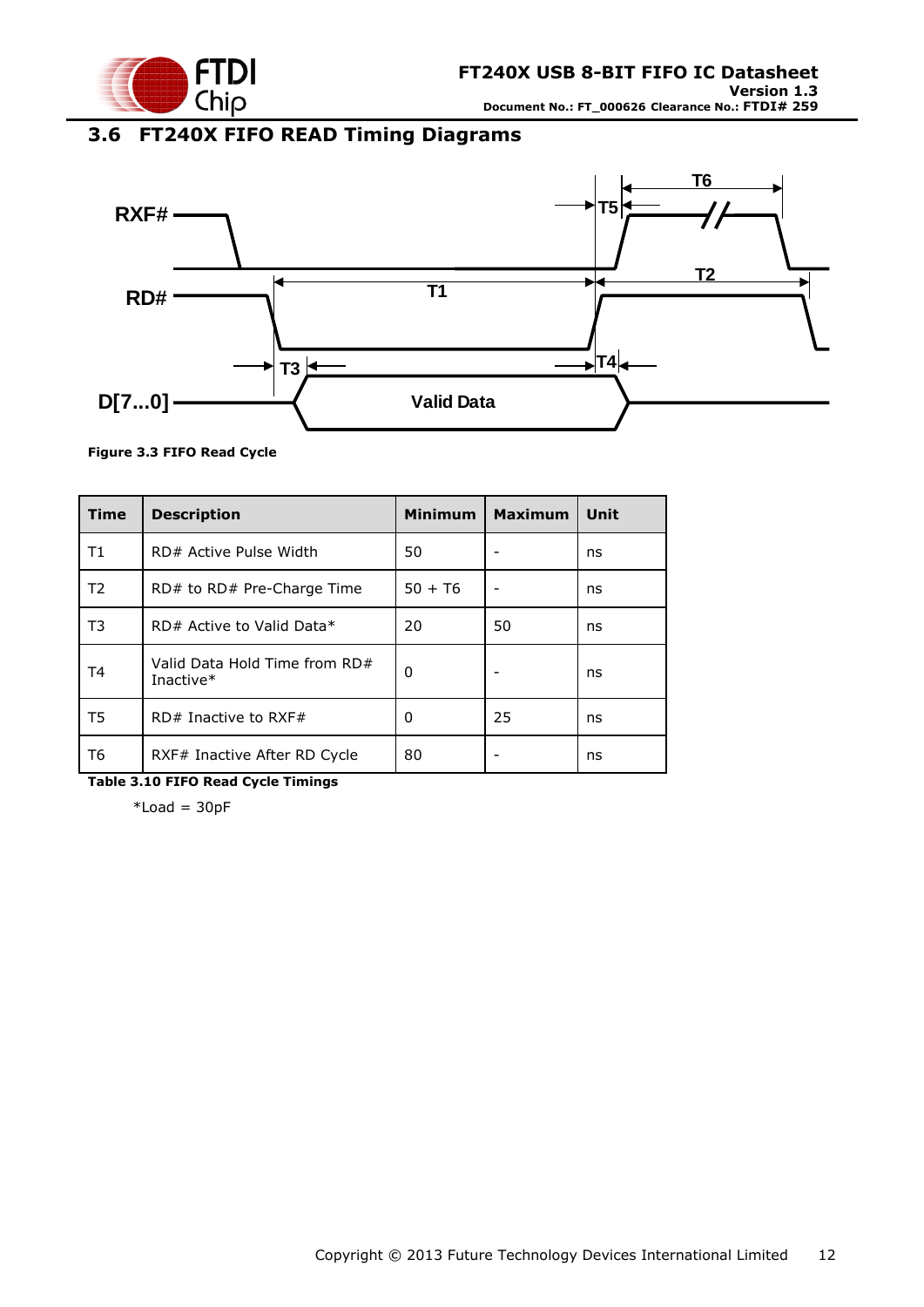

# <span id="page-11-0"></span>**3.6 FT240X FIFO READ Timing Diagrams**



#### <span id="page-11-1"></span>**Figure 3.3 FIFO Read Cycle**

| <b>Time</b>    | <b>Description</b>                         | <b>Minimum</b> | <b>Maximum</b> | Unit |
|----------------|--------------------------------------------|----------------|----------------|------|
| Τ1             | RD# Active Pulse Width                     | 50             |                | ns   |
| T <sub>2</sub> | $RD#$ to $RD#$ Pre-Charge Time             | $50 + 76$      |                | ns   |
| T3             | RD# Active to Valid Data*                  | 20             | 50             | ns   |
| T4             | Valid Data Hold Time from RD#<br>Inactive* | 0              |                | ns   |
| T5             | $RD#$ Inactive to RXF#                     | 0              | 25             | ns   |
| Т6             | RXF# Inactive After RD Cycle               | 80             |                | ns   |

<span id="page-11-2"></span>**Table 3.10 FIFO Read Cycle Timings**

 $*$ Load = 30pF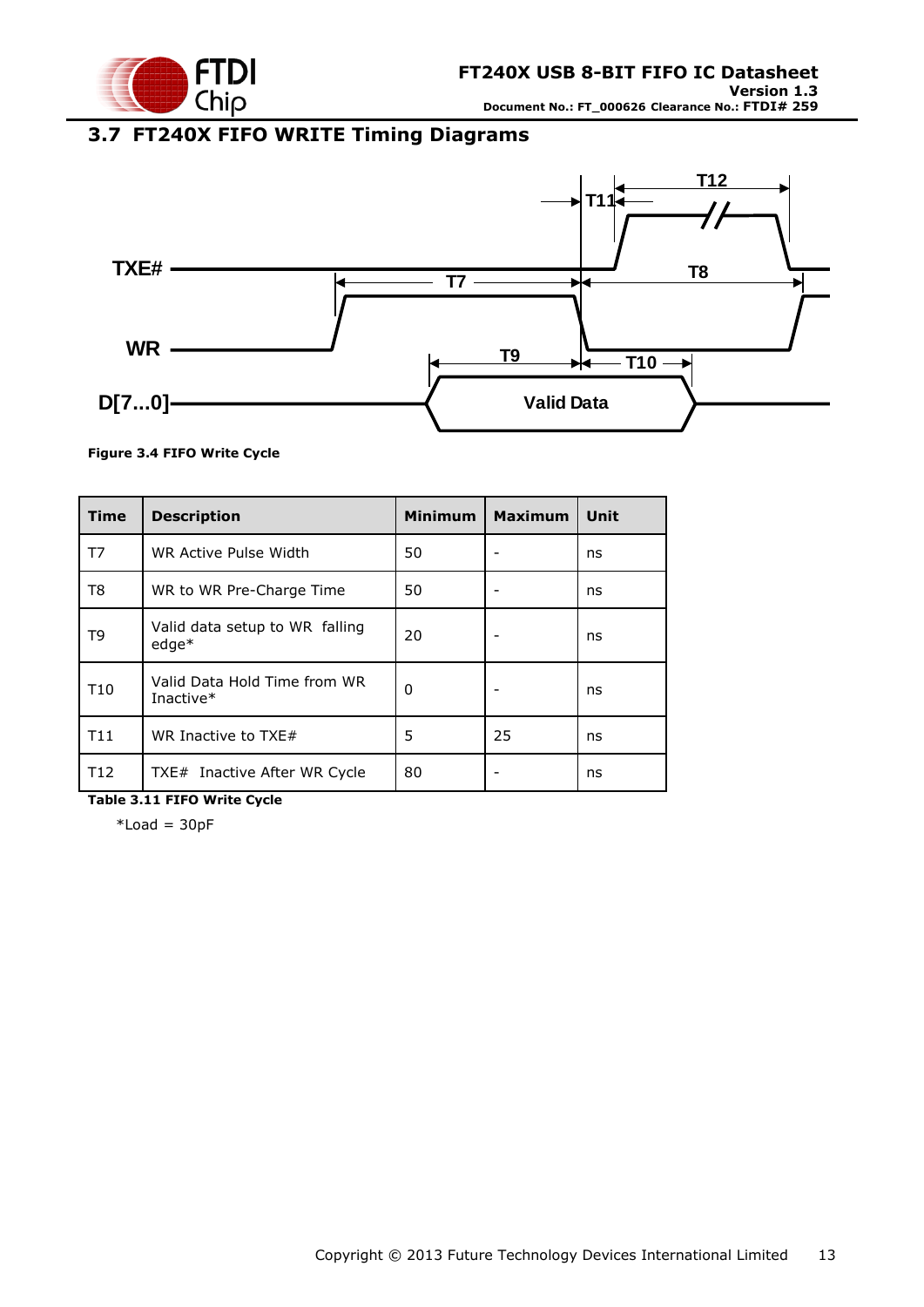

# <span id="page-12-0"></span>**3.7 FT240X FIFO WRITE Timing Diagrams**



#### <span id="page-12-1"></span>**Figure 3.4 FIFO Write Cycle**

| <b>Time</b>     | <b>Description</b>                        | <b>Minimum</b> | <b>Maximum</b> | Unit |
|-----------------|-------------------------------------------|----------------|----------------|------|
| T7              | WR Active Pulse Width                     | 50             |                | ns   |
| T8              | WR to WR Pre-Charge Time                  | 50             |                | ns   |
| T9              | Valid data setup to WR falling<br>$edge*$ | 20             |                | ns   |
| T <sub>10</sub> | Valid Data Hold Time from WR<br>Inactive* | 0              |                | ns   |
| T11             | WR Inactive to $TXE#$                     | 5              | 25             | ns   |
| T <sub>12</sub> | TXE# Inactive After WR Cycle              | 80             |                | ns   |

<span id="page-12-2"></span>**Table 3.11 FIFO Write Cycle**

 $*$ Load = 30pF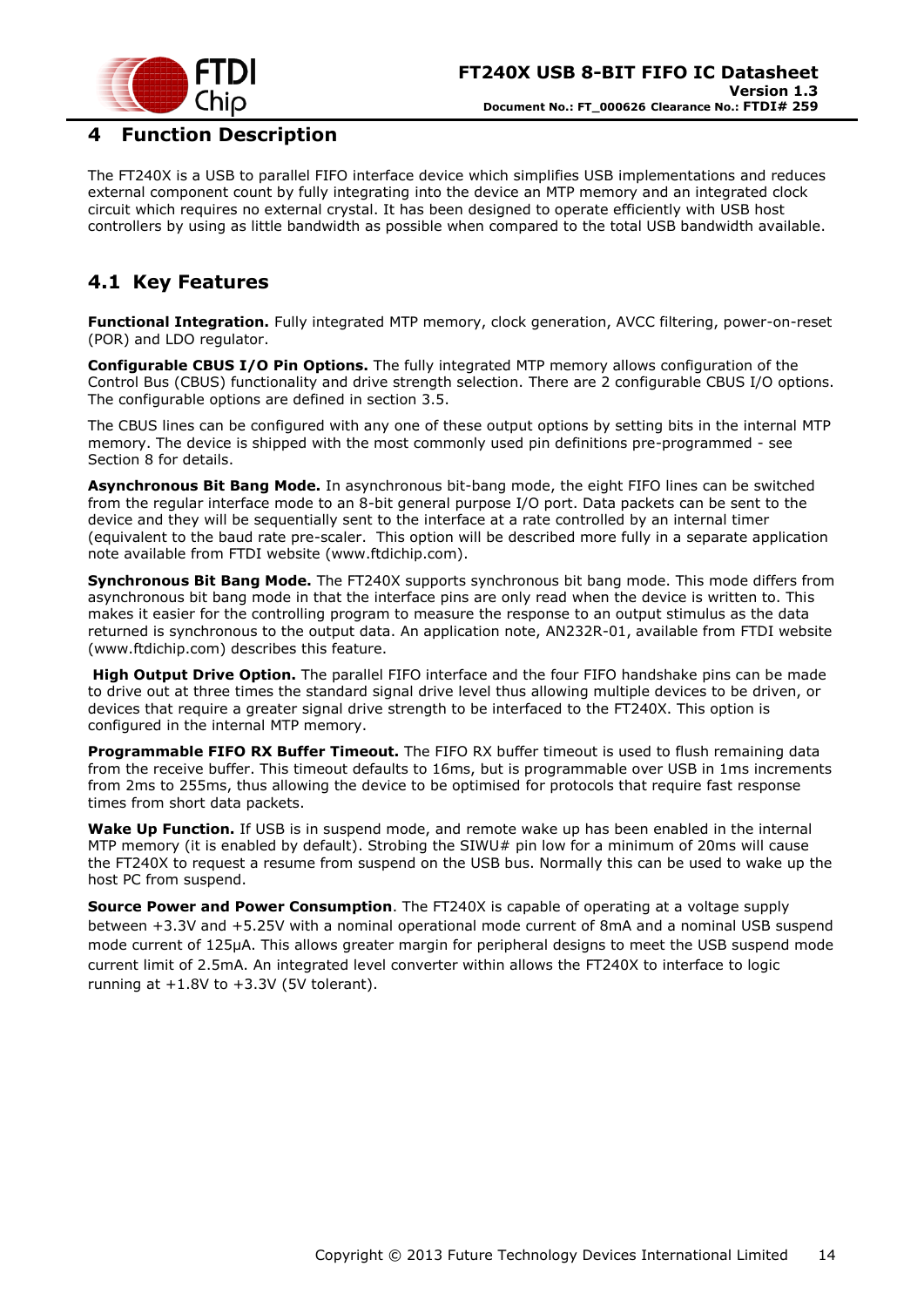

### <span id="page-13-0"></span>**4 Function Description**

The FT240X is a USB to parallel FIFO interface device which simplifies USB implementations and reduces external component count by fully integrating into the device an MTP memory and an integrated clock circuit which requires no external crystal. It has been designed to operate efficiently with USB host controllers by using as little bandwidth as possible when compared to the total USB bandwidth available.

# <span id="page-13-1"></span>**4.1 Key Features**

**Functional Integration.** Fully integrated MTP memory, clock generation, AVCC filtering, power-on-reset (POR) and LDO regulator.

**Configurable CBUS I/O Pin Options.** The fully integrated MTP memory allows configuration of the Control Bus (CBUS) functionality and drive strength selection. There are 2 configurable CBUS I/O options. The configurable options are defined in section 3.5.

The CBUS lines can be configured with any one of these output options by setting bits in the internal MTP memory. The device is shipped with the most commonly used pin definitions pre-programmed - see Section [8](#page-27-0) for details.

**Asynchronous Bit Bang Mode.** In asynchronous bit-bang mode, the eight FIFO lines can be switched from the regular interface mode to an 8-bit general purpose I/O port. Data packets can be sent to the device and they will be sequentially sent to the interface at a rate controlled by an internal timer (equivalent to the baud rate pre-scaler. This option will be described more fully in a separate application note available from [FTDI website](http://www.ftdichip.com/) [\(www.ftdichip.com\)](http://www.ftdichip.com/).

**Synchronous Bit Bang Mode.** The FT240X supports synchronous bit bang mode. This mode differs from asynchronous bit bang mode in that the interface pins are only read when the device is written to. This makes it easier for the controlling program to measure the response to an output stimulus as the data returned is synchronous to the output data. An application note, [AN232R-01,](http://ftdichip.com/Documents/AppNotes/AN232R-01_FT232RBitBangModes.pdf) available from [FTDI website](http://www.ftdichip.com/) [\(www.ftdichip.com\)](http://www.ftdichip.com/) describes this feature.

**High Output Drive Option.** The parallel FIFO interface and the four FIFO handshake pins can be made to drive out at three times the standard signal drive level thus allowing multiple devices to be driven, or devices that require a greater signal drive strength to be interfaced to the FT240X. This option is configured in the internal MTP memory.

**Programmable FIFO RX Buffer Timeout.** The FIFO RX buffer timeout is used to flush remaining data from the receive buffer. This timeout defaults to 16ms, but is programmable over USB in 1ms increments from 2ms to 255ms, thus allowing the device to be optimised for protocols that require fast response times from short data packets.

**Wake Up Function.** If USB is in suspend mode, and remote wake up has been enabled in the internal MTP memory (it is enabled by default). Strobing the SIWU# pin low for a minimum of 20ms will cause the FT240X to request a resume from suspend on the USB bus. Normally this can be used to wake up the host PC from suspend.

**Source Power and Power Consumption**. The FT240X is capable of operating at a voltage supply between +3.3V and +5.25V with a nominal operational mode current of 8mA and a nominal USB suspend mode current of 125µA. This allows greater margin for peripheral designs to meet the USB suspend mode current limit of 2.5mA. An integrated level converter within allows the FT240X to interface to logic running at  $+1.8V$  to  $+3.3V$  (5V tolerant).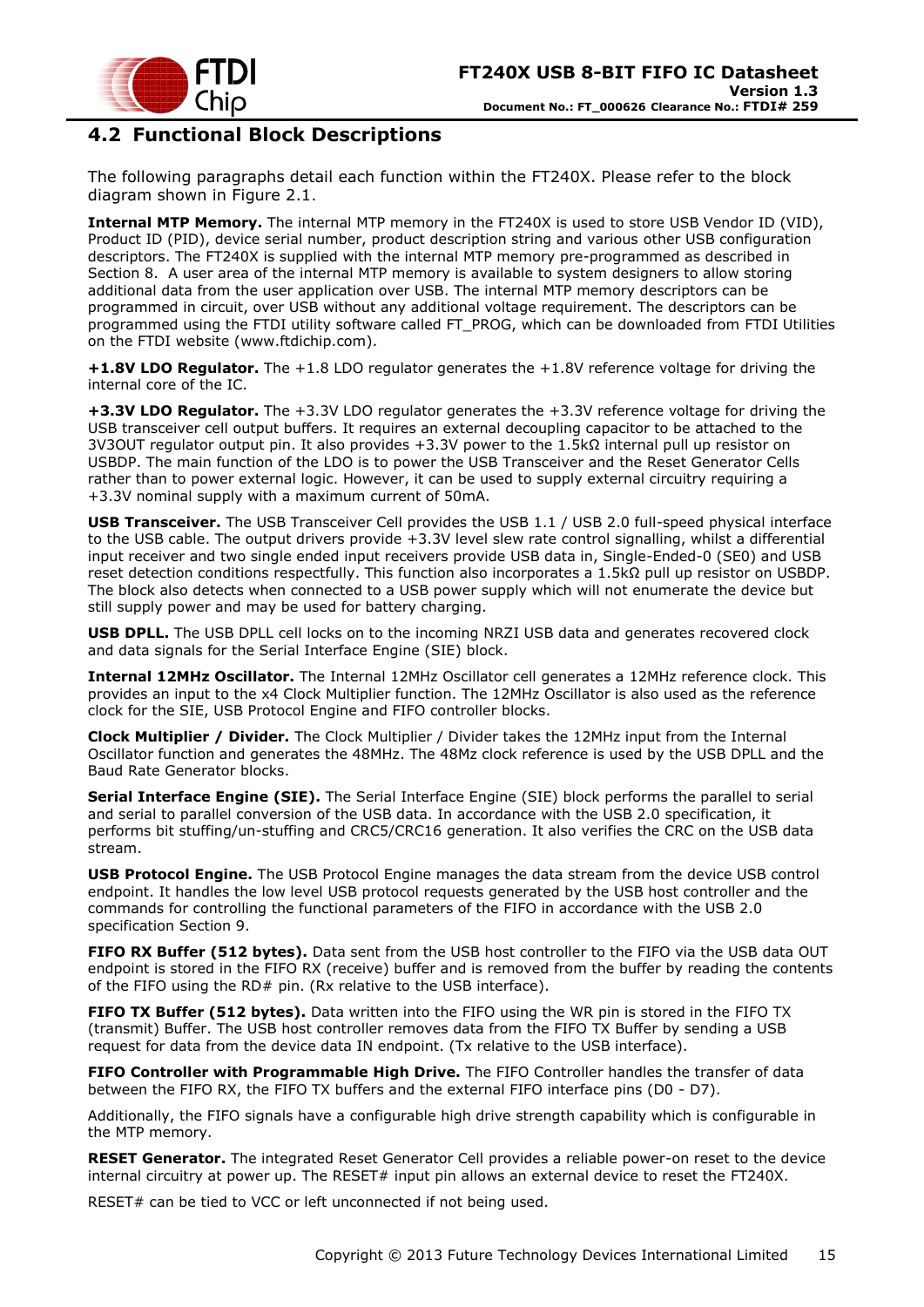

### <span id="page-14-0"></span>**4.2 Functional Block Descriptions**

The following paragraphs detail each function within the FT240X. Please refer to the block diagram shown in [Figure 2.1](#page-3-1).

**Internal MTP Memory.** The internal MTP memory in the FT240X is used to store USB Vendor ID (VID), Product ID (PID), device serial number, product description string and various other USB configuration descriptors. The FT240X is supplied with the internal MTP memory pre-programmed as described in Section [8.](#page-27-0) A user area of the internal MTP memory is available to system designers to allow storing additional data from the user application over USB. The internal MTP memory descriptors can be programmed in circuit, over USB without any additional voltage requirement. The descriptors can be programmed using the FTDI utility software called FT\_PROG, which can be downloaded from [FTDI Utilities](http://ftdichip.com/Resources/Utilities.htm) on the [FTDI website](http://www.ftdichip.com/) [\(www.ftdichip.com\)](http://www.ftdichip.com/).

**+1.8V LDO Regulator.** The +1.8 LDO regulator generates the +1.8V reference voltage for driving the internal core of the IC.

**+3.3V LDO Regulator.** The +3.3V LDO regulator generates the +3.3V reference voltage for driving the USB transceiver cell output buffers. It requires an external decoupling capacitor to be attached to the 3V3OUT regulator output pin. It also provides +3.3V power to the 1.5kΩ internal pull up resistor on USBDP. The main function of the LDO is to power the USB Transceiver and the Reset Generator Cells rather than to power external logic. However, it can be used to supply external circuitry requiring a +3.3V nominal supply with a maximum current of 50mA.

**USB Transceiver.** The USB Transceiver Cell provides the USB 1.1 / USB 2.0 full-speed physical interface to the USB cable. The output drivers provide +3.3V level slew rate control signalling, whilst a differential input receiver and two single ended input receivers provide USB data in, Single-Ended-0 (SE0) and USB reset detection conditions respectfully. This function also incorporates a 1.5kΩ pull up resistor on USBDP. The block also detects when connected to a USB power supply which will not enumerate the device but still supply power and may be used for battery charging.

**USB DPLL.** The USB DPLL cell locks on to the incoming NRZI USB data and generates recovered clock and data signals for the Serial Interface Engine (SIE) block.

**Internal 12MHz Oscillator.** The Internal 12MHz Oscillator cell generates a 12MHz reference clock. This provides an input to the x4 Clock Multiplier function. The 12MHz Oscillator is also used as the reference clock for the SIE, USB Protocol Engine and FIFO controller blocks.

**Clock Multiplier / Divider.** The Clock Multiplier / Divider takes the 12MHz input from the Internal Oscillator function and generates the 48MHz. The 48Mz clock reference is used by the USB DPLL and the Baud Rate Generator blocks.

**Serial Interface Engine (SIE).** The Serial Interface Engine (SIE) block performs the parallel to serial and serial to parallel conversion of the USB data. In accordance with the USB 2.0 specification, it performs bit stuffing/un-stuffing and CRC5/CRC16 generation. It also verifies the CRC on the USB data stream.

**USB Protocol Engine.** The USB Protocol Engine manages the data stream from the device USB control endpoint. It handles the low level USB protocol requests generated by the USB host controller and the commands for controlling the functional parameters of the FIFO in accordance with the USB 2.0 specification Section [9.](#page-30-0)

**FIFO RX Buffer (512 bytes).** Data sent from the USB host controller to the FIFO via the USB data OUT endpoint is stored in the FIFO RX (receive) buffer and is removed from the buffer by reading the contents of the FIFO using the RD# pin. (Rx relative to the USB interface).

**FIFO TX Buffer (512 bytes).** Data written into the FIFO using the WR pin is stored in the FIFO TX (transmit) Buffer. The USB host controller removes data from the FIFO TX Buffer by sending a USB request for data from the device data IN endpoint. (Tx relative to the USB interface).

**FIFO Controller with Programmable High Drive.** The FIFO Controller handles the transfer of data between the FIFO RX, the FIFO TX buffers and the external FIFO interface pins (D0 - D7).

Additionally, the FIFO signals have a configurable high drive strength capability which is configurable in the MTP memory.

**RESET Generator.** The integrated Reset Generator Cell provides a reliable power-on reset to the device internal circuitry at power up. The RESET# input pin allows an external device to reset the FT240X.

RESET# can be tied to VCC or left unconnected if not being used.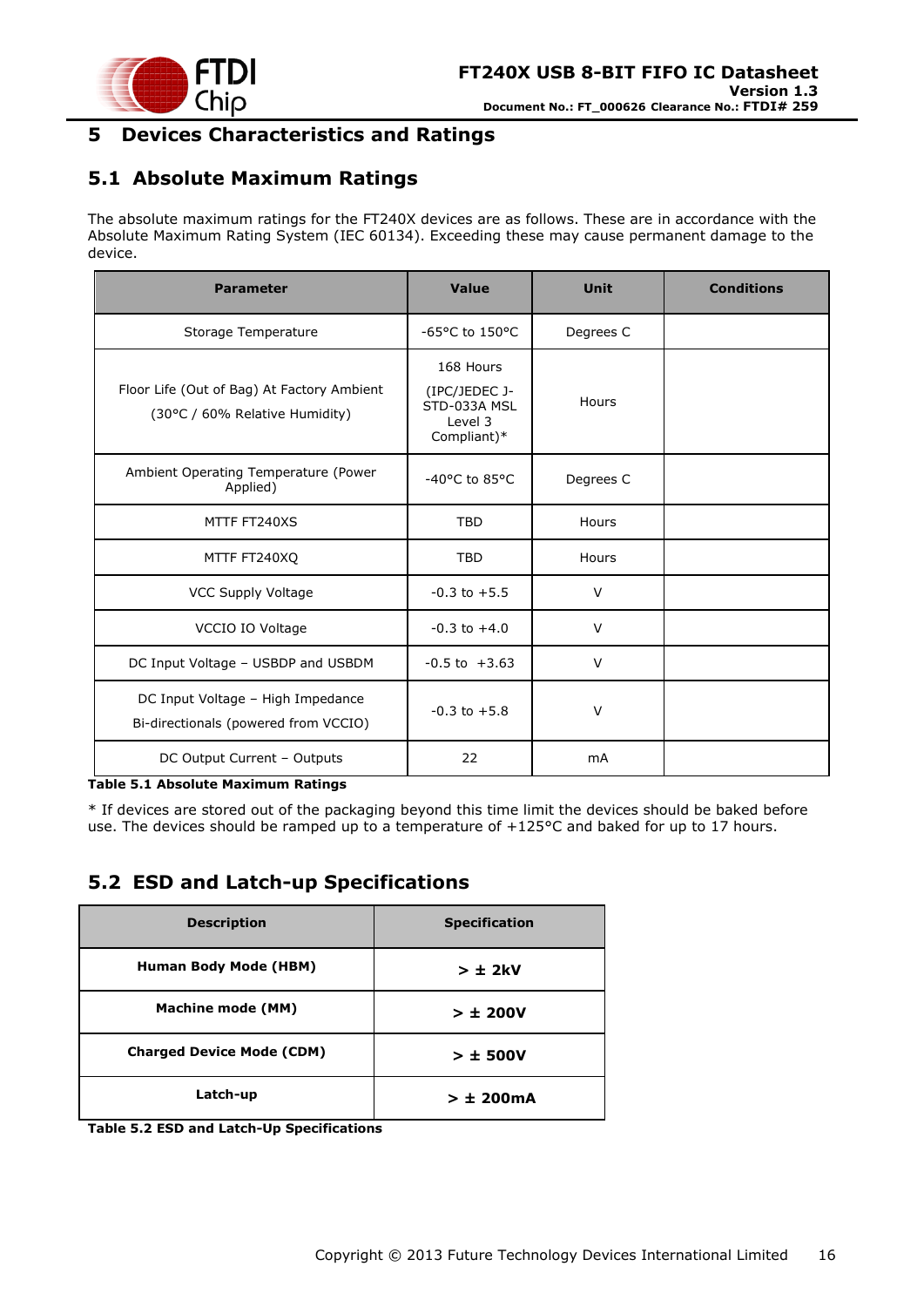

### <span id="page-15-0"></span>**5 Devices Characteristics and Ratings**

## <span id="page-15-1"></span>**5.1 Absolute Maximum Ratings**

The absolute maximum ratings for the FT240X devices are as follows. These are in accordance with the Absolute Maximum Rating System (IEC 60134). Exceeding these may cause permanent damage to the device.

| <b>Parameter</b>                                                             | Value                                                                | <b>Unit</b> | <b>Conditions</b> |
|------------------------------------------------------------------------------|----------------------------------------------------------------------|-------------|-------------------|
| Storage Temperature                                                          | $-65$ °C to 150°C                                                    | Degrees C   |                   |
| Floor Life (Out of Bag) At Factory Ambient<br>(30°C / 60% Relative Humidity) | 168 Hours<br>(IPC/JEDEC J-<br>STD-033A MSL<br>Level 3<br>Compliant)* | Hours       |                   |
| Ambient Operating Temperature (Power<br>Applied)                             | -40°C to 85°C                                                        | Degrees C   |                   |
| MTTF FT240XS                                                                 | <b>TBD</b>                                                           | Hours       |                   |
| MTTF FT240XQ                                                                 | <b>TBD</b>                                                           | Hours       |                   |
| VCC Supply Voltage                                                           | $-0.3$ to $+5.5$                                                     | $\vee$      |                   |
| VCCIO IO Voltage                                                             | $-0.3$ to $+4.0$                                                     | $\vee$      |                   |
| DC Input Voltage - USBDP and USBDM                                           | $-0.5$ to $+3.63$                                                    | V           |                   |
| DC Input Voltage - High Impedance<br>Bi-directionals (powered from VCCIO)    | $-0.3$ to $+5.8$                                                     | $\vee$      |                   |
| DC Output Current - Outputs                                                  | 22                                                                   | <b>mA</b>   |                   |

#### <span id="page-15-3"></span>**Table 5.1 Absolute Maximum Ratings**

\* If devices are stored out of the packaging beyond this time limit the devices should be baked before use. The devices should be ramped up to a temperature of +125°C and baked for up to 17 hours.

### <span id="page-15-2"></span>**5.2 ESD and Latch-up Specifications**

| <b>Description</b>               | <b>Specification</b> |
|----------------------------------|----------------------|
| <b>Human Body Mode (HBM)</b>     | $> \pm 2kV$          |
| <b>Machine mode (MM)</b>         | > 1200V              |
| <b>Charged Device Mode (CDM)</b> | $> \pm 500V$         |
| Latch-up                         | $> \pm 200$ mA       |

<span id="page-15-4"></span>**Table 5.2 ESD and Latch-Up Specifications**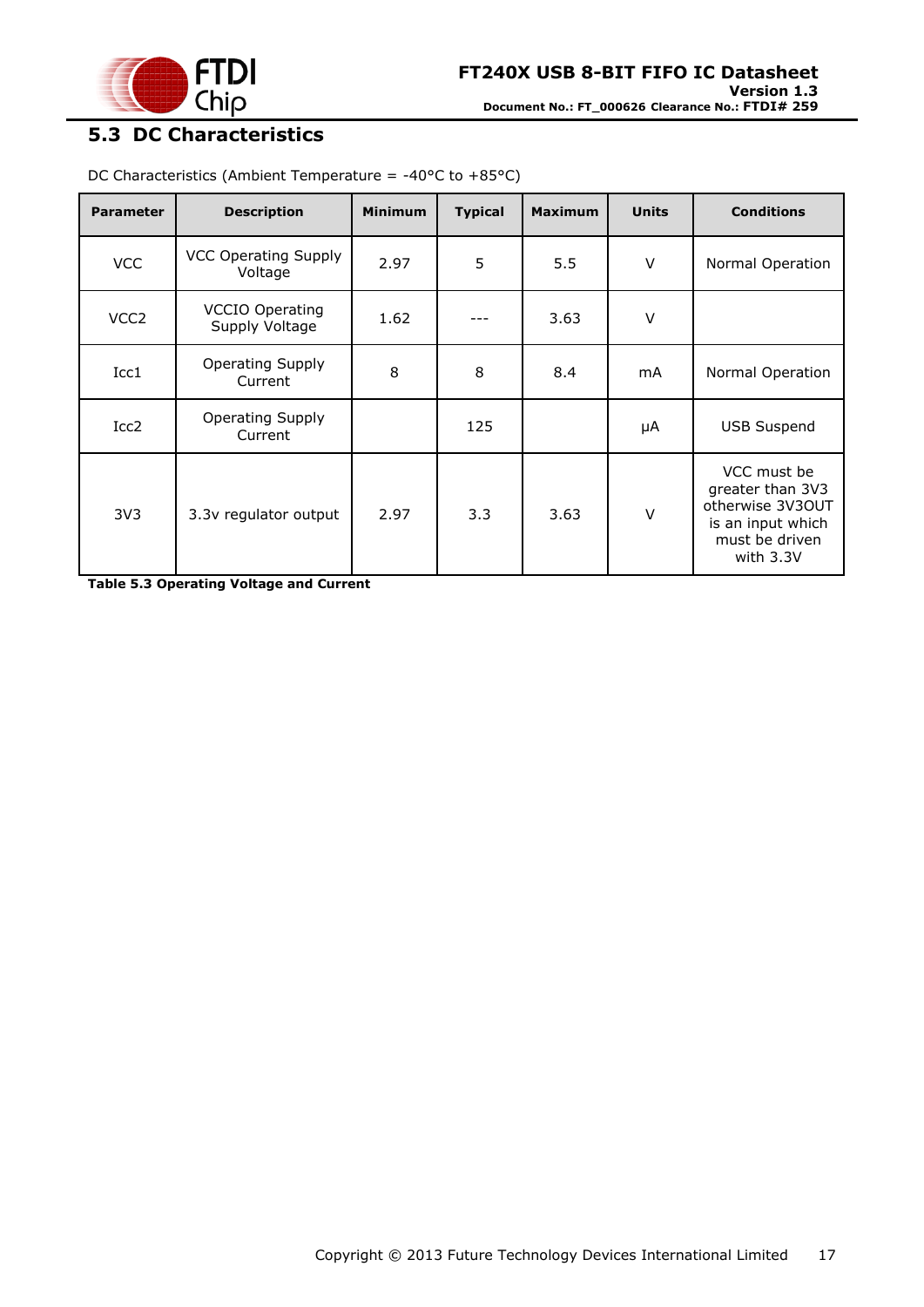

# <span id="page-16-0"></span>**5.3 DC Characteristics**

| <b>Parameter</b> | <b>Description</b>                       | <b>Minimum</b> | <b>Typical</b> | <b>Maximum</b> | <b>Units</b> | <b>Conditions</b>                                                                                       |
|------------------|------------------------------------------|----------------|----------------|----------------|--------------|---------------------------------------------------------------------------------------------------------|
| <b>VCC</b>       | <b>VCC Operating Supply</b><br>Voltage   | 2.97           | 5              | 5.5            | $\vee$       | Normal Operation                                                                                        |
| VCC <sub>2</sub> | <b>VCCIO Operating</b><br>Supply Voltage | 1.62           |                | 3.63           | $\vee$       |                                                                                                         |
| Icc1             | <b>Operating Supply</b><br>Current       | 8              | 8              | 8.4            | mA           | Normal Operation                                                                                        |
| Icc <sub>2</sub> | <b>Operating Supply</b><br>Current       |                | 125            |                | μA           | <b>USB Suspend</b>                                                                                      |
| 3V <sub>3</sub>  | 3.3v regulator output                    | 2.97           | 3.3            | 3.63           | $\vee$       | VCC must be<br>greater than 3V3<br>otherwise 3V3OUT<br>is an input which<br>must be driven<br>with 3.3V |

DC Characteristics (Ambient Temperature = -40°C to +85°C)

<span id="page-16-1"></span>**Table 5.3 Operating Voltage and Current**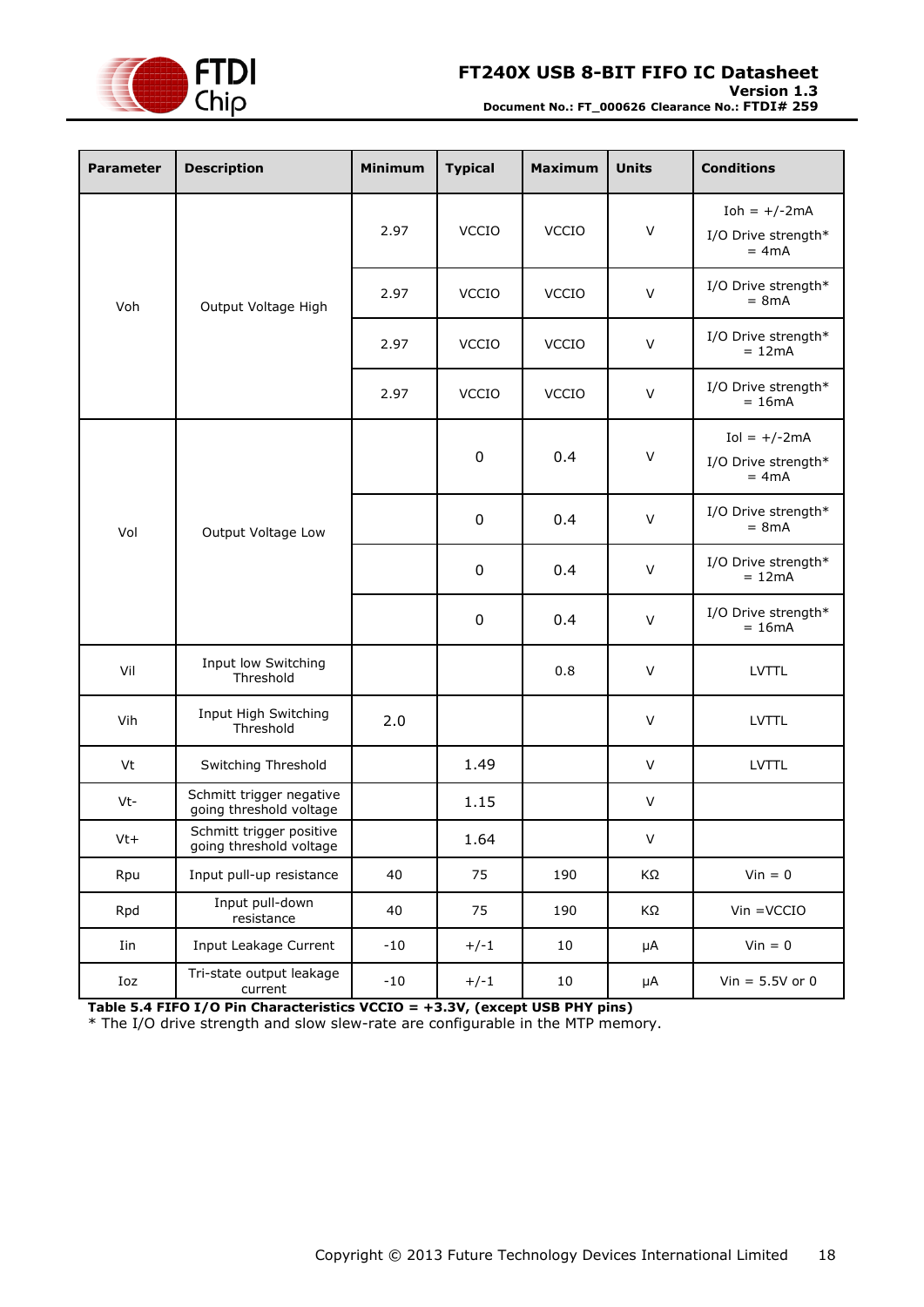

#### **Version 1.3**

**Document No.: FT\_000626 Clearance No.: FTDI# 259**

| <b>Parameter</b> | <b>Description</b>                                  | <b>Minimum</b> | <b>Typical</b>   | <b>Maximum</b> | <b>Units</b> | <b>Conditions</b>                                |
|------------------|-----------------------------------------------------|----------------|------------------|----------------|--------------|--------------------------------------------------|
|                  |                                                     | 2.97           | <b>VCCIO</b>     | VCCIO          | $\vee$       | $Ioh = +/-2mA$<br>I/O Drive strength*<br>$= 4mA$ |
| Voh              | Output Voltage High                                 | 2.97           | <b>VCCIO</b>     | <b>VCCIO</b>   | $\vee$       | I/O Drive strength*<br>$= 8mA$                   |
|                  |                                                     | 2.97           | <b>VCCIO</b>     | <b>VCCIO</b>   | $\vee$       | I/O Drive strength*<br>$= 12mA$                  |
|                  |                                                     | 2.97           | <b>VCCIO</b>     | <b>VCCIO</b>   | $\vee$       | I/O Drive strength*<br>$= 16mA$                  |
|                  | Vol<br>Output Voltage Low                           |                | $\boldsymbol{0}$ | 0.4            | $\vee$       | $Iol = +/-2mA$<br>I/O Drive strength*<br>$= 4mA$ |
|                  |                                                     |                | $\pmb{0}$        | 0.4            | $\vee$       | I/O Drive strength*<br>$= 8mA$                   |
|                  |                                                     |                | $\boldsymbol{0}$ | 0.4            | $\vee$       | I/O Drive strength*<br>$= 12mA$                  |
|                  |                                                     |                | $\mathbf 0$      | 0.4            | $\vee$       | I/O Drive strength*<br>$= 16mA$                  |
| Vil              | Input low Switching<br>Threshold                    |                |                  | 0.8            | $\vee$       | <b>LVTTL</b>                                     |
| Vih              | Input High Switching<br>Threshold                   | 2.0            |                  |                | $\vee$       | <b>LVTTL</b>                                     |
| Vt               | Switching Threshold                                 |                | 1.49             |                | $\vee$       | <b>LVTTL</b>                                     |
| Vt-              | Schmitt trigger negative<br>going threshold voltage |                | 1.15             |                | V            |                                                  |
| $Vt+$            | Schmitt trigger positive<br>going threshold voltage |                | 1.64             |                | V            |                                                  |
| Rpu              | Input pull-up resistance                            | 40             | 75               | 190            | ΚΩ           | $Vin = 0$                                        |
| Rpd              | Input pull-down<br>resistance                       | 40             | 75               | 190            | KΩ           | $V$ in = $V$ CCIO                                |
| Iin              | Input Leakage Current                               | $-10$          | $+/-1$           | $10\,$         | $\mu A$      | $Vin = 0$                                        |
| Ioz              | Tri-state output leakage<br>current                 | $-10$          | $+/-1$           | 10             | μA           | Vin = $5.5V$ or 0                                |

<span id="page-17-0"></span>**Table 5.4 FIFO I/O Pin Characteristics VCCIO = +3.3V, (except USB PHY pins)**

\* The I/O drive strength and slow slew-rate are configurable in the MTP memory.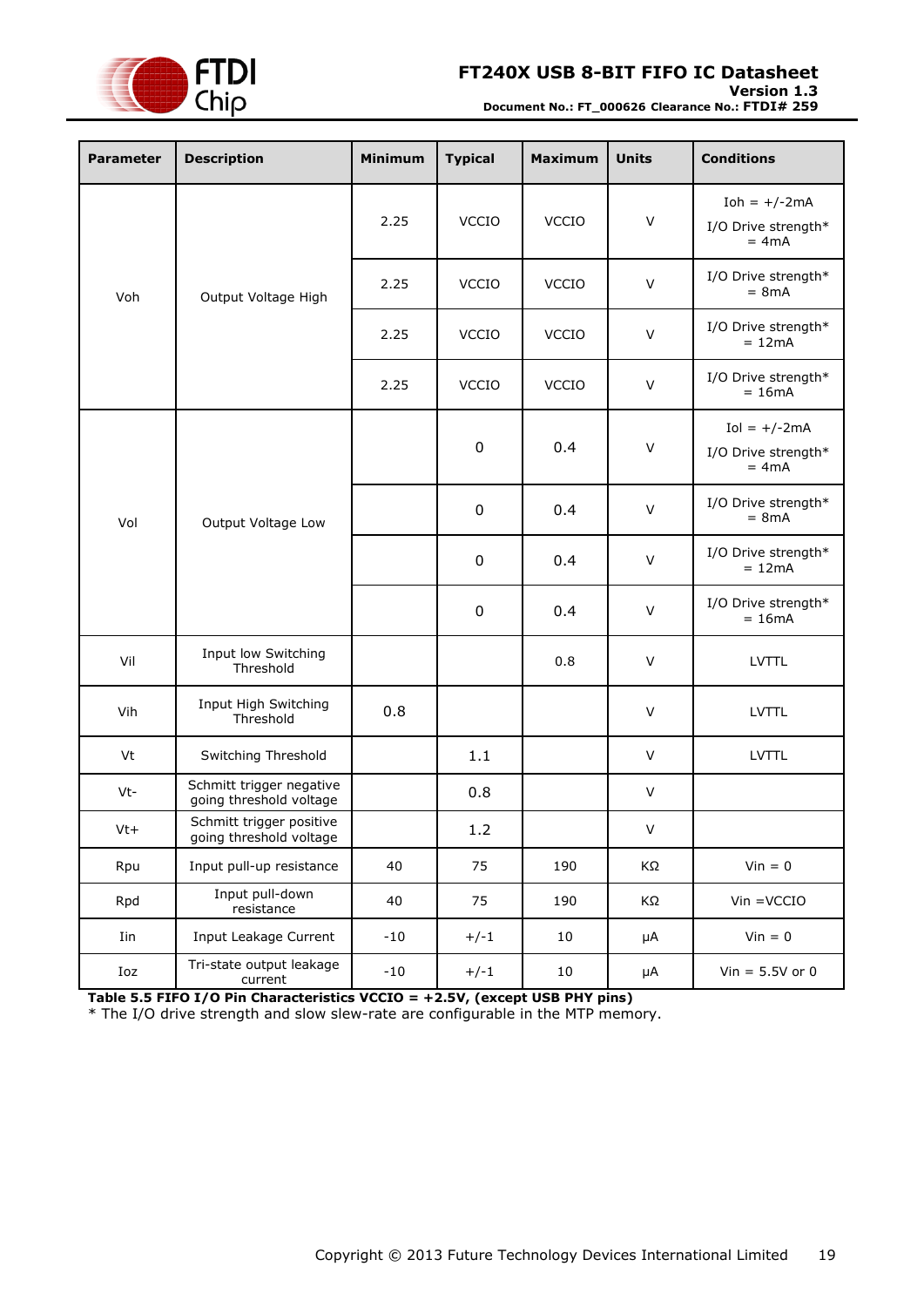

#### **Version 1.3**

**Document No.: FT\_000626 Clearance No.: FTDI# 259**

| <b>Parameter</b> | <b>Description</b>                                  | <b>Minimum</b> | <b>Typical</b>   | <b>Maximum</b> | <b>Units</b> | <b>Conditions</b>                                |
|------------------|-----------------------------------------------------|----------------|------------------|----------------|--------------|--------------------------------------------------|
|                  |                                                     | 2.25           | <b>VCCIO</b>     | <b>VCCIO</b>   | $\vee$       | Ioh = $+/-2mA$<br>I/O Drive strength*<br>$= 4mA$ |
| Voh              | Output Voltage High                                 | 2.25           | <b>VCCIO</b>     | <b>VCCIO</b>   | $\vee$       | I/O Drive strength*<br>$= 8mA$                   |
|                  |                                                     | 2.25           | <b>VCCIO</b>     | <b>VCCIO</b>   | $\vee$       | I/O Drive strength*<br>$= 12mA$                  |
|                  |                                                     | 2.25           | <b>VCCIO</b>     | <b>VCCIO</b>   | $\vee$       | I/O Drive strength*<br>$= 16mA$                  |
|                  | Vol<br>Output Voltage Low                           |                | $\boldsymbol{0}$ | 0.4            | $\vee$       | $Iol = +/-2mA$<br>I/O Drive strength*<br>$= 4mA$ |
|                  |                                                     |                | $\boldsymbol{0}$ | 0.4            | $\vee$       | I/O Drive strength*<br>$= 8mA$                   |
|                  |                                                     |                | $\boldsymbol{0}$ | 0.4            | $\vee$       | I/O Drive strength*<br>$= 12mA$                  |
|                  |                                                     |                | $\boldsymbol{0}$ | 0.4            | $\vee$       | I/O Drive strength*<br>$= 16mA$                  |
| Vil              | Input low Switching<br>Threshold                    |                |                  | 0.8            | $\vee$       | <b>LVTTL</b>                                     |
| Vih              | Input High Switching<br>Threshold                   | 0.8            |                  |                | $\vee$       | <b>LVTTL</b>                                     |
| Vt               | Switching Threshold                                 |                | 1.1              |                | $\vee$       | <b>LVTTL</b>                                     |
| Vt-              | Schmitt trigger negative<br>going threshold voltage |                | 0.8              |                | V            |                                                  |
| $Vt+$            | Schmitt trigger positive<br>going threshold voltage |                | $1.2\,$          |                | V            |                                                  |
| Rpu              | Input pull-up resistance                            | 40             | 75               | 190            | ΚΩ           | $Vin = 0$                                        |
| Rpd              | Input pull-down<br>resistance                       | 40             | 75               | 190            | ΚΩ           | $V$ in = $V$ CCIO                                |
| Iin              | Input Leakage Current                               | $-10$          | $+/-1$           | $10\,$         | $\mu A$      | $Vin = 0$                                        |
| Ioz              | Tri-state output leakage<br>current                 | $-10$          | $+/-1$           | 10             | μA           | Vin = $5.5V$ or 0                                |

<span id="page-18-0"></span>**Table 5.5 FIFO I/O Pin Characteristics VCCIO = +2.5V, (except USB PHY pins)**

\* The I/O drive strength and slow slew-rate are configurable in the MTP memory.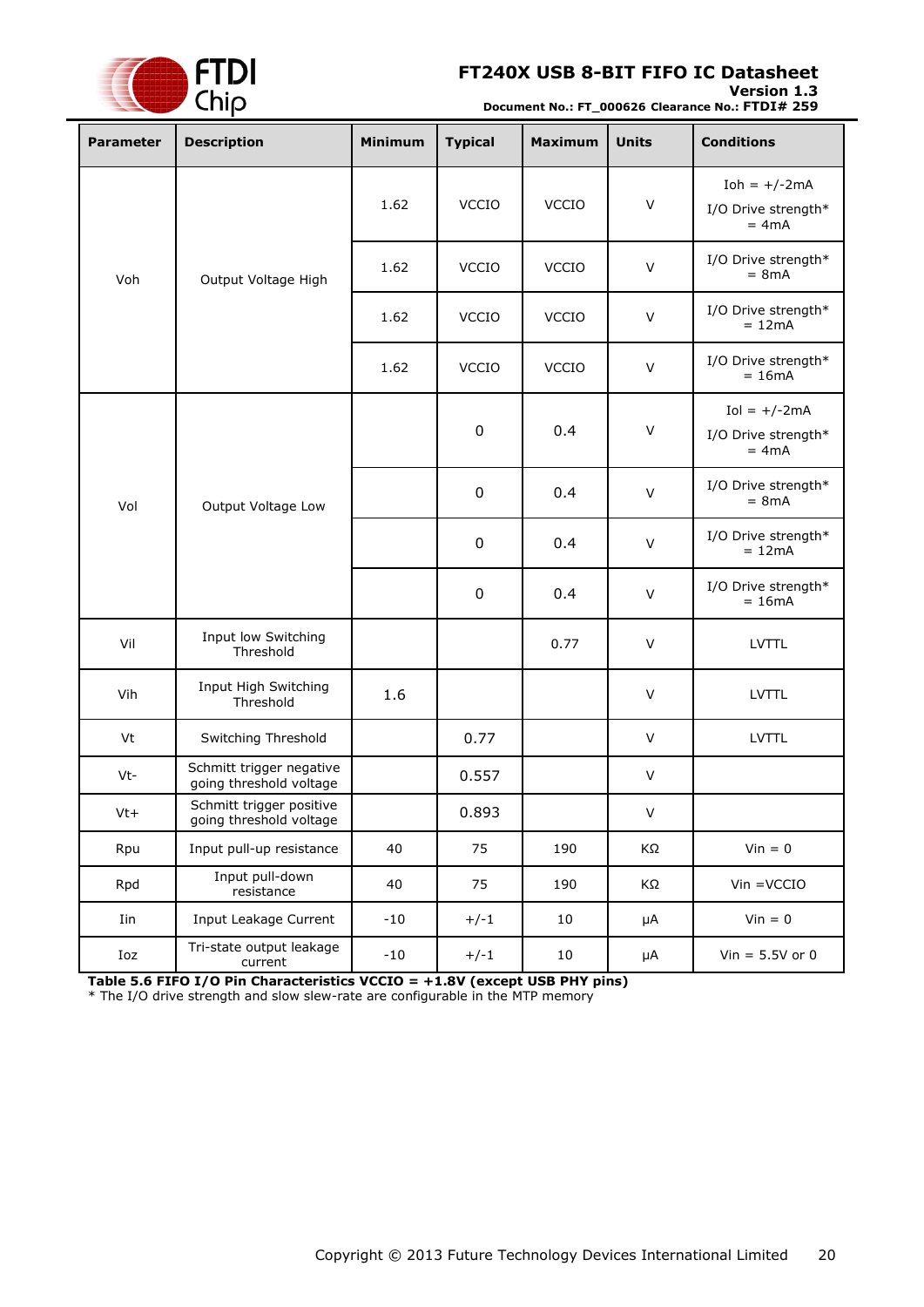

#### **Version 1.3**

**Document No.: FT\_000626 Clearance No.: FTDI# 259**

| <b>Parameter</b> | <b>Description</b>                                  | <b>Minimum</b> | <b>Typical</b>   | <b>Maximum</b> | <b>Units</b> | <b>Conditions</b>                                |
|------------------|-----------------------------------------------------|----------------|------------------|----------------|--------------|--------------------------------------------------|
|                  |                                                     | 1.62           | <b>VCCIO</b>     | <b>VCCIO</b>   | $\vee$       | $Ioh = +/-2mA$<br>I/O Drive strength*<br>$= 4mA$ |
| Voh              | Output Voltage High                                 | 1.62           | <b>VCCIO</b>     | <b>VCCIO</b>   | $\vee$       | I/O Drive strength*<br>$= 8mA$                   |
|                  |                                                     | 1.62           | <b>VCCIO</b>     | <b>VCCIO</b>   | $\vee$       | I/O Drive strength*<br>$= 12mA$                  |
|                  |                                                     | 1.62           | <b>VCCIO</b>     | <b>VCCIO</b>   | $\vee$       | I/O Drive strength*<br>$= 16mA$                  |
|                  | Vol<br>Output Voltage Low                           |                | $\boldsymbol{0}$ | 0.4            | $\vee$       | $Iol = +/-2mA$<br>I/O Drive strength*<br>$= 4mA$ |
|                  |                                                     |                | $\boldsymbol{0}$ | 0.4            | $\vee$       | I/O Drive strength*<br>$= 8mA$                   |
|                  |                                                     |                | $\boldsymbol{0}$ | 0.4            | $\vee$       | I/O Drive strength*<br>$= 12mA$                  |
|                  |                                                     |                | $\boldsymbol{0}$ | 0.4            | $\vee$       | I/O Drive strength*<br>$= 16mA$                  |
| Vil              | Input low Switching<br>Threshold                    |                |                  | 0.77           | $\vee$       | <b>LVTTL</b>                                     |
| Vih              | Input High Switching<br>Threshold                   | 1.6            |                  |                | $\vee$       | <b>LVTTL</b>                                     |
| Vt               | Switching Threshold                                 |                | 0.77             |                | $\vee$       | <b>LVTTL</b>                                     |
| Vt-              | Schmitt trigger negative<br>going threshold voltage |                | 0.557            |                | V            |                                                  |
| Vt+              | Schmitt trigger positive<br>going threshold voltage |                | 0.893            |                | V            |                                                  |
| Rpu              | Input pull-up resistance                            | 40             | 75               | 190            | KΩ           | $Vin = 0$                                        |
| Rpd              | Input pull-down<br>resistance                       | 40             | 75               | 190            | ΚΩ           | $V$ in = $V$ CCIO                                |
| Iin              | Input Leakage Current                               | $-10$          | $+/-1$           | 10             | μA           | $Vin = 0$                                        |
| Ioz              | Tri-state output leakage<br>current                 | $-10$          | $+/-1$           | 10             | μA           | $Vin = 5.5V$ or 0                                |

<span id="page-19-0"></span>**Table 5.6 FIFO I/O Pin Characteristics VCCIO = +1.8V (except USB PHY pins)** \* The I/O drive strength and slow slew-rate are configurable in the MTP memory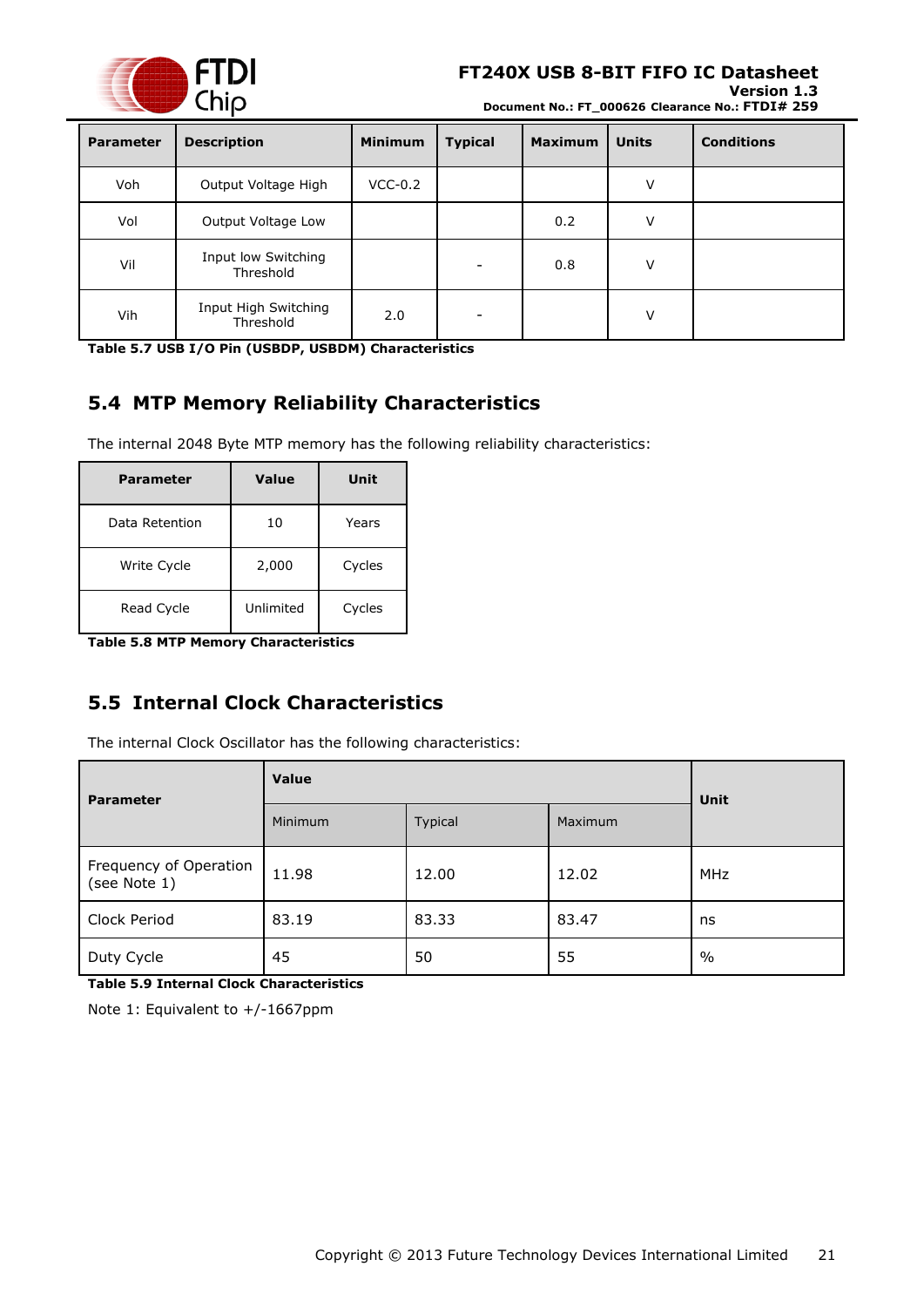

#### **Version 1.3 Document No.: FT\_000626 Clearance No.: FTDI# 259**

| <b>Parameter</b> | <b>Description</b>                | <b>Minimum</b> | <b>Typical</b> | <b>Maximum</b> | <b>Units</b> | <b>Conditions</b> |
|------------------|-----------------------------------|----------------|----------------|----------------|--------------|-------------------|
| Voh              | Output Voltage High               | $VCC-0.2$      |                |                | V            |                   |
| Vol              | Output Voltage Low                |                |                | 0.2            | V            |                   |
| Vil              | Input low Switching<br>Threshold  |                |                | 0.8            | V            |                   |
| Vih              | Input High Switching<br>Threshold | 2.0            |                |                | v            |                   |

<span id="page-20-2"></span>**Table 5.7 USB I/O Pin (USBDP, USBDM) Characteristics**

# <span id="page-20-0"></span>**5.4 MTP Memory Reliability Characteristics**

The internal 2048 Byte MTP memory has the following reliability characteristics:

| Parameter      | Value     | Unit   |
|----------------|-----------|--------|
| Data Retention | 10        | Years  |
| Write Cycle    | 2,000     | Cycles |
| Read Cycle     | Unlimited | Cycles |

<span id="page-20-3"></span>**Table 5.8 MTP Memory Characteristics**

# <span id="page-20-1"></span>**5.5 Internal Clock Characteristics**

The internal Clock Oscillator has the following characteristics:

| <b>Parameter</b>                       | <b>Value</b>   | <b>Unit</b> |         |            |
|----------------------------------------|----------------|-------------|---------|------------|
|                                        | <b>Minimum</b> | Typical     | Maximum |            |
| Frequency of Operation<br>(see Note 1) | 11.98          | 12.00       | 12.02   | <b>MHz</b> |
| Clock Period                           | 83.19          | 83.33       | 83.47   | ns         |
| Duty Cycle                             | 45             | 50          | 55      | $\%$       |

<span id="page-20-4"></span>**Table 5.9 Internal Clock Characteristics**

Note 1: Equivalent to +/-1667ppm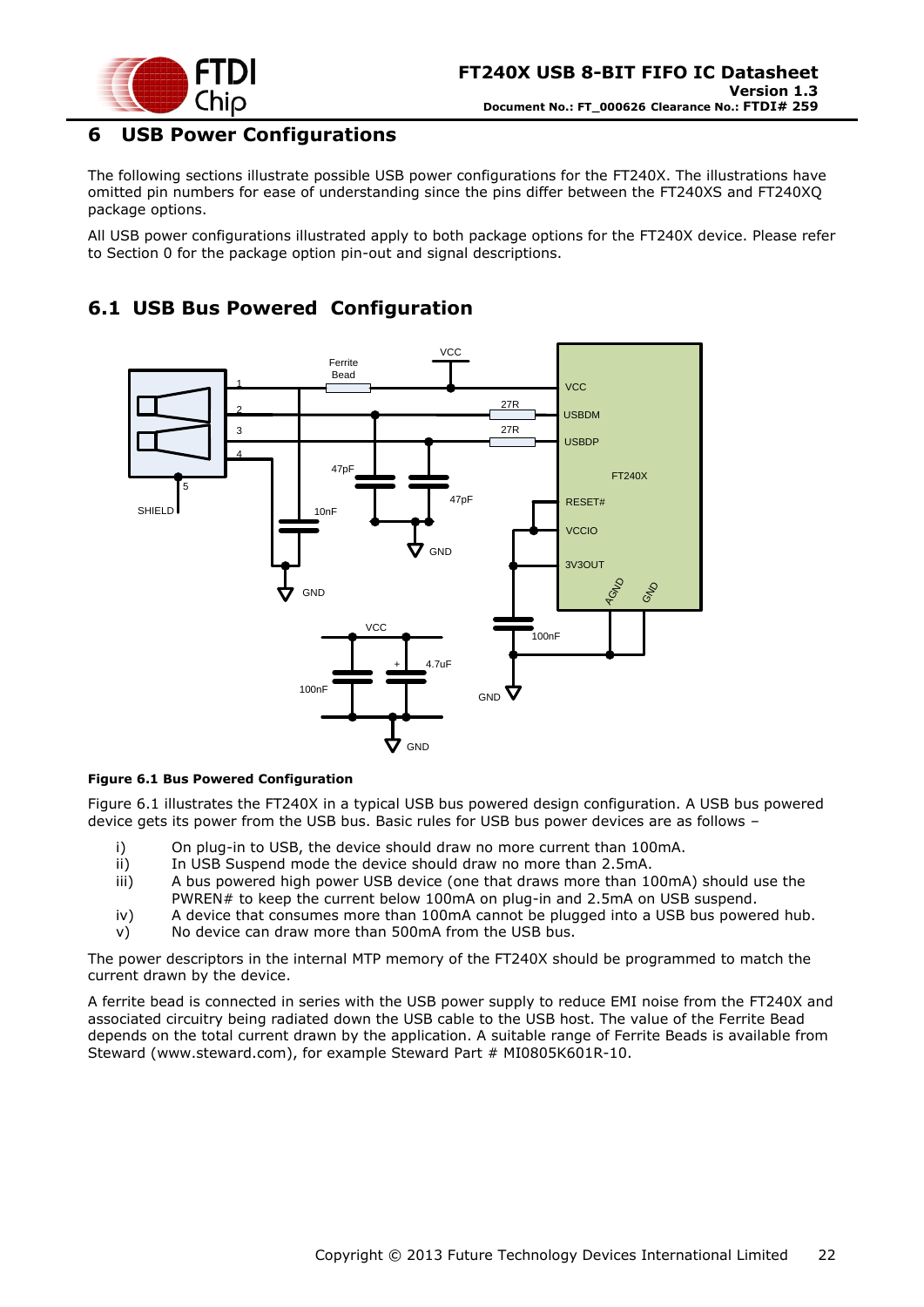

### <span id="page-21-0"></span>**6 USB Power Configurations**

The following sections illustrate possible USB power configurations for the FT240X. The illustrations have omitted pin numbers for ease of understanding since the pins differ between the FT240XS and FT240XQ package options.

All USB power configurations illustrated apply to both package options for the FT240X device. Please refer to Section [0](#page-7-0) for the package option pin-out and signal descriptions.

# <span id="page-21-1"></span>**6.1 USB Bus Powered Configuration**



#### <span id="page-21-2"></span>**Figure 6.1 Bus Powered Configuration**

[Figure 6.1](#page-21-2) illustrates the FT240X in a typical USB bus powered design configuration. A USB bus powered device gets its power from the USB bus. Basic rules for USB bus power devices are as follows –

- i) On plug-in to USB, the device should draw no more current than 100mA.
- ii) In USB Suspend mode the device should draw no more than 2.5mA.
- iii) A bus powered high power USB device (one that draws more than 100mA) should use the PWREN# to keep the current below 100mA on plug-in and 2.5mA on USB suspend.
- iv) A device that consumes more than 100mA cannot be plugged into a USB bus powered hub. v) No device can draw more than 500mA from the USB bus.
- The power descriptors in the internal MTP memory of the FT240X should be programmed to match the

current drawn by the device.

A ferrite bead is connected in series with the USB power supply to reduce EMI noise from the FT240X and associated circuitry being radiated down the USB cable to the USB host. The value of the Ferrite Bead depends on the total current drawn by the application. A suitable range of Ferrite Beads is available from Steward [\(www.steward.com\)](file://glaspssv1/General/Engineering/Engineering%20_Documents/DS_FT245R/DS_FT245R_200/www.steward.com), for example Steward Part # MI0805K601R-10.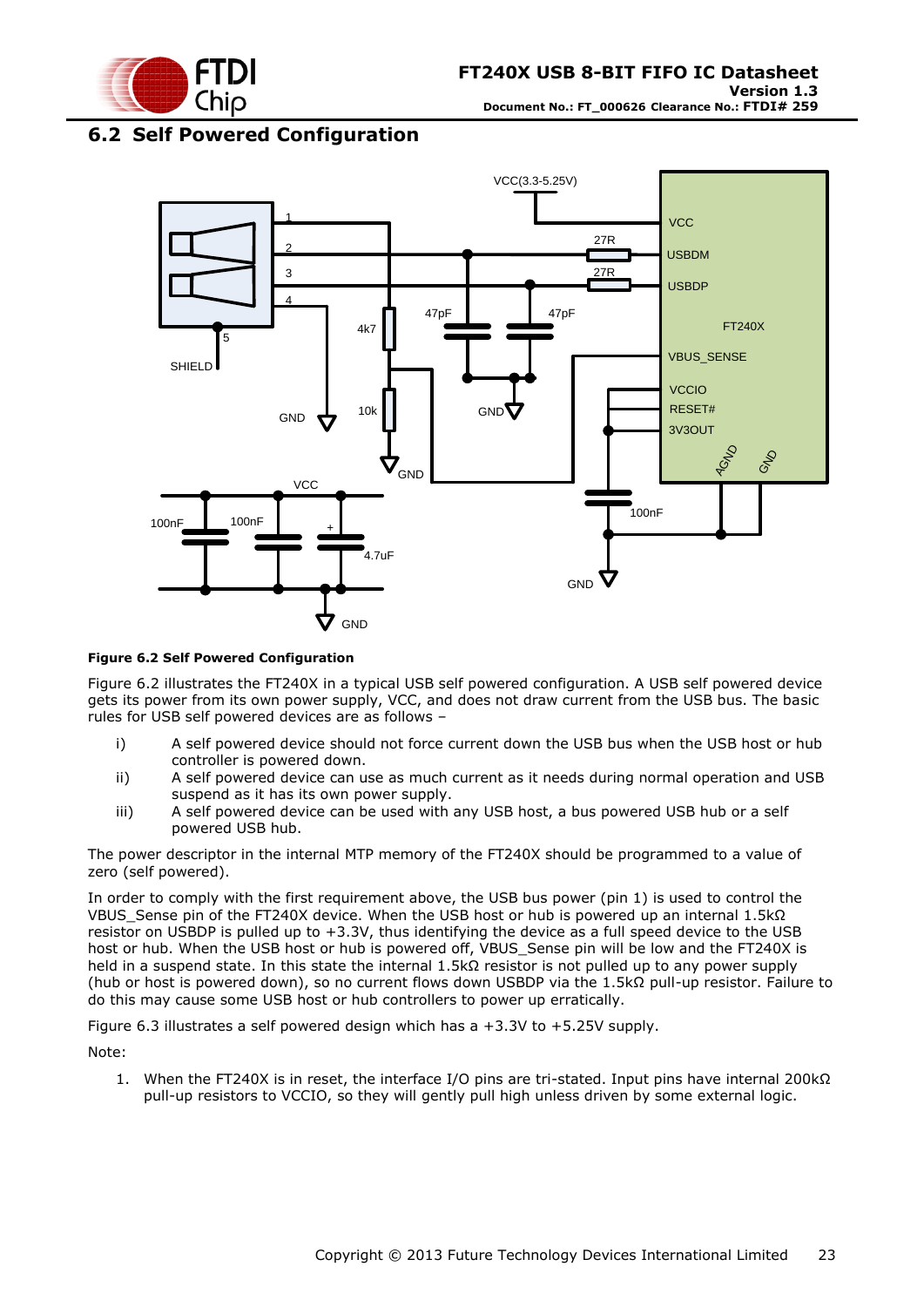

### <span id="page-22-0"></span>**6.2 Self Powered Configuration**



#### <span id="page-22-1"></span>**Figure 6.2 Self Powered Configuration**

[Figure 6.2](#page-22-1) illustrates the FT240X in a typical USB self powered configuration. A USB self powered device gets its power from its own power supply, VCC, and does not draw current from the USB bus. The basic rules for USB self powered devices are as follows –

- i) A self powered device should not force current down the USB bus when the USB host or hub controller is powered down.
- ii) A self powered device can use as much current as it needs during normal operation and USB suspend as it has its own power supply.
- iii) A self powered device can be used with any USB host, a bus powered USB hub or a self powered USB hub.

The power descriptor in the internal MTP memory of the FT240X should be programmed to a value of zero (self powered).

In order to comply with the first requirement above, the USB bus power (pin 1) is used to control the VBUS Sense pin of the FT240X device. When the USB host or hub is powered up an internal 1.5kΩ resistor on USBDP is pulled up to +3.3V, thus identifying the device as a full speed device to the USB host or hub. When the USB host or hub is powered off, VBUS Sense pin will be low and the FT240X is held in a suspend state. In this state the internal 1.5kΩ resistor is not pulled up to any power supply (hub or host is powered down), so no current flows down USBDP via the 1.5kΩ pull-up resistor. Failure to do this may cause some USB host or hub controllers to power up erratically.

<span id="page-22-2"></span>Figure 6.3 illustrates a self powered design which has a +3.3V to +5.25V supply.

Note:

1. When the FT240X is in reset, the interface I/O pins are tri-stated. Input pins have internal 200kΩ pull-up resistors to VCCIO, so they will gently pull high unless driven by some external logic.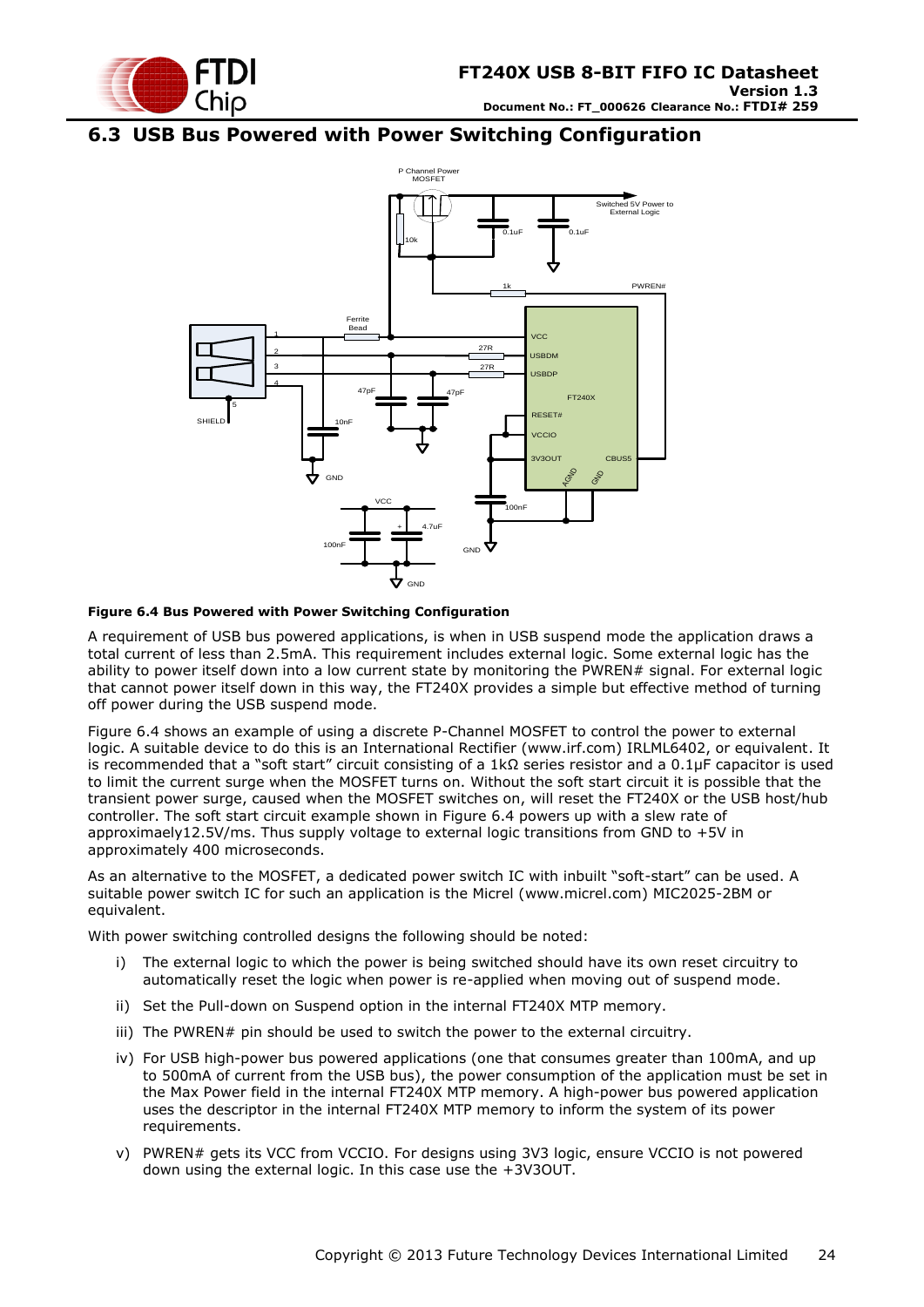![](_page_23_Picture_0.jpeg)

### <span id="page-23-0"></span>**6.3 USB Bus Powered with Power Switching Configuration**

![](_page_23_Figure_3.jpeg)

#### <span id="page-23-1"></span>**Figure 6.4 Bus Powered with Power Switching Configuration**

A requirement of USB bus powered applications, is when in USB suspend mode the application draws a total current of less than 2.5mA. This requirement includes external logic. Some external logic has the ability to power itself down into a low current state by monitoring the PWREN# signal. For external logic that cannot power itself down in this way, the FT240X provides a simple but effective method of turning off power during the USB suspend mode.

[Figure 6.4](#page-23-1) shows an example of using a discrete P-Channel MOSFET to control the power to external logic. A suitable device to do this is an International Rectifier (www.irf.com) IRLML6402, or equivalent. It is recommended that a "soft start" circuit consisting of a 1kΩ series resistor and a 0.1μF capacitor is used to limit the current surge when the MOSFET turns on. Without the soft start circuit it is possible that the transient power surge, caused when the MOSFET switches on, will reset the FT240X or the USB host/hub controller. The soft start circuit example shown in [Figure 6.4](#page-23-1) powers up with a slew rate of approximaely12.5V/ms. Thus supply voltage to external logic transitions from GND to +5V in approximately 400 microseconds.

As an alternative to the MOSFET, a dedicated power switch IC with inbuilt "soft-start" can be used. A suitable power switch IC for such an application is the Micrel [\(www.micrel.com\)](file://glaspssv1/General/Engineering/Engineering%20_Documents/DS_FT245R/DS_FT245R_200/www.micrel.com) MIC2025-2BM or equivalent.

With power switching controlled designs the following should be noted:

- i) The external logic to which the power is being switched should have its own reset circuitry to automatically reset the logic when power is re-applied when moving out of suspend mode.
- ii) Set the Pull-down on Suspend option in the internal FT240X MTP memory.
- iii) The PWREN# pin should be used to switch the power to the external circuitry.
- iv) For USB high-power bus powered applications (one that consumes greater than 100mA, and up to 500mA of current from the USB bus), the power consumption of the application must be set in the Max Power field in the internal FT240X MTP memory. A high-power bus powered application uses the descriptor in the internal FT240X MTP memory to inform the system of its power requirements.
- v) PWREN# gets its VCC from VCCIO. For designs using 3V3 logic, ensure VCCIO is not powered down using the external logic. In this case use the +3V3OUT.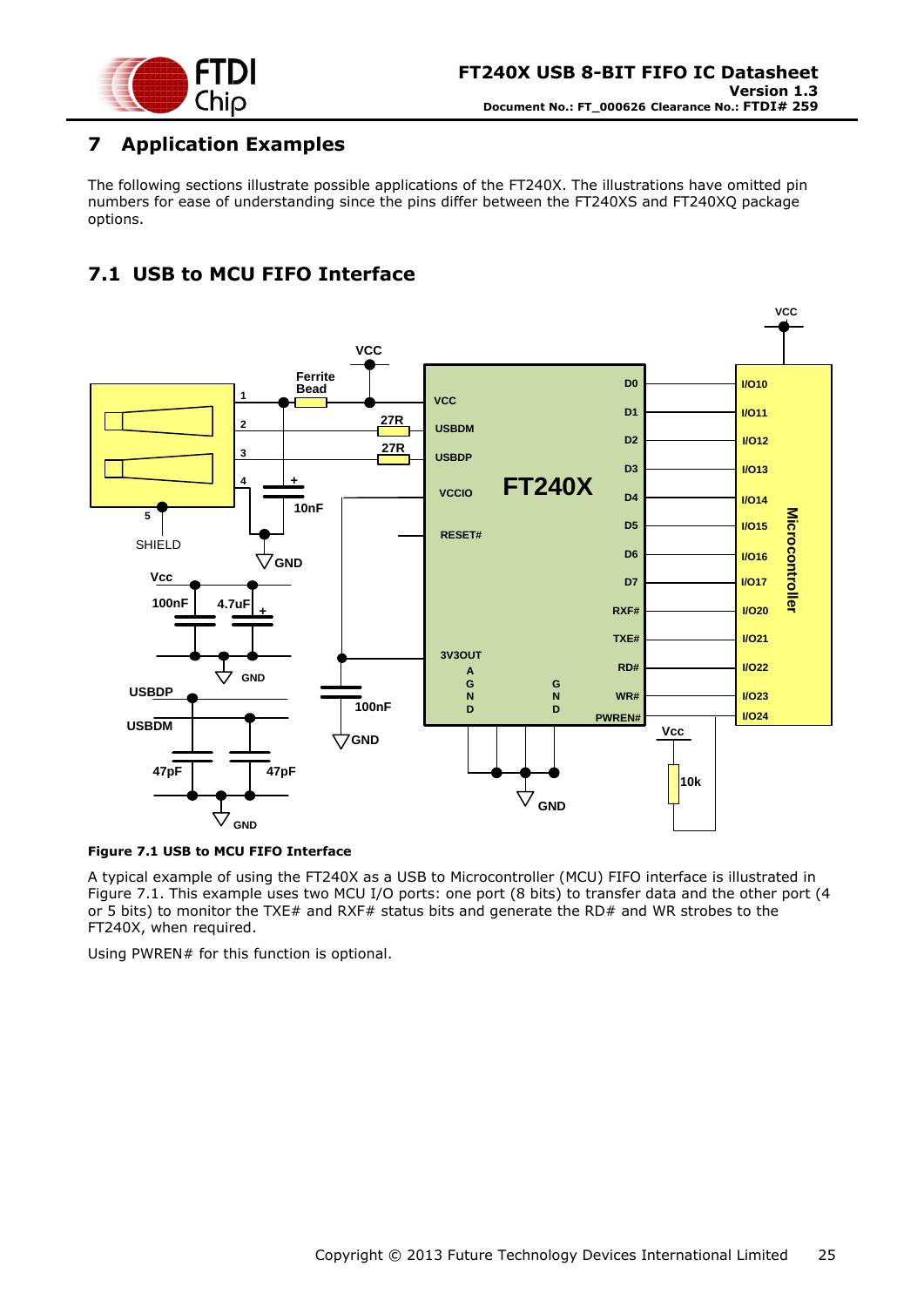![](_page_24_Picture_0.jpeg)

# <span id="page-24-0"></span>**7 Application Examples**

The following sections illustrate possible applications of the FT240X. The illustrations have omitted pin numbers for ease of understanding since the pins differ between the FT240XS and FT240XQ package options.

# <span id="page-24-1"></span>**7.1 USB to MCU FIFO Interface**

![](_page_24_Figure_5.jpeg)

#### <span id="page-24-2"></span>**Figure 7.1 USB to MCU FIFO Interface**

A typical example of using the FT240X as a USB to Microcontroller (MCU) FIFO interface is illustrated in [Figure 7.1.](#page-24-2) This example uses two MCU I/O ports: one port (8 bits) to transfer data and the other port (4 or 5 bits) to monitor the TXE# and RXF# status bits and generate the RD# and WR strobes to the FT240X, when required.

Using PWREN# for this function is optional.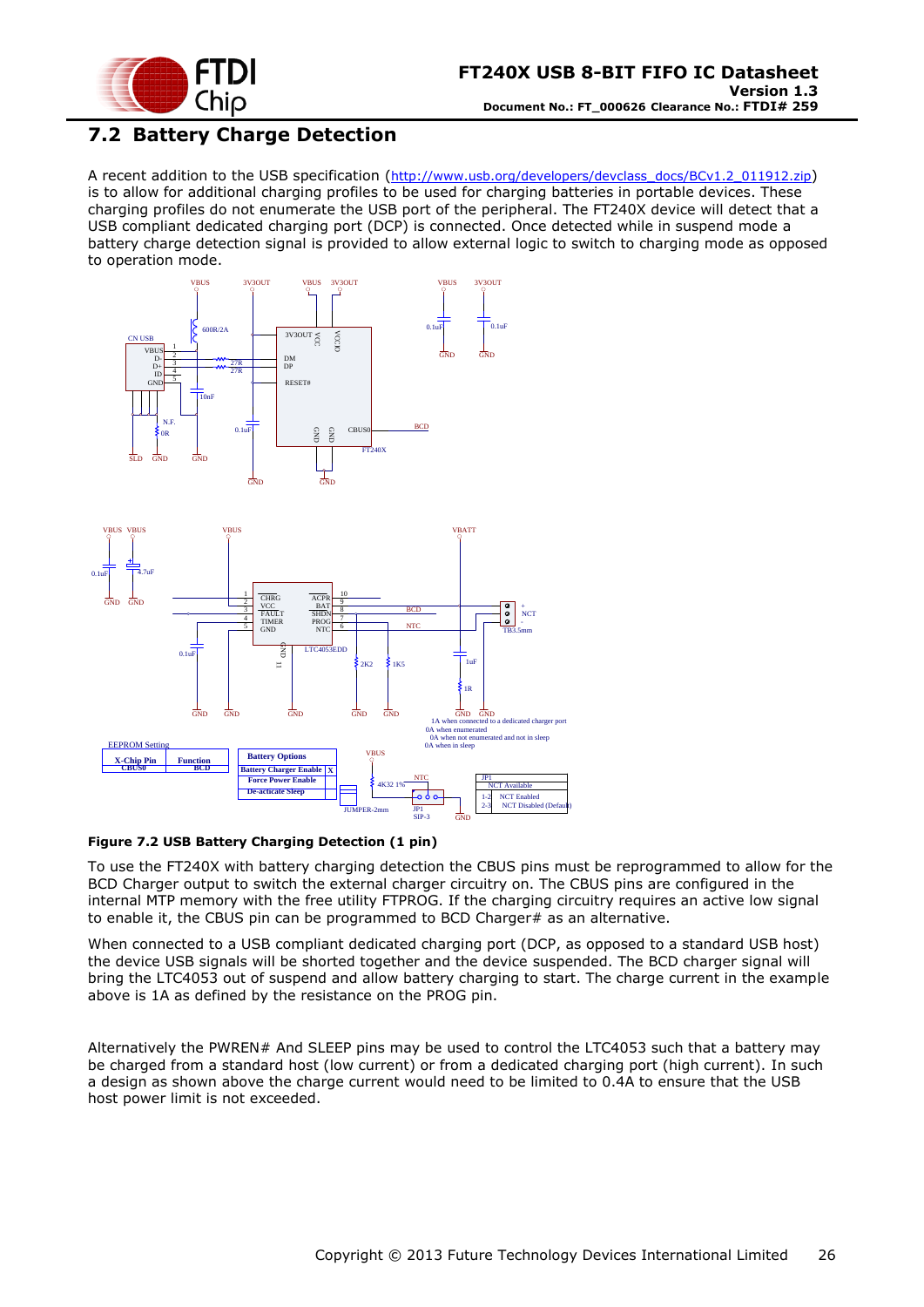![](_page_25_Picture_0.jpeg)

# <span id="page-25-0"></span>**7.2 Battery Charge Detection**

A recent addition to the USB specification ([http://www.usb.org/developers/devclass\\_docs/BCv1.2\\_011912.zip](http://www.usb.org/developers/devclass_docs/BCv1.2_011912.zip)) is to allow for additional charging profiles to be used for charging batteries in portable devices. These charging profiles do not enumerate the USB port of the peripheral. The FT240X device will detect that a USB compliant dedicated charging port (DCP) is connected. Once detected while in suspend mode a battery charge detection signal is provided to allow external logic to switch to charging mode as opposed to operation mode.

![](_page_25_Figure_4.jpeg)

![](_page_25_Figure_5.jpeg)

<span id="page-25-1"></span>**Figure 7.2 USB Battery Charging Detection (1 pin)**

To use the FT240X with battery charging detection the CBUS pins must be reprogrammed to allow for the BCD Charger output to switch the external charger circuitry on. The CBUS pins are configured in the internal MTP memory with the free utility FTPROG. If the charging circuitry requires an active low signal to enable it, the CBUS pin can be programmed to BCD Charger# as an alternative.

When connected to a USB compliant dedicated charging port (DCP, as opposed to a standard USB host) the device USB signals will be shorted together and the device suspended. The BCD charger signal will bring the LTC4053 out of suspend and allow battery charging to start. The charge current in the example above is 1A as defined by the resistance on the PROG pin.

Alternatively the PWREN# And SLEEP pins may be used to control the LTC4053 such that a battery may be charged from a standard host (low current) or from a dedicated charging port (high current). In such a design as shown above the charge current would need to be limited to 0.4A to ensure that the USB host power limit is not exceeded.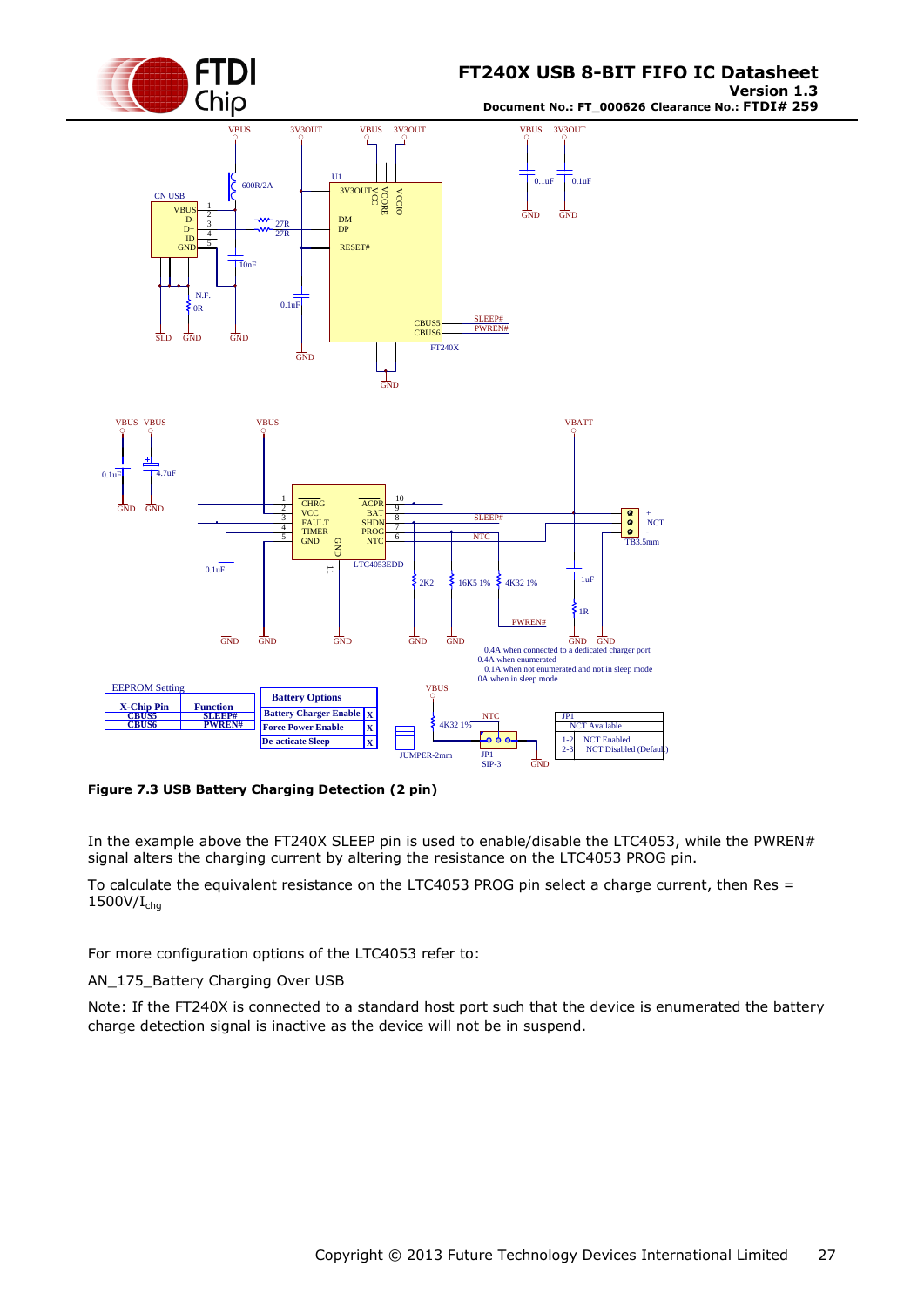![](_page_26_Picture_0.jpeg)

**Version 1.3 Document No.: FT\_000626 Clearance No.: FTDI# 259**

![](_page_26_Figure_3.jpeg)

<span id="page-26-0"></span>**Figure 7.3 USB Battery Charging Detection (2 pin)**

In the example above the FT240X SLEEP pin is used to enable/disable the LTC4053, while the PWREN# signal alters the charging current by altering the resistance on the LTC4053 PROG pin.

To calculate the equivalent resistance on the LTC4053 PROG pin select a charge current, then Res =  $1500V/I<sub>chq</sub>$ 

For more configuration options of the LTC4053 refer to:

AN 175 Battery Charging Over USB

Note: If the FT240X is connected to a standard host port such that the device is enumerated the battery charge detection signal is inactive as the device will not be in suspend.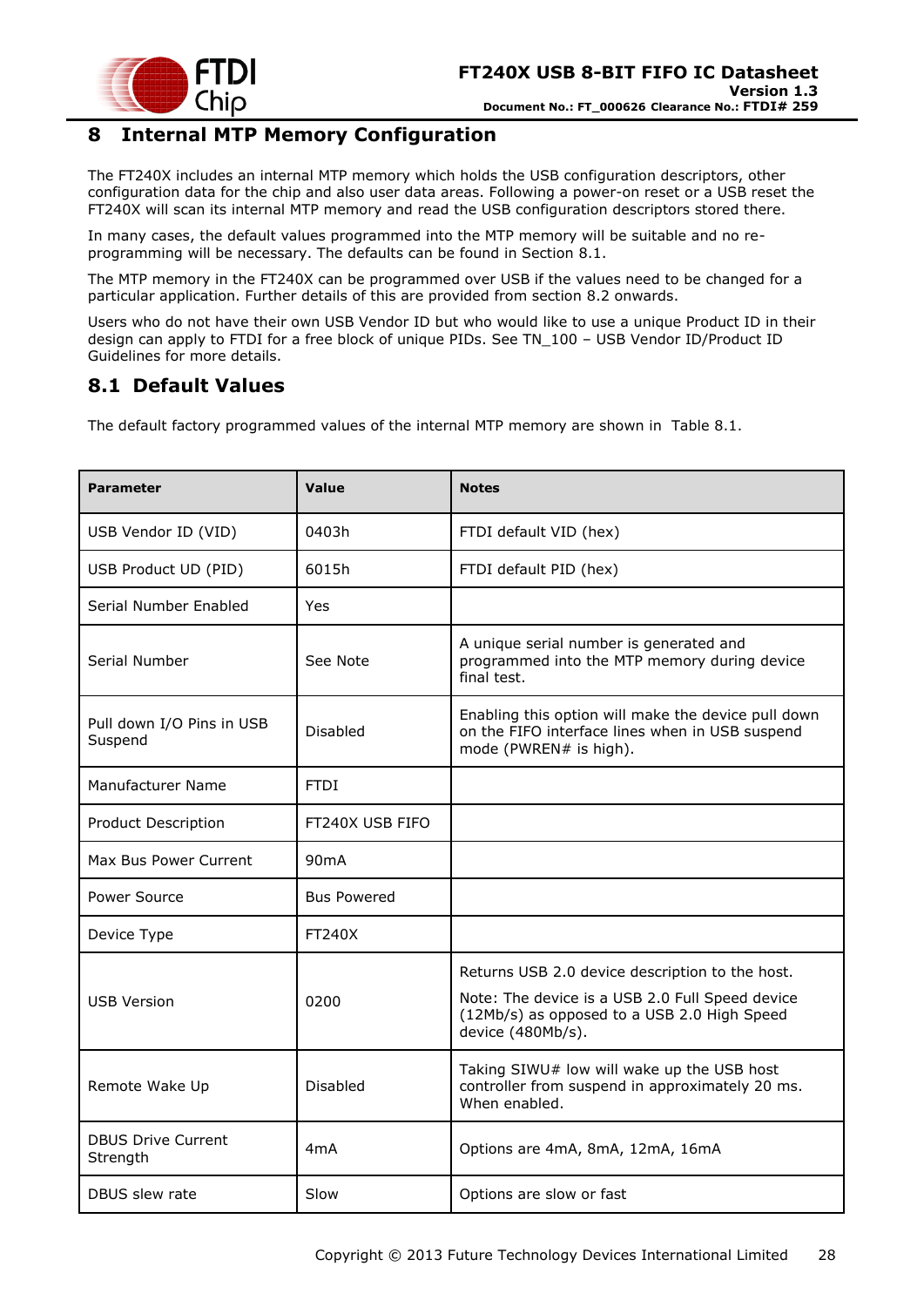![](_page_27_Picture_0.jpeg)

### <span id="page-27-0"></span>**8 Internal MTP Memory Configuration**

The FT240X includes an internal MTP memory which holds the USB configuration descriptors, other configuration data for the chip and also user data areas. Following a power-on reset or a USB reset the FT240X will scan its internal MTP memory and read the USB configuration descriptors stored there.

In many cases, the default values programmed into the MTP memory will be suitable and no reprogramming will be necessary. The defaults can be found in Section [8.1.](#page-27-1)

The MTP memory in the FT240X can be programmed over USB if the values need to be changed for a particular application. Further details of this are provided from section [8.2](#page-28-0) onwards.

Users who do not have their own USB Vendor ID but who would like to use a unique Product ID in their design can apply to FTDI for a free block of unique PIDs. See TN\_100 – USB Vendor ID/Product ID Guidelines for more details.

### <span id="page-27-1"></span>**8.1 Default Values**

The default factory programmed values of the internal MTP memory are shown in [Table 8.1.](#page-28-2)

| <b>Parameter</b>                      | Value              | <b>Notes</b>                                                                                                                                                           |
|---------------------------------------|--------------------|------------------------------------------------------------------------------------------------------------------------------------------------------------------------|
| USB Vendor ID (VID)                   | 0403h              | FTDI default VID (hex)                                                                                                                                                 |
| USB Product UD (PID)                  | 6015h              | FTDI default PID (hex)                                                                                                                                                 |
| Serial Number Enabled                 | Yes                |                                                                                                                                                                        |
| Serial Number                         | See Note           | A unique serial number is generated and<br>programmed into the MTP memory during device<br>final test.                                                                 |
| Pull down I/O Pins in USB<br>Suspend  | Disabled           | Enabling this option will make the device pull down<br>on the FIFO interface lines when in USB suspend<br>mode (PWREN# is high).                                       |
| Manufacturer Name                     | <b>FTDI</b>        |                                                                                                                                                                        |
| Product Description                   | FT240X USB FIFO    |                                                                                                                                                                        |
| Max Bus Power Current                 | 90mA               |                                                                                                                                                                        |
| Power Source                          | <b>Bus Powered</b> |                                                                                                                                                                        |
| Device Type                           | FT240X             |                                                                                                                                                                        |
| <b>USB Version</b>                    | 0200               | Returns USB 2.0 device description to the host.<br>Note: The device is a USB 2.0 Full Speed device<br>(12Mb/s) as opposed to a USB 2.0 High Speed<br>device (480Mb/s). |
| Remote Wake Up                        | Disabled           | Taking SIWU# low will wake up the USB host<br>controller from suspend in approximately 20 ms.<br>When enabled.                                                         |
| <b>DBUS Drive Current</b><br>Strength | 4 <sub>m</sub> A   | Options are 4mA, 8mA, 12mA, 16mA                                                                                                                                       |
| DBUS slew rate                        | Slow               | Options are slow or fast                                                                                                                                               |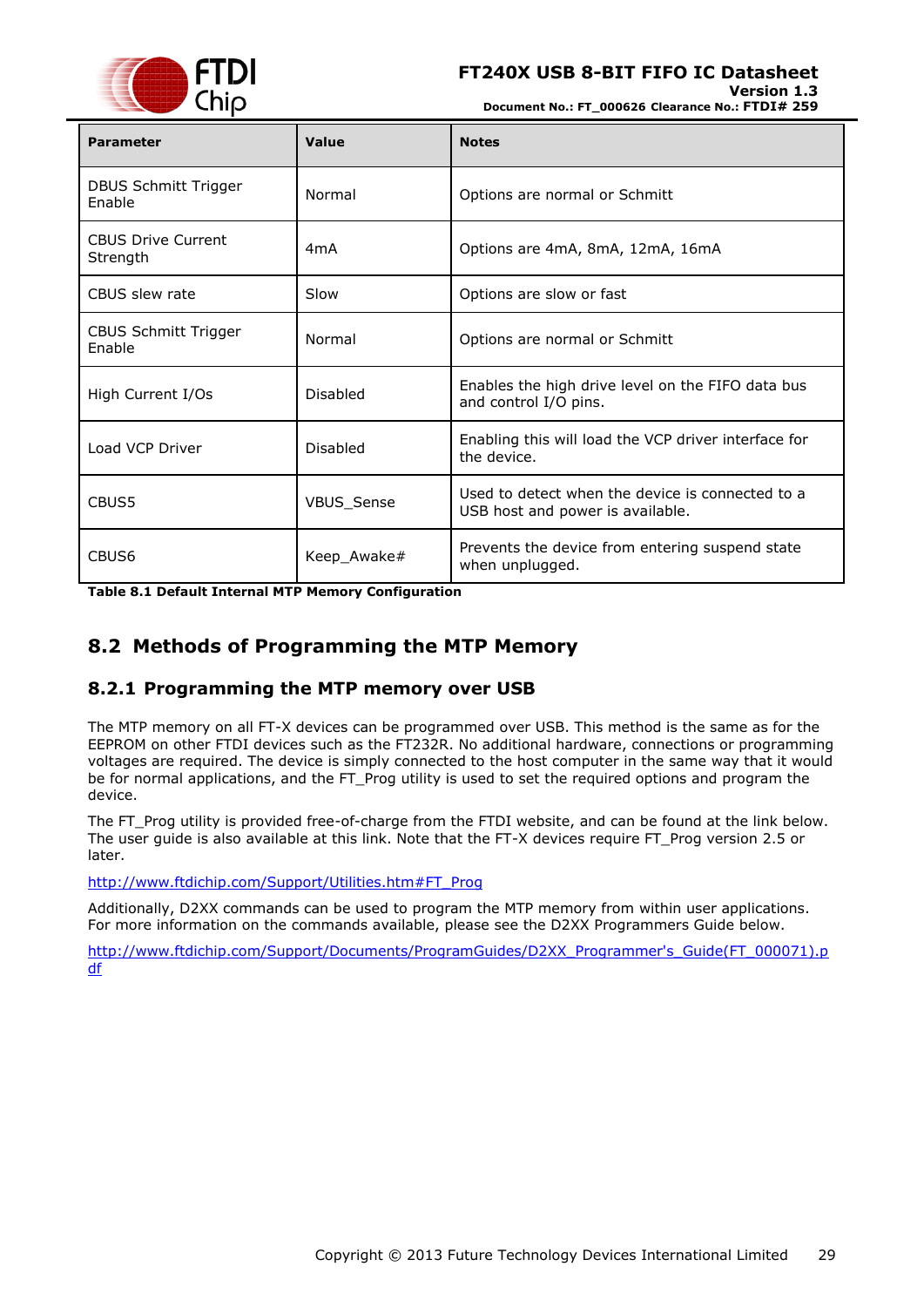![](_page_28_Picture_0.jpeg)

**Version 1.3**

**Document No.: FT\_000626 Clearance No.: FTDI# 259**

| <b>Parameter</b>                      | Value            | <b>Notes</b>                                                                         |
|---------------------------------------|------------------|--------------------------------------------------------------------------------------|
| <b>DBUS Schmitt Trigger</b><br>Enable | Normal           | Options are normal or Schmitt                                                        |
| <b>CBUS Drive Current</b><br>Strength | 4 <sub>m</sub> A | Options are 4mA, 8mA, 12mA, 16mA                                                     |
| CBUS slew rate                        | Slow             | Options are slow or fast                                                             |
| <b>CBUS Schmitt Trigger</b><br>Enable | Normal           | Options are normal or Schmitt                                                        |
| High Current I/Os                     | Disabled         | Enables the high drive level on the FIFO data bus<br>and control I/O pins.           |
| Load VCP Driver                       | Disabled         | Enabling this will load the VCP driver interface for<br>the device.                  |
| CBUS5                                 | VBUS_Sense       | Used to detect when the device is connected to a<br>USB host and power is available. |
| CBUS <sub>6</sub>                     | Keep_Awake#      | Prevents the device from entering suspend state<br>when unplugged.                   |

<span id="page-28-2"></span>**Table 8.1 Default Internal MTP Memory Configuration**

### <span id="page-28-0"></span>**8.2 Methods of Programming the MTP Memory**

### <span id="page-28-1"></span>**8.2.1 Programming the MTP memory over USB**

The MTP memory on all FT-X devices can be programmed over USB. This method is the same as for the EEPROM on other FTDI devices such as the FT232R. No additional hardware, connections or programming voltages are required. The device is simply connected to the host computer in the same way that it would be for normal applications, and the FT\_Prog utility is used to set the required options and program the device.

The FT\_Prog utility is provided free-of-charge from the FTDI website, and can be found at the link below. The user guide is also available at this link. Note that the FT-X devices require FT\_Prog version 2.5 or later.

[http://www.ftdichip.com/Support/Utilities.htm#FT\\_Prog](http://www.ftdichip.com/Support/Utilities.htm#FT_Prog)

Additionally, D2XX commands can be used to program the MTP memory from within user applications. For more information on the commands available, please see the D2XX Programmers Guide below.

[http://www.ftdichip.com/Support/Documents/ProgramGuides/D2XX\\_Programmer's\\_Guide\(FT\\_000071\).p](http://www.ftdichip.com/Support/Documents/ProgramGuides/D2XX_Programmer) [df](http://www.ftdichip.com/Support/Documents/ProgramGuides/D2XX_Programmer)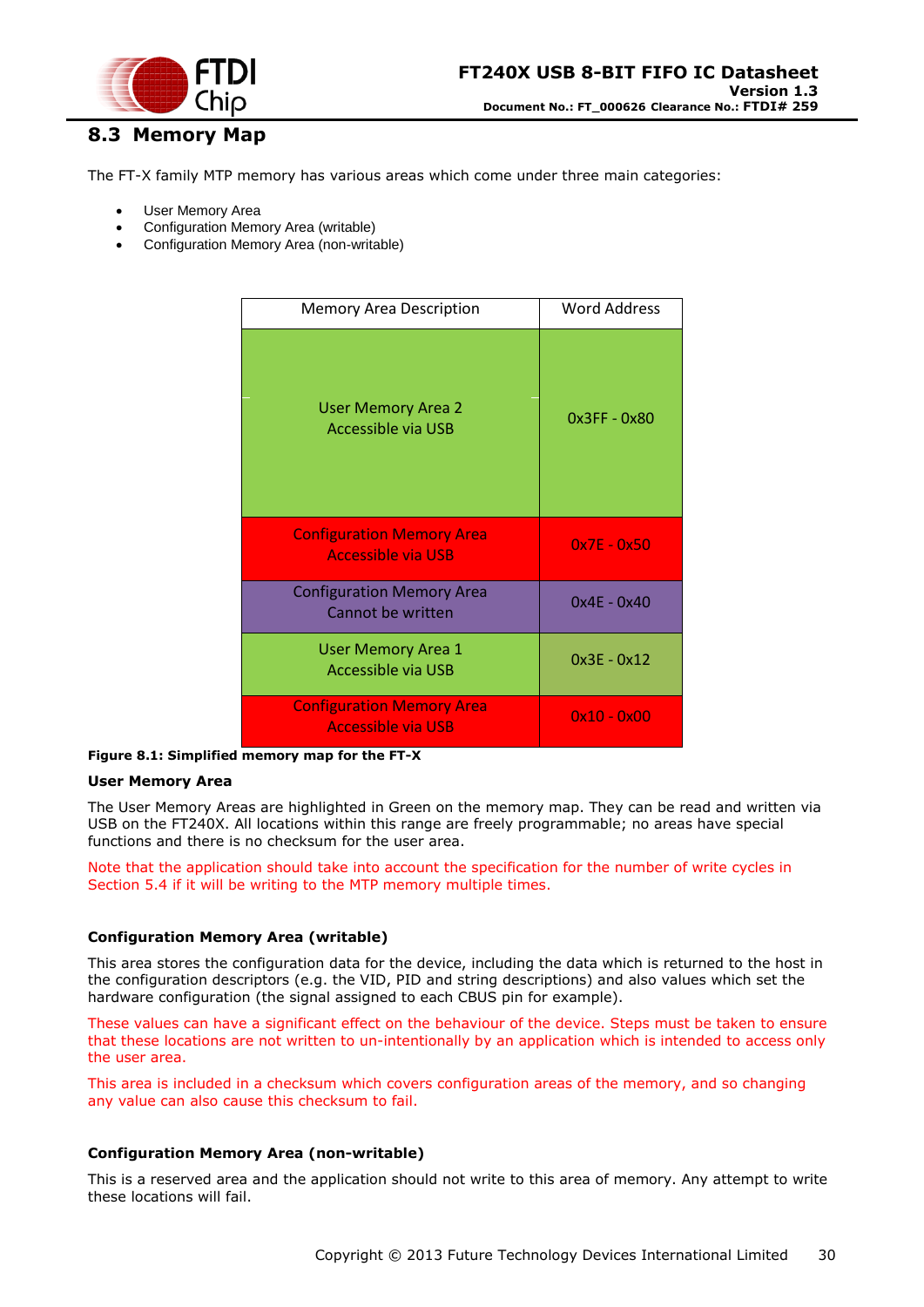![](_page_29_Picture_0.jpeg)

# <span id="page-29-0"></span>**8.3 Memory Map**

The FT-X family MTP memory has various areas which come under three main categories:

- User Memory Area
- Configuration Memory Area (writable)
- Configuration Memory Area (non-writable)

| <b>Memory Area Description</b>                                | Word Address  |
|---------------------------------------------------------------|---------------|
| <b>User Memory Area 2</b><br><b>Accessible via USB</b>        | 0x3FF - 0x80  |
| <b>Configuration Memory Area</b><br><b>Accessible via USB</b> | $0x7E - 0x50$ |
| <b>Configuration Memory Area</b><br>Cannot be written         | $0x4E - 0x40$ |
| <b>User Memory Area 1</b><br>Accessible via USB               | $0x3E - 0x12$ |
| <b>Configuration Memory Area</b><br><b>Accessible via USB</b> | $0x10 - 0x00$ |

<span id="page-29-1"></span>**Figure 8.1: Simplified memory map for the FT-X**

#### **User Memory Area**

The User Memory Areas are highlighted in Green on the memory map. They can be read and written via USB on the FT240X. All locations within this range are freely programmable; no areas have special functions and there is no checksum for the user area.

Note that the application should take into account the specification for the number of write cycles in Section [5.4](#page-20-0) if it will be writing to the MTP memory multiple times.

#### **Configuration Memory Area (writable)**

This area stores the configuration data for the device, including the data which is returned to the host in the configuration descriptors (e.g. the VID, PID and string descriptions) and also values which set the hardware configuration (the signal assigned to each CBUS pin for example).

These values can have a significant effect on the behaviour of the device. Steps must be taken to ensure that these locations are not written to un-intentionally by an application which is intended to access only the user area.

This area is included in a checksum which covers configuration areas of the memory, and so changing any value can also cause this checksum to fail.

#### **Configuration Memory Area (non-writable)**

This is a reserved area and the application should not write to this area of memory. Any attempt to write these locations will fail.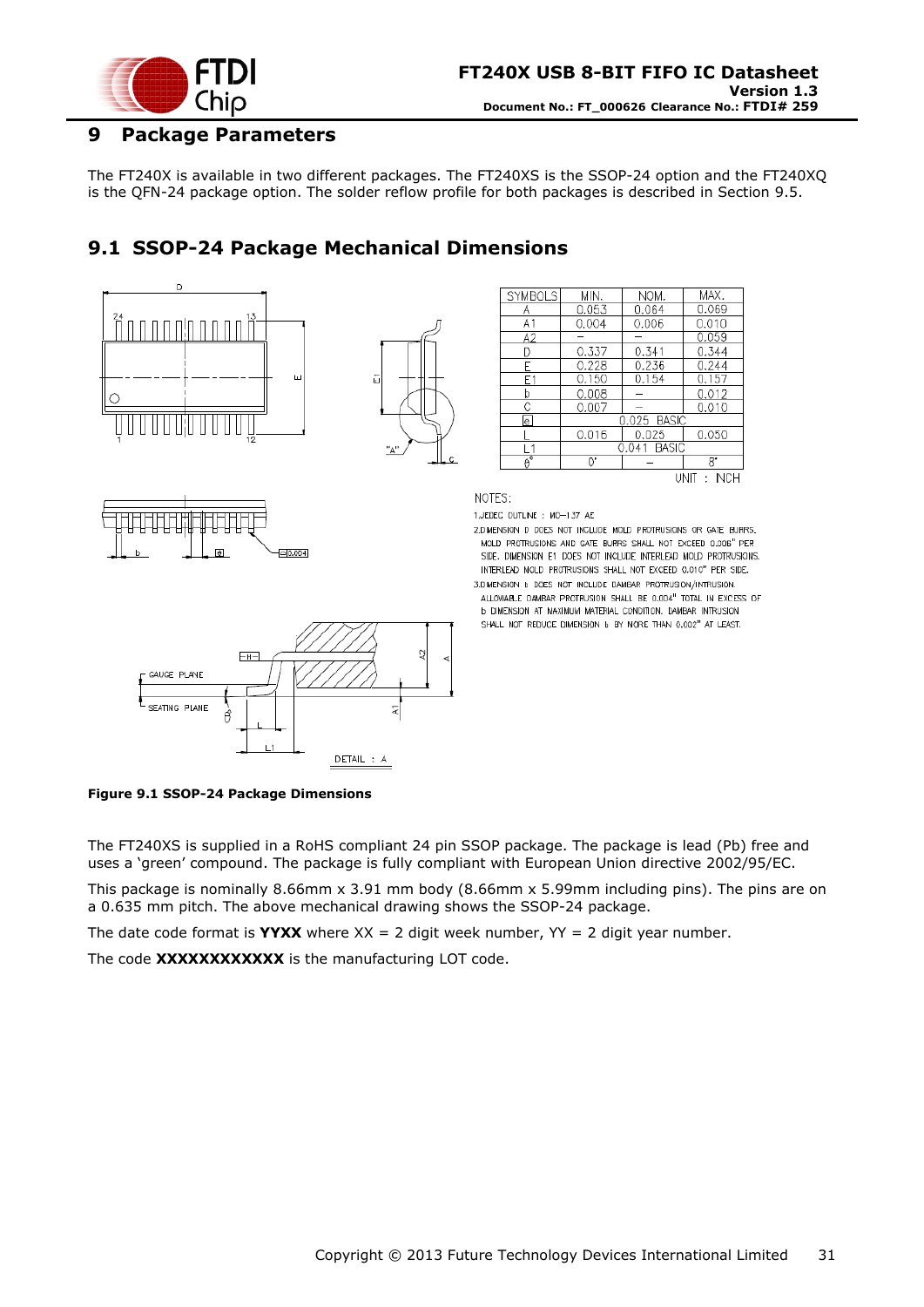![](_page_30_Picture_0.jpeg)

### <span id="page-30-0"></span>**9 Package Parameters**

The FT240X is available in two different packages. The FT240XS is the SSOP-24 option and the FT240XQ is the QFN-24 package option. The solder reflow profile for both packages is described in Section [9.5.](#page-34-0)

# <span id="page-30-1"></span>**9.1 SSOP-24 Package Mechanical Dimensions**

![](_page_30_Figure_5.jpeg)

![](_page_30_Figure_6.jpeg)

| <b>SYMBOLS</b> | MIN.  | NOM.          |
|----------------|-------|---------------|
|                | 0.053 | 0.064         |
| A1             | 0.004 | 0.006         |
| A2             |       |               |
| D              | 0.337 | 0.341         |
| F              | 0.228 | 0.236         |
| F1             | 0.150 | 0.154         |
| b              | 0.008 |               |
| С              | 0.007 |               |
| le             |       | 0.025 BAS     |
|                | 0.016 | 0.025         |
|                |       | BASI<br>0.041 |
|                | Ŋ,    |               |
|                |       |               |

 $8^{\circ}$ UNIT: INCH

MAX 0.069

 $0.010$ D 059

0.344

 $0.157$ 0.012

0.010

0.050

244

NOTES:

1.JEDEC OUTLINE : MO-137 AE 2.DIMENSION D DOES NOT INCLUDE MOLD PROTRUSIONS OR GATE BURRS. MOLD PROTRUSIONS AND GATE BURRS SHALL NOT EXCEED 0.006" PER SIDE, DIMENSION E1 DOES NOT INCLUDE INTERLEAD MOLD PROTRUSIONS. INTERLEAD MOLD PROTRUSIONS SHALL NOT EXCEED 0.010" PER SIDE.

3.DIMENSION b DOES NOT INCLUDE DAMBAR PROTRUSION/INTRUSION. ALLOWABLE DAMBAR PROTRUSION SHALL BE 0.004" TOTAL IN EXCESS OF **b dimension at maximum material condition. Dambar intrusion** SHALL NOT REDUCE DIMENSION 6 BY MORE THAN 0.002" AT LEAST.

![](_page_30_Figure_12.jpeg)

<span id="page-30-2"></span>**Figure 9.1 SSOP-24 Package Dimensions**

The FT240XS is supplied in a RoHS compliant 24 pin SSOP package. The package is lead (Pb) free and uses a 'green' compound. The package is fully compliant with European Union directive 2002/95/EC.

This package is nominally 8.66mm x 3.91 mm body (8.66mm x 5.99mm including pins). The pins are on a 0.635 mm pitch. The above mechanical drawing shows the SSOP-24 package.

The date code format is **YYXX** where  $XX = 2$  digit week number,  $YY = 2$  digit year number.

The code **XXXXXXXXXXXX** is the manufacturing LOT code.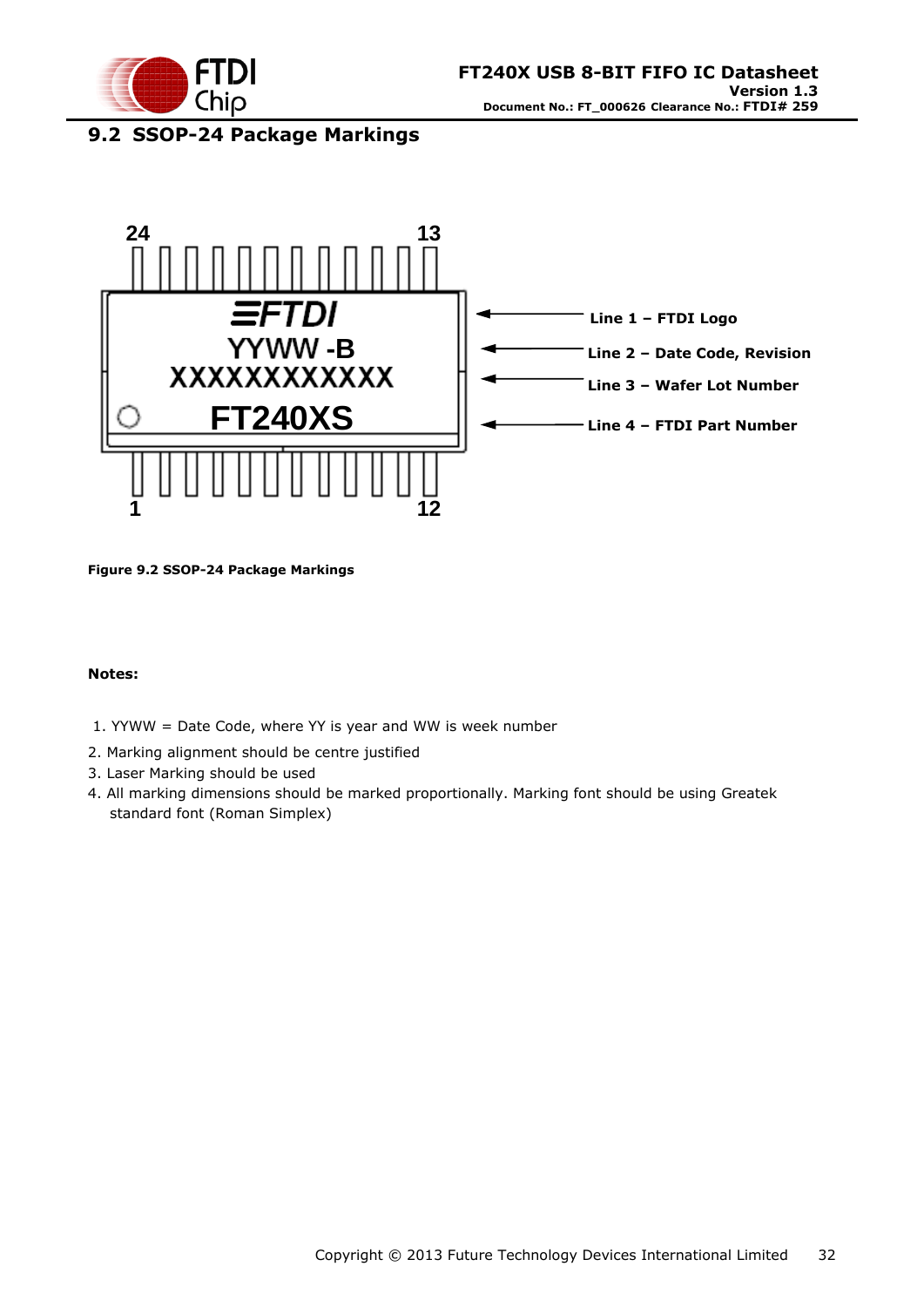![](_page_31_Picture_0.jpeg)

# <span id="page-31-0"></span>**9.2 SSOP-24 Package Markings**

![](_page_31_Figure_3.jpeg)

<span id="page-31-1"></span>**Figure 9.2 SSOP-24 Package Markings**

#### **Notes:**

- 1. YYWW = Date Code, where YY is year and WW is week number
- 2. Marking alignment should be centre justified
- 3. Laser Marking should be used
- 4. All marking dimensions should be marked proportionally. Marking font should be using Greatek standard font (Roman Simplex)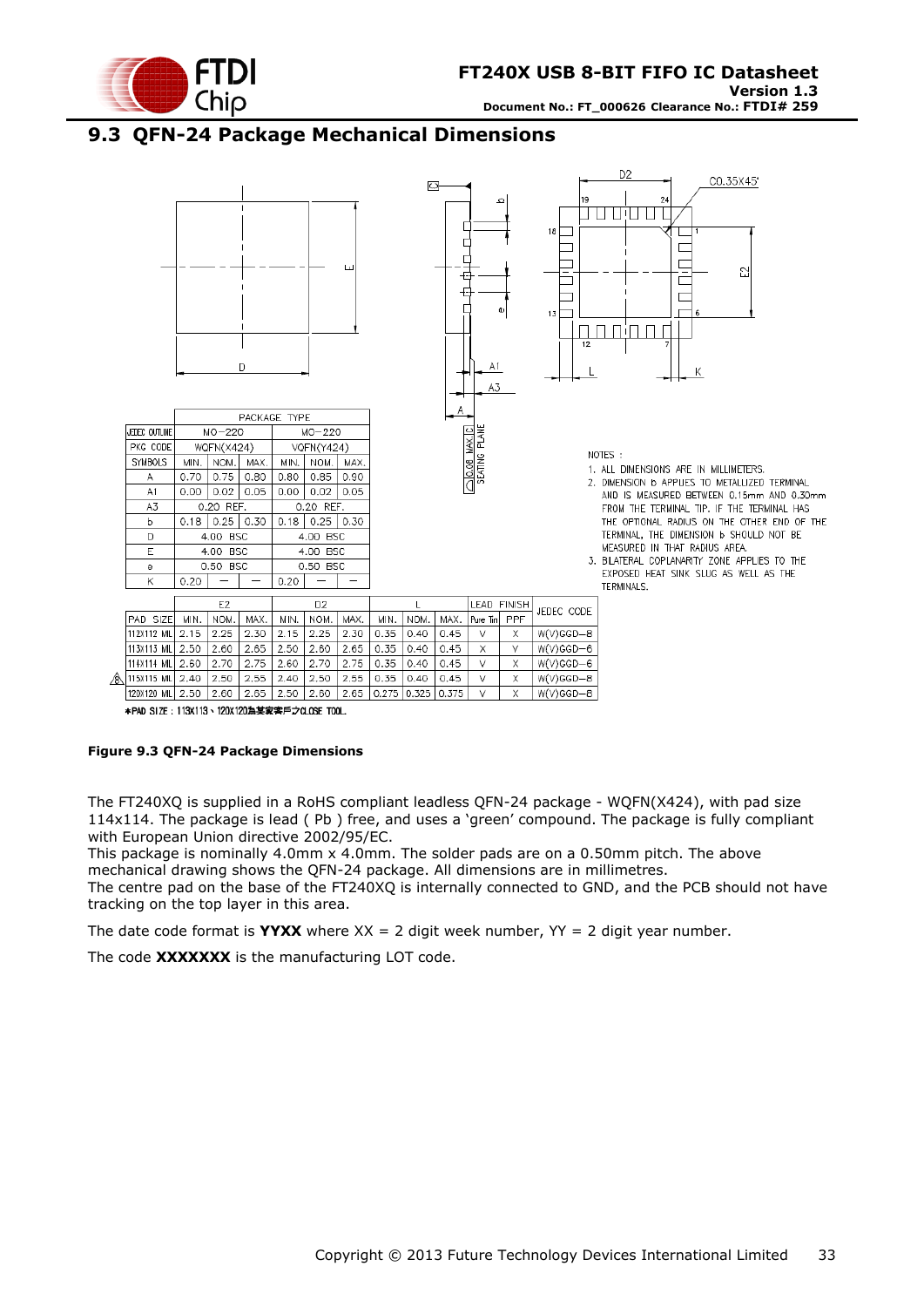![](_page_32_Picture_0.jpeg)

# <span id="page-32-0"></span>**9.3 QFN-24 Package Mechanical Dimensions**

![](_page_32_Figure_3.jpeg)

120X120 MIL 2.50 2.60 2.65 2.50 2.60 2.65 0.275 0.325 0.375  $\overline{\mathsf{V}}$  $\overline{\mathsf{x}}$  $W(V)GGD - B$ \*PAD SIZE: 113X113、120X120為某家客戶之CLOSE TOOL.

#### <span id="page-32-1"></span>**Figure 9.3 QFN-24 Package Dimensions**

The FT240XQ is supplied in a RoHS compliant leadless QFN-24 package - WQFN(X424), with pad size 114x114. The package is lead ( Pb ) free, and uses a 'green' compound. The package is fully compliant with European Union directive 2002/95/EC.

This package is nominally 4.0mm x 4.0mm. The solder pads are on a 0.50mm pitch. The above mechanical drawing shows the QFN-24 package. All dimensions are in millimetres.

The centre pad on the base of the FT240XQ is internally connected to GND, and the PCB should not have tracking on the top layer in this area.

The date code format is **YYXX** where  $XX = 2$  digit week number,  $YY = 2$  digit year number.

The code **XXXXXXX** is the manufacturing LOT code.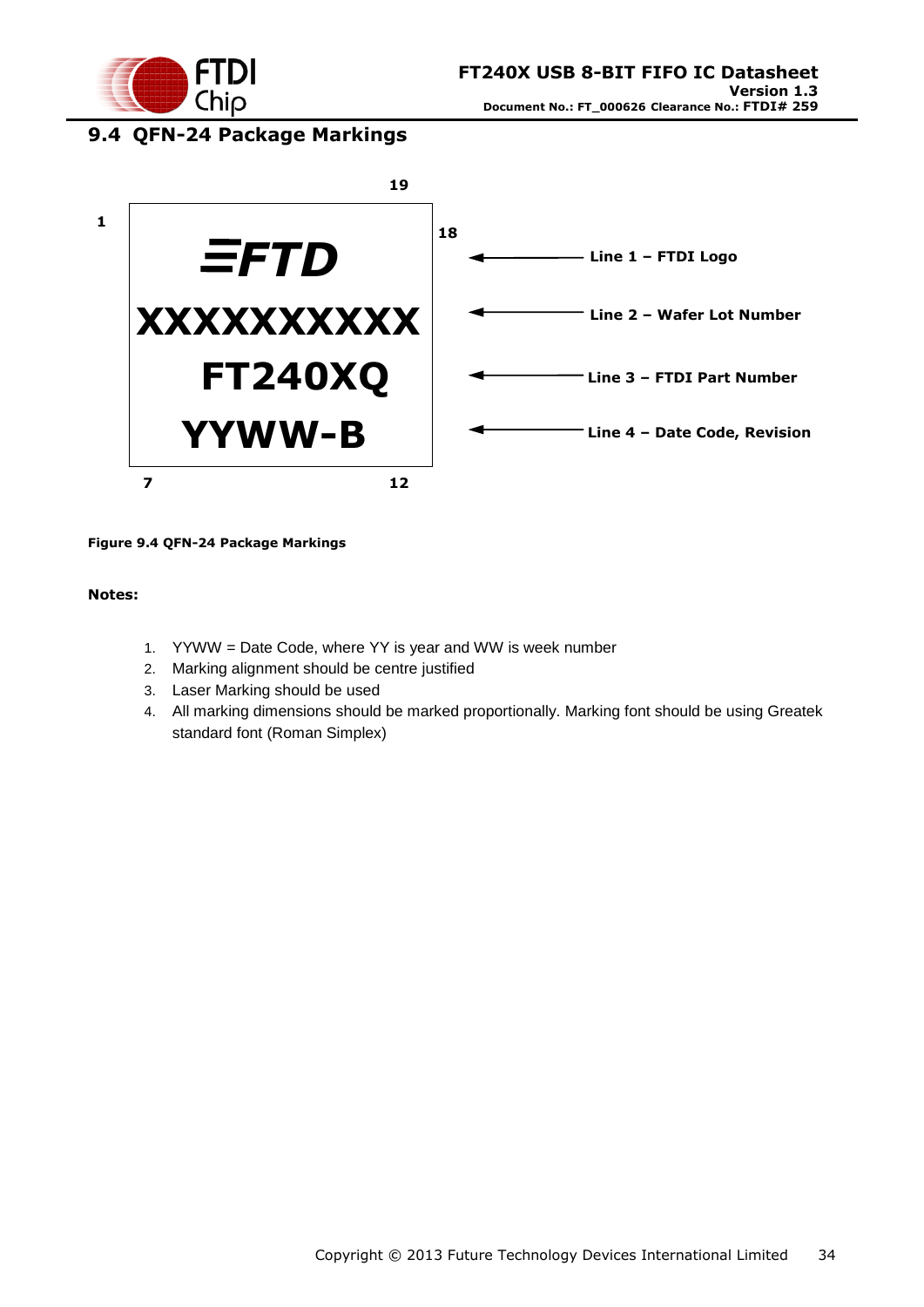![](_page_33_Picture_0.jpeg)

### <span id="page-33-0"></span>**9.4 QFN-24 Package Markings**

![](_page_33_Figure_3.jpeg)

#### <span id="page-33-1"></span>**Figure 9.4 QFN-24 Package Markings**

#### **Notes:**

- 1. YYWW = Date Code, where YY is year and WW is week number
- 2. Marking alignment should be centre justified
- 3. Laser Marking should be used
- 4. All marking dimensions should be marked proportionally. Marking font should be using Greatek standard font (Roman Simplex)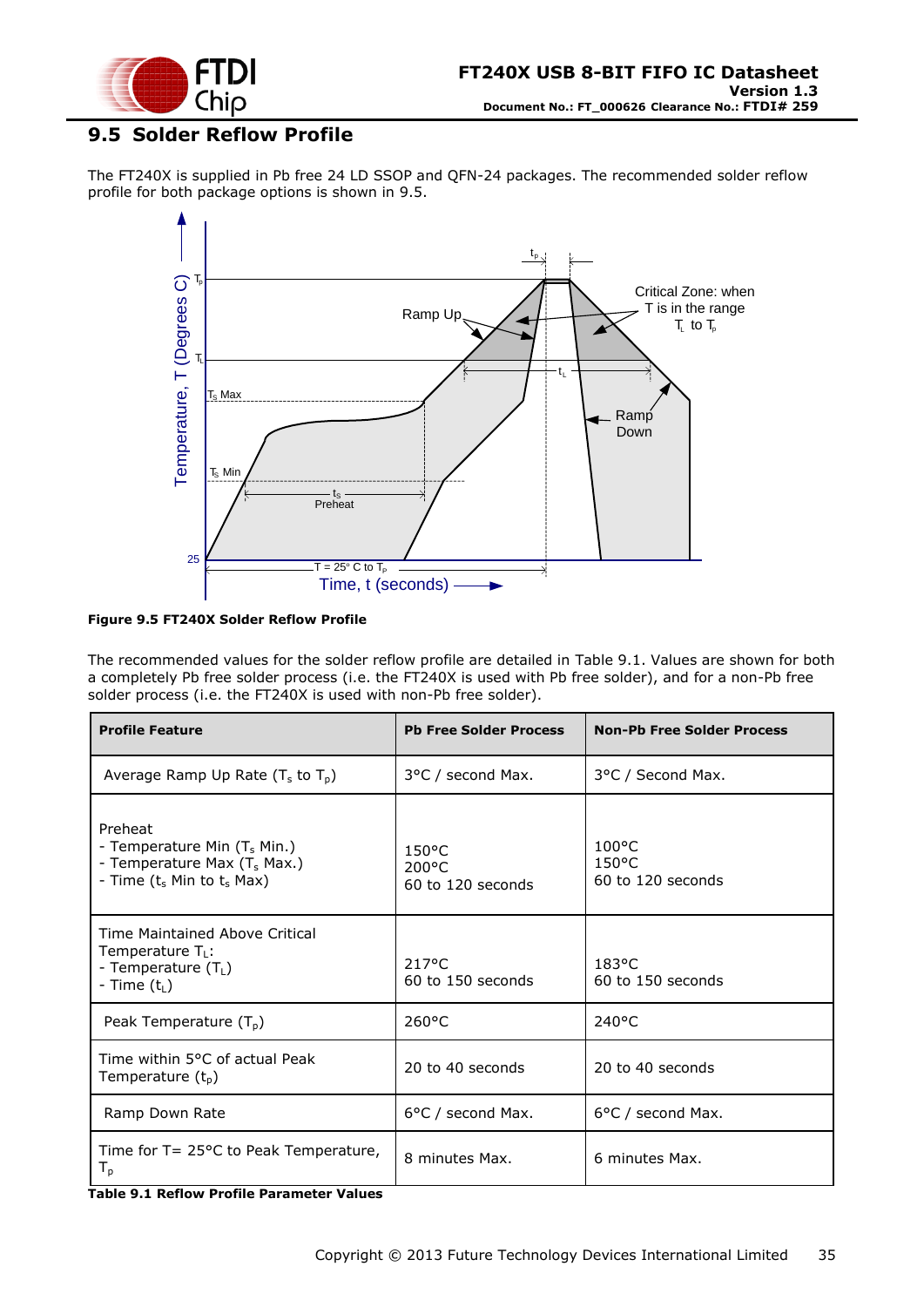![](_page_34_Picture_0.jpeg)

### <span id="page-34-0"></span>**9.5 Solder Reflow Profile**

The FT240X is supplied in Pb free 24 LD SSOP and QFN-24 packages. The recommended solder reflow profile for both package options is shown in [9.5.](#page-34-0)

![](_page_34_Figure_4.jpeg)

#### <span id="page-34-2"></span>**Figure 9.5 FT240X Solder Reflow Profile**

The recommended values for the solder reflow profile are detailed in [Table 9.1.](#page-34-1) Values are shown for both a completely Pb free solder process (i.e. the FT240X is used with Pb free solder), and for a non-Pb free solder process (i.e. the FT240X is used with non-Pb free solder).

| <b>Profile Feature</b>                                                                                                           | <b>Pb Free Solder Process</b>                           | <b>Non-Pb Free Solder Process</b>                       |
|----------------------------------------------------------------------------------------------------------------------------------|---------------------------------------------------------|---------------------------------------------------------|
| Average Ramp Up Rate $(T_s$ to $T_p$ )                                                                                           | 3°C / second Max.                                       | 3°C / Second Max.                                       |
| Preheat<br>- Temperature Min $(T_s$ Min.)<br>- Temperature Max $(T_s$ Max.)<br>- Time (t <sub>s</sub> Min to t <sub>s</sub> Max) | $150^{\circ}$ C<br>$200^{\circ}$ C<br>60 to 120 seconds | $100^{\circ}$ C<br>$150^{\circ}$ C<br>60 to 120 seconds |
| Time Maintained Above Critical<br>Temperature $T_L$ :<br>- Temperature (T <sub>L</sub> )<br>- Time $(t_L)$                       | 217°C<br>60 to 150 seconds                              | $183^{\circ}$ C<br>60 to 150 seconds                    |
| Peak Temperature $(T_p)$                                                                                                         | 260°C                                                   | $240^{\circ}$ C                                         |
| Time within 5°C of actual Peak<br>Temperature (t <sub>p</sub> )                                                                  | 20 to 40 seconds                                        | 20 to 40 seconds                                        |
| Ramp Down Rate                                                                                                                   | 6°C / second Max.                                       | 6°C / second Max.                                       |
| Time for $T = 25^{\circ}$ C to Peak Temperature,<br>$\mathsf{I}_{\mathsf{D}}$<br>$\mathbf{v}$ . $\mathbf{v}$                     | 8 minutes Max.                                          | 6 minutes Max.                                          |

<span id="page-34-1"></span>**Table 9.1 Reflow Profile Parameter Values**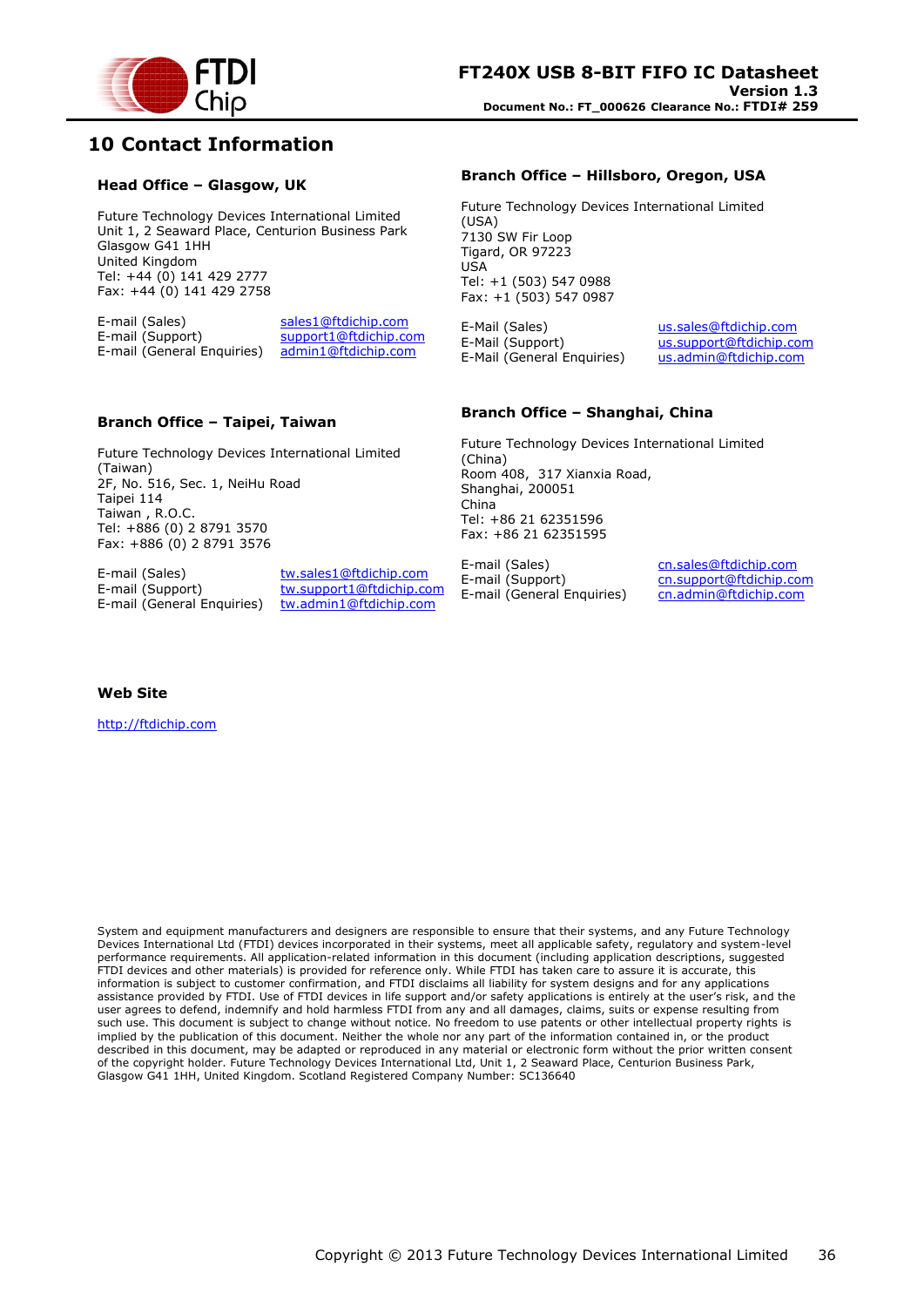![](_page_35_Picture_0.jpeg)

### <span id="page-35-0"></span>**10 Contact Information**

#### **Head Office – Glasgow, UK**

Future Technology Devices International Limited Unit 1, 2 Seaward Place, Centurion Business Park Glasgow G41 1HH United Kingdom Tel: +44 (0) 141 429 2777 Fax: +44 (0) 141 429 2758

E-mail (Sales) sales1@ftdichip.com<br>E-mail (Support) support1@ftdichip.co support1@ftdichip.com E-mail (General Enquiries) admin1@ftdichip.com

#### **Branch Office – Taipei, Taiwan**

Future Technology Devices International Limited (Taiwan) 2F, No. 516, Sec. 1, NeiHu Road Taipei 114 Taiwan , R.O.C. Tel: +886 (0) 2 8791 3570 Fax: +886 (0) 2 8791 3576

E-mail (Sales) tw.sales1@ftdichip.com E-mail (General Enquiries) tw.admin1@ftdichip.com

E-mail (Support) tw.support1@ftdichip.com

#### **Branch Office – Hillsboro, Oregon, USA**

Future Technology Devices International Limited (USA) 7130 SW Fir Loop Tigard, OR 97223 USA Tel: +1 (503) 547 0988 Fax: +1 (503) 547 0987

E-Mail (Sales) us.sales@ftdichip.com E-Mail (Support) us.support@ftdichip.com E-Mail (General Enquiries) us.admin@ftdichip.com

#### **Branch Office – Shanghai, China**

Future Technology Devices International Limited (China) Room 408, 317 Xianxia Road, Shanghai, 200051 China Tel: +86 21 62351596 Fax: +86 21 62351595

E-mail (Sales) cn.sales@ftdichip.com E-mail (Support) cn.support@ftdichip.com E-mail (General Enquiries) cn.admin@ftdichip.com

**Web Site**

http://ftdichip.com

System and equipment manufacturers and designers are responsible to ensure that their systems, and any Future Technology Devices International Ltd (FTDI) devices incorporated in their systems, meet all applicable safety, regulatory and system-level performance requirements. All application-related information in this document (including application descriptions, suggested FTDI devices and other materials) is provided for reference only. While FTDI has taken care to assure it is accurate, this information is subject to customer confirmation, and FTDI disclaims all liability for system designs and for any applications assistance provided by FTDI. Use of FTDI devices in life support and/or safety applications is entirely at the user's risk, and the user agrees to defend, indemnify and hold harmless FTDI from any and all damages, claims, suits or expense resulting from such use. This document is subject to change without notice. No freedom to use patents or other intellectual property rights is implied by the publication of this document. Neither the whole nor any part of the information contained in, or the product described in this document, may be adapted or reproduced in any material or electronic form without the prior written consent of the copyright holder. Future Technology Devices International Ltd, Unit 1, 2 Seaward Place, Centurion Business Park, Glasgow G41 1HH, United Kingdom. Scotland Registered Company Number: SC136640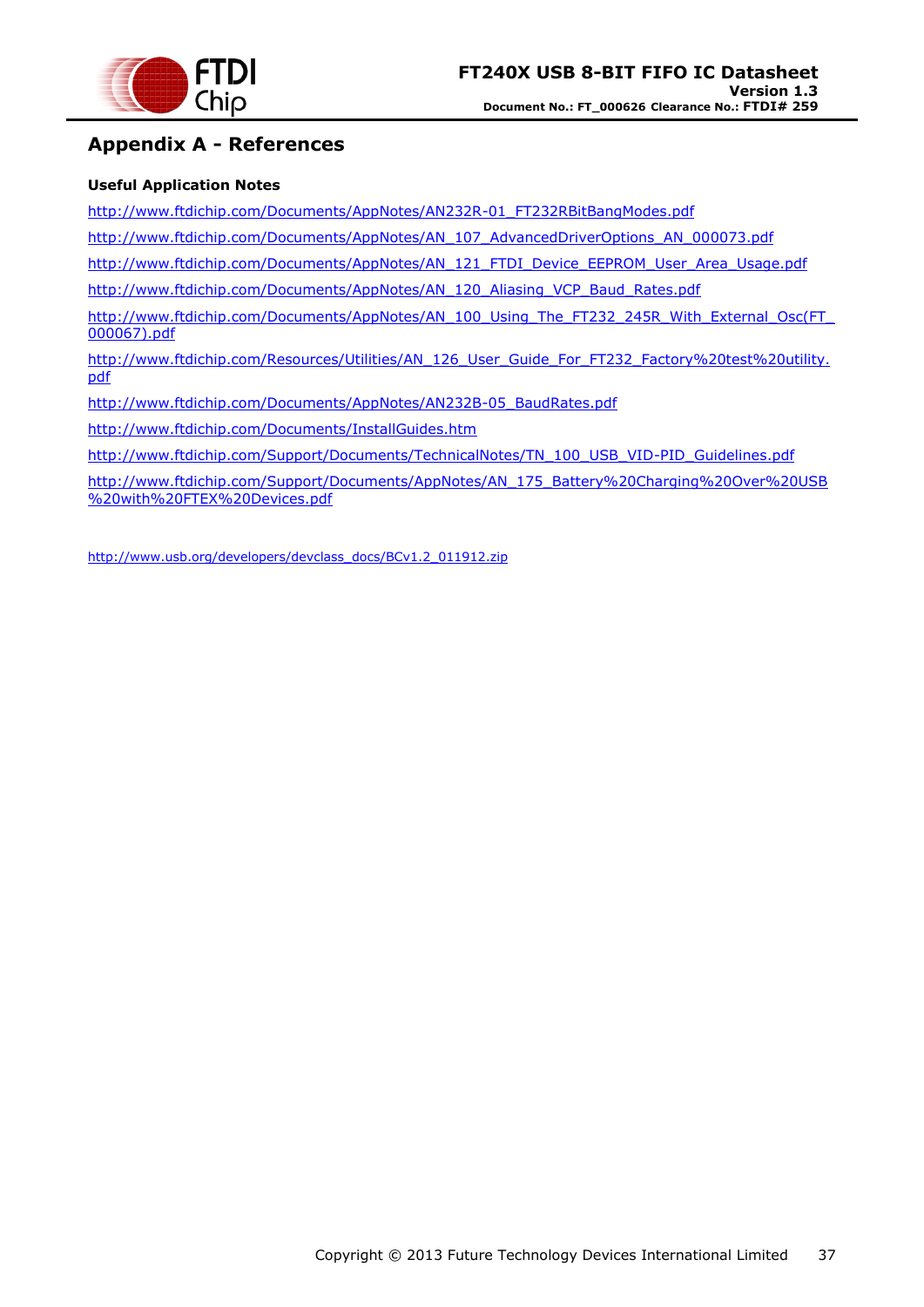![](_page_36_Picture_0.jpeg)

### <span id="page-36-0"></span>**Appendix A - References**

#### **Useful Application Notes**

[http://www.ftdichip.com/Documents/AppNotes/AN232R-01\\_FT232RBitBangModes.pdf](http://www.ftdichip.com/Documents/AppNotes/AN232R-01_FT232RBitBangModes.pdf)

[http://www.ftdichip.com/Documents/AppNotes/AN\\_107\\_AdvancedDriverOptions\\_AN\\_000073.pdf](http://www.ftdichip.com/Documents/AppNotes/AN_107_AdvancedDriverOptions_AN_000073.pdf)

[http://www.ftdichip.com/Documents/AppNotes/AN\\_121\\_FTDI\\_Device\\_EEPROM\\_User\\_Area\\_Usage.pdf](http://www.ftdichip.com/Documents/AppNotes/AN_121_FTDI_Device_EEPROM_User_Area_Usage.pdf)

[http://www.ftdichip.com/Documents/AppNotes/AN\\_120\\_Aliasing\\_VCP\\_Baud\\_Rates.pdf](http://www.ftdichip.com/Documents/AppNotes/AN_120_Aliasing_VCP_Baud_Rates.pdf)

[http://www.ftdichip.com/Documents/AppNotes/AN\\_100\\_Using\\_The\\_FT232\\_245R\\_With\\_External\\_Osc\(FT\\_](http://www.ftdichip.com/Documents/AppNotes/AN_100_Using_The_FT232_245R_With_External_Osc(FT_000067).pdf) [000067\).pdf](http://www.ftdichip.com/Documents/AppNotes/AN_100_Using_The_FT232_245R_With_External_Osc(FT_000067).pdf)

[http://www.ftdichip.com/Resources/Utilities/AN\\_126\\_User\\_Guide\\_For\\_FT232\\_Factory%20test%20utility.](http://www.ftdichip.com/Resources/Utilities/AN_126_User_Guide_For_FT232_Factory%20test%20utility.pdf) [pdf](http://www.ftdichip.com/Resources/Utilities/AN_126_User_Guide_For_FT232_Factory%20test%20utility.pdf)

[http://www.ftdichip.com/Documents/AppNotes/AN232B-05\\_BaudRates.pdf](http://www.ftdichip.com/Documents/AppNotes/AN232B-05_BaudRates.pdf)

<http://www.ftdichip.com/Documents/InstallGuides.htm>

[http://www.ftdichip.com/Support/Documents/TechnicalNotes/TN\\_100\\_USB\\_VID-PID\\_Guidelines.pdf](http://www.ftdichip.com/Support/Documents/TechnicalNotes/TN_100_USB_VID-PID_Guidelines.pdf)

[http://www.ftdichip.com/Support/Documents/AppNotes/AN\\_175\\_Battery%20Charging%20Over%20USB](http://www.ftdichip.com/Support/Documents/AppNotes/AN_175_Battery%20Charging%20Over%20USB%20with%20FTEX%20Devices.pdf) [%20with%20FTEX%20Devices.pdf](http://www.ftdichip.com/Support/Documents/AppNotes/AN_175_Battery%20Charging%20Over%20USB%20with%20FTEX%20Devices.pdf)

[http://www.usb.org/developers/devclass\\_docs/BCv1.2\\_011912.zip](http://www.usb.org/developers/devclass_docs/BCv1.2_011912.zip)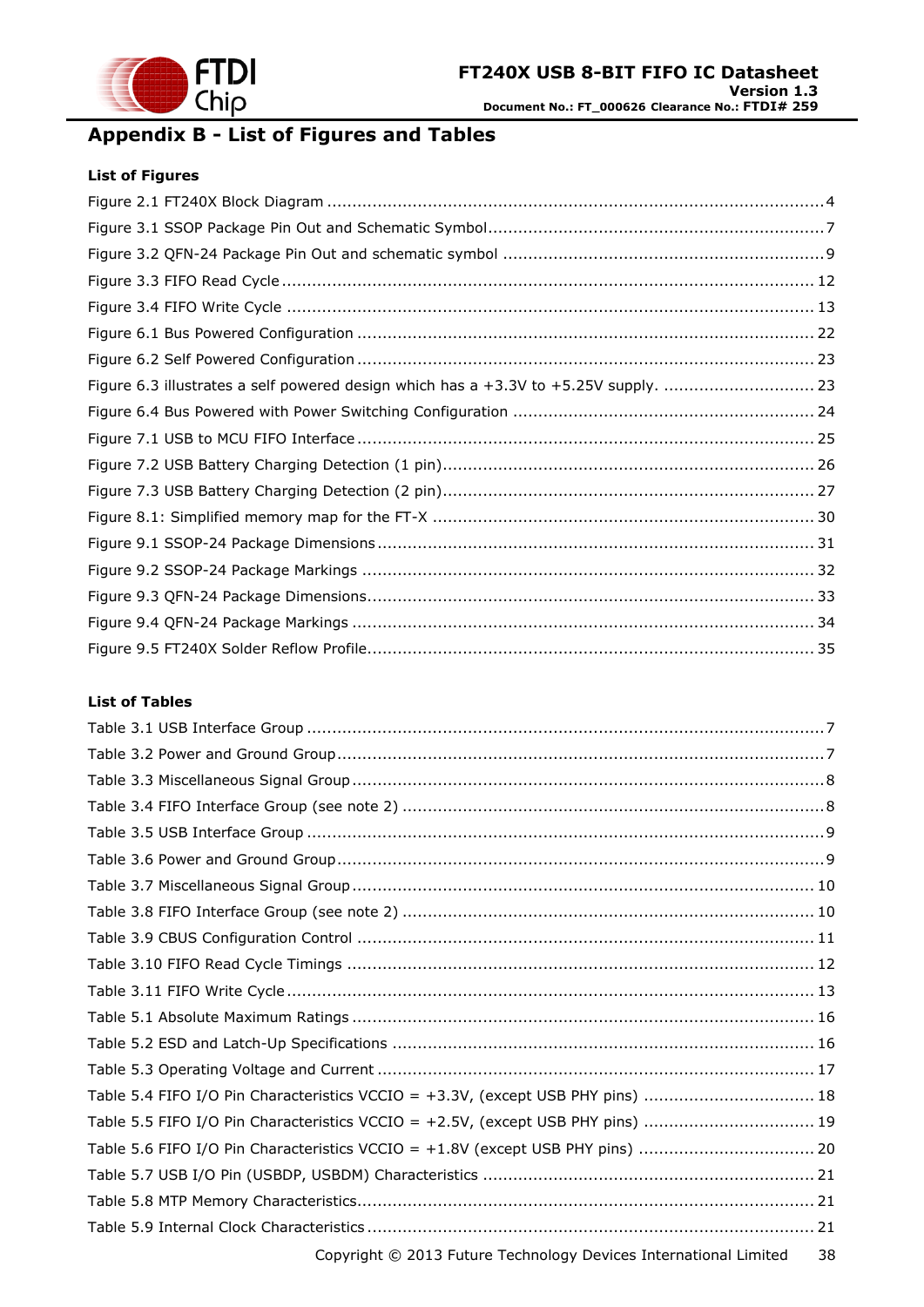![](_page_37_Picture_0.jpeg)

# <span id="page-37-0"></span>**Appendix B - List of Figures and Tables**

#### **List of Figures**

| Figure 6.3 illustrates a self powered design which has a +3.3V to +5.25V supply.  23 |  |
|--------------------------------------------------------------------------------------|--|
|                                                                                      |  |
|                                                                                      |  |
|                                                                                      |  |
|                                                                                      |  |
|                                                                                      |  |
|                                                                                      |  |
|                                                                                      |  |
|                                                                                      |  |
|                                                                                      |  |
|                                                                                      |  |

#### **List of Tables**

| Table 5.4 FIFO I/O Pin Characteristics VCCIO = +3.3V, (except USB PHY pins)  18 |    |
|---------------------------------------------------------------------------------|----|
| Table 5.5 FIFO I/O Pin Characteristics VCCIO = +2.5V, (except USB PHY pins)  19 |    |
| Table 5.6 FIFO I/O Pin Characteristics VCCIO = +1.8V (except USB PHY pins)  20  |    |
|                                                                                 |    |
|                                                                                 |    |
|                                                                                 |    |
| Copyright © 2013 Future Technology Devices International Limited                | 38 |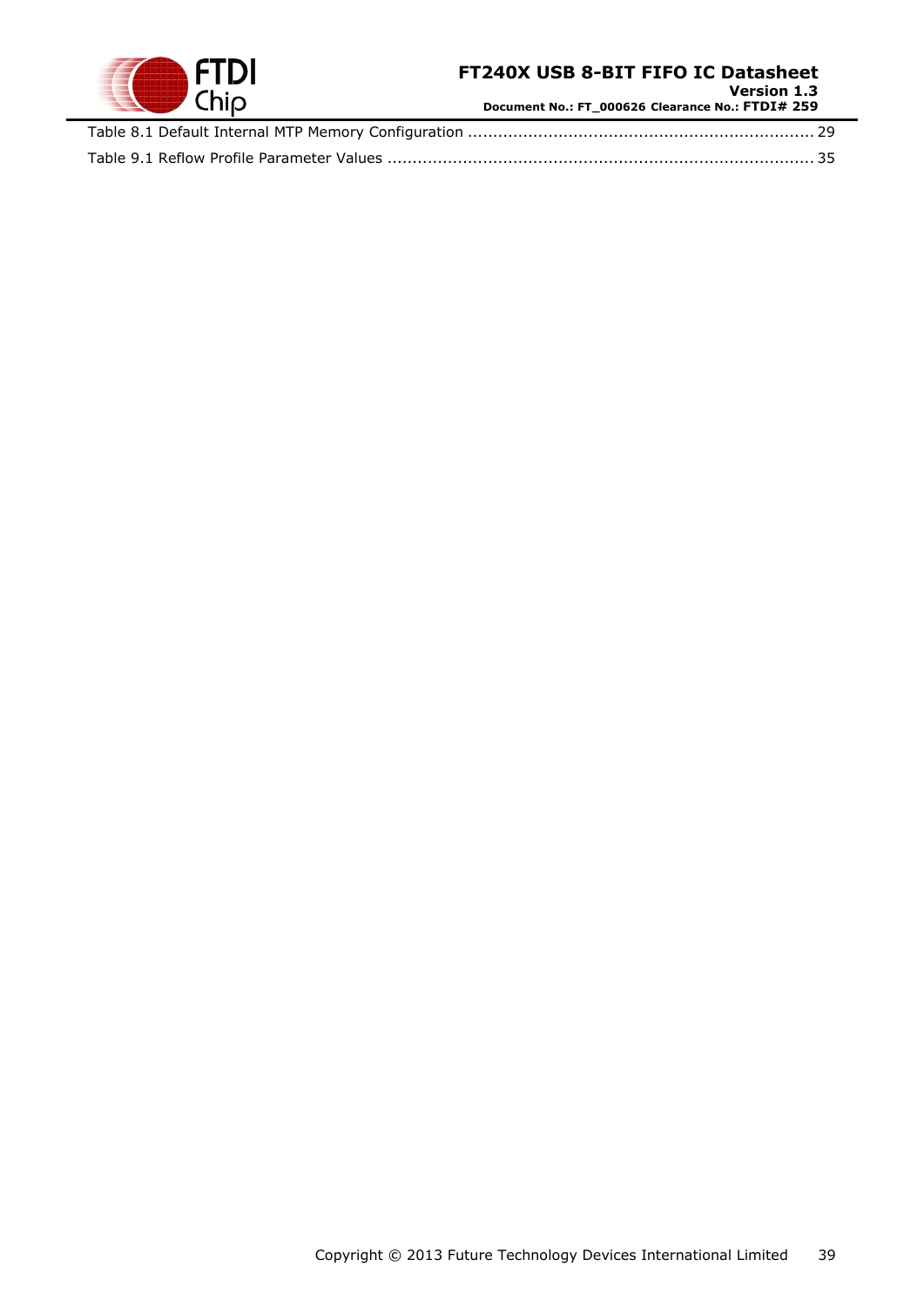![](_page_38_Picture_0.jpeg)

**Version 1.3 Document No.: FT\_000626 Clearance No.: FTDI# 259**